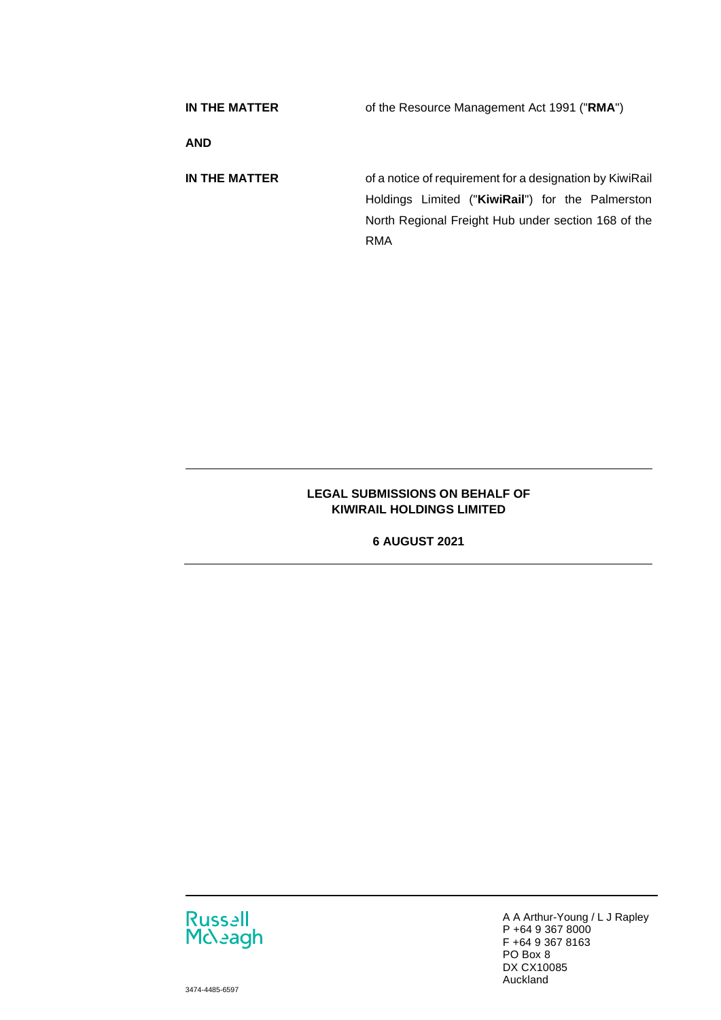| IN THE MATTER | of the Resource Management Act 1991 ("RMA")                                                                                                                                |
|---------------|----------------------------------------------------------------------------------------------------------------------------------------------------------------------------|
| <b>AND</b>    |                                                                                                                                                                            |
| IN THE MATTER | of a notice of requirement for a designation by KiwiRail<br>Holdings Limited ("KiwiRail") for the Palmerston<br>North Regional Freight Hub under section 168 of the<br>RMA |

## **LEGAL SUBMISSIONS ON BEHALF OF KIWIRAIL HOLDINGS LIMITED**

**6 AUGUST 2021** 



A A Arthur-Young / L J Rapley P +64 9 367 8000 F +64 9 367 8163 PO Box 8 DX CX10085 Auckland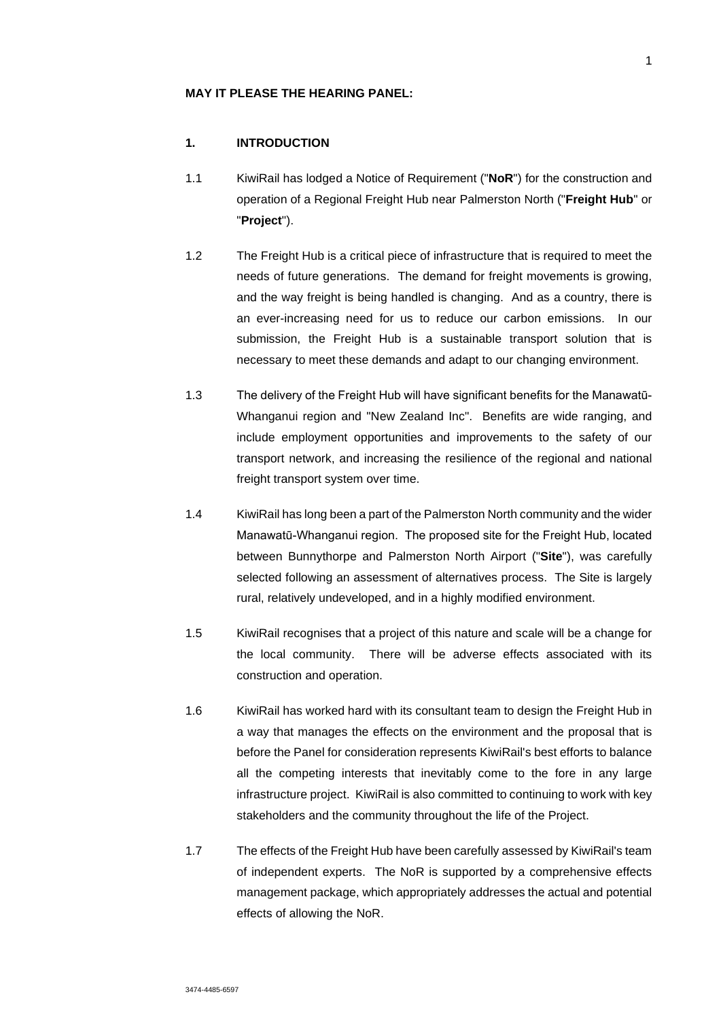#### **MAY IT PLEASE THE HEARING PANEL:**

## **1. INTRODUCTION**

- 1.1 KiwiRail has lodged a Notice of Requirement ("**NoR**") for the construction and operation of a Regional Freight Hub near Palmerston North ("**Freight Hub**" or "**Project**").
- 1.2 The Freight Hub is a critical piece of infrastructure that is required to meet the needs of future generations. The demand for freight movements is growing, and the way freight is being handled is changing. And as a country, there is an ever-increasing need for us to reduce our carbon emissions. In our submission, the Freight Hub is a sustainable transport solution that is necessary to meet these demands and adapt to our changing environment.
- 1.3 The delivery of the Freight Hub will have significant benefits for the Manawatū-Whanganui region and "New Zealand Inc". Benefits are wide ranging, and include employment opportunities and improvements to the safety of our transport network, and increasing the resilience of the regional and national freight transport system over time.
- 1.4 KiwiRail has long been a part of the Palmerston North community and the wider Manawatū-Whanganui region. The proposed site for the Freight Hub, located between Bunnythorpe and Palmerston North Airport ("**Site**"), was carefully selected following an assessment of alternatives process. The Site is largely rural, relatively undeveloped, and in a highly modified environment.
- 1.5 KiwiRail recognises that a project of this nature and scale will be a change for the local community. There will be adverse effects associated with its construction and operation.
- 1.6 KiwiRail has worked hard with its consultant team to design the Freight Hub in a way that manages the effects on the environment and the proposal that is before the Panel for consideration represents KiwiRail's best efforts to balance all the competing interests that inevitably come to the fore in any large infrastructure project. KiwiRail is also committed to continuing to work with key stakeholders and the community throughout the life of the Project.
- 1.7 The effects of the Freight Hub have been carefully assessed by KiwiRail's team of independent experts. The NoR is supported by a comprehensive effects management package, which appropriately addresses the actual and potential effects of allowing the NoR.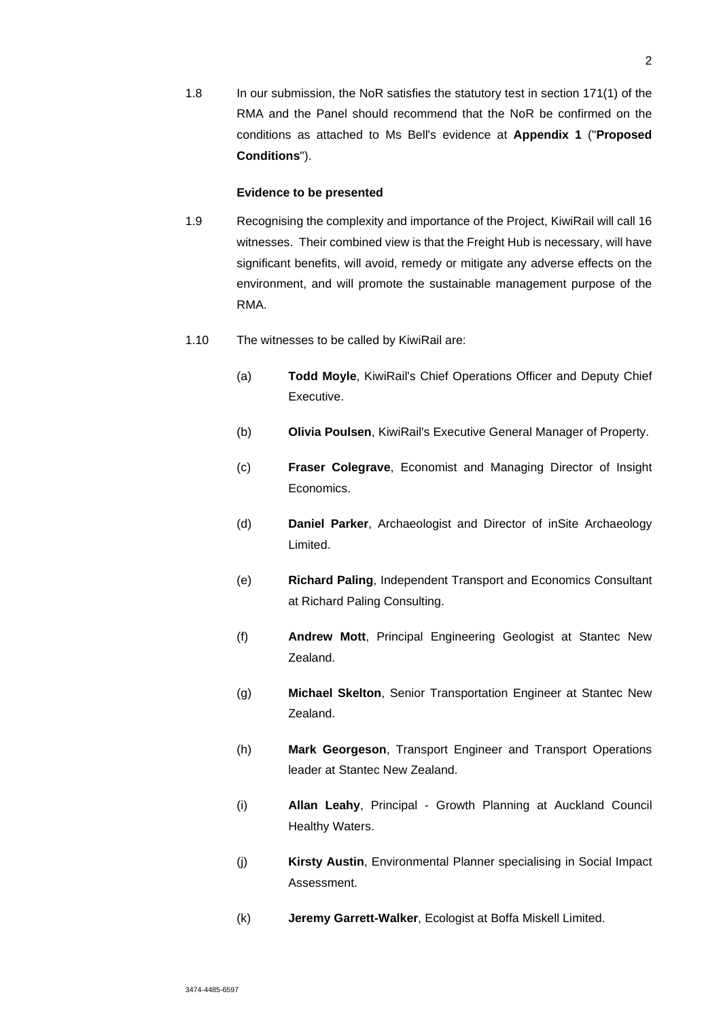1.8 In our submission, the NoR satisfies the statutory test in section 171(1) of the RMA and the Panel should recommend that the NoR be confirmed on the conditions as attached to Ms Bell's evidence at **Appendix 1** ("**Proposed Conditions**").

### **Evidence to be presented**

- 1.9 Recognising the complexity and importance of the Project, KiwiRail will call 16 witnesses. Their combined view is that the Freight Hub is necessary, will have significant benefits, will avoid, remedy or mitigate any adverse effects on the environment, and will promote the sustainable management purpose of the RMA.
- 1.10 The witnesses to be called by KiwiRail are:
	- (a) **Todd Moyle**, KiwiRail's Chief Operations Officer and Deputy Chief Executive.
	- (b) **Olivia Poulsen**, KiwiRail's Executive General Manager of Property.
	- (c) **Fraser Colegrave**, Economist and Managing Director of Insight Economics.
	- (d) **Daniel Parker**, Archaeologist and Director of inSite Archaeology Limited.
	- (e) **Richard Paling**, Independent Transport and Economics Consultant at Richard Paling Consulting.
	- (f) **Andrew Mott**, Principal Engineering Geologist at Stantec New Zealand.
	- (g) **Michael Skelton**, Senior Transportation Engineer at Stantec New Zealand.
	- (h) **Mark Georgeson**, Transport Engineer and Transport Operations leader at Stantec New Zealand.
	- (i) **Allan Leahy**, Principal Growth Planning at Auckland Council Healthy Waters.
	- (j) **Kirsty Austin**, Environmental Planner specialising in Social Impact Assessment.
	- (k) **Jeremy Garrett-Walker**, Ecologist at Boffa Miskell Limited.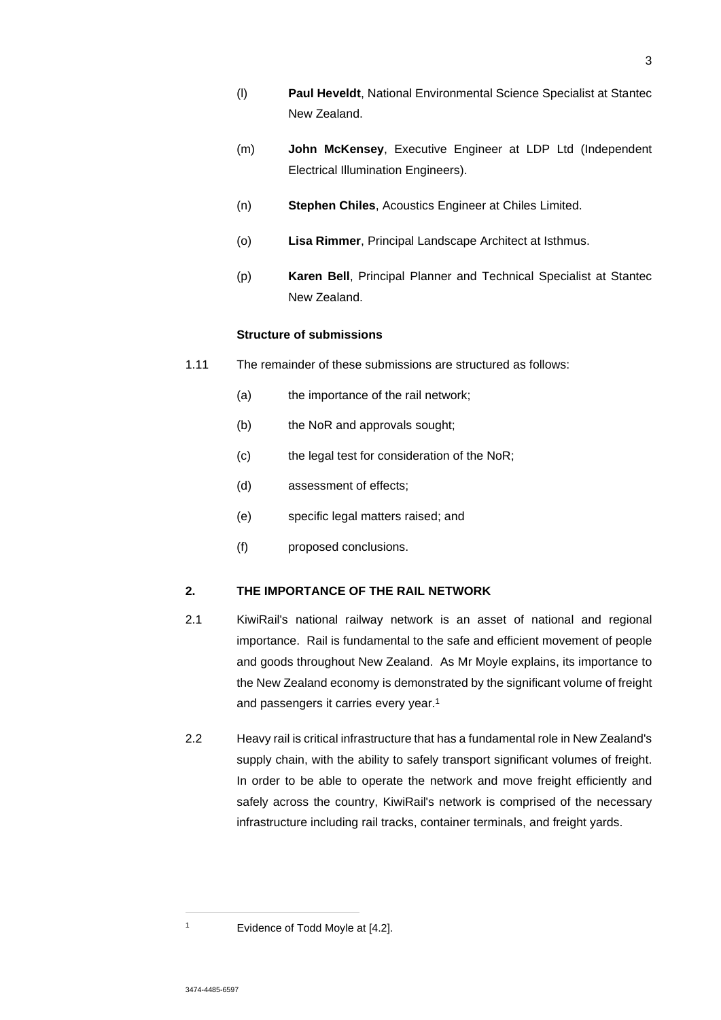- (l) **Paul Heveldt**, National Environmental Science Specialist at Stantec New Zealand.
- (m) **John McKensey**, Executive Engineer at LDP Ltd (Independent Electrical Illumination Engineers).
- (n) **Stephen Chiles**, Acoustics Engineer at Chiles Limited.
- (o) **Lisa Rimmer**, Principal Landscape Architect at Isthmus.
- (p) **Karen Bell**, Principal Planner and Technical Specialist at Stantec New Zealand.

## **Structure of submissions**

- 1.11 The remainder of these submissions are structured as follows:
	- (a) the importance of the rail network;
	- (b) the NoR and approvals sought;
	- (c) the legal test for consideration of the NoR;
	- (d) assessment of effects;
	- (e) specific legal matters raised; and
	- (f) proposed conclusions.

## **2. THE IMPORTANCE OF THE RAIL NETWORK**

- 2.1 KiwiRail's national railway network is an asset of national and regional importance. Rail is fundamental to the safe and efficient movement of people and goods throughout New Zealand. As Mr Moyle explains, its importance to the New Zealand economy is demonstrated by the significant volume of freight and passengers it carries every year.<sup>1</sup>
- 2.2 Heavy rail is critical infrastructure that has a fundamental role in New Zealand's supply chain, with the ability to safely transport significant volumes of freight. In order to be able to operate the network and move freight efficiently and safely across the country, KiwiRail's network is comprised of the necessary infrastructure including rail tracks, container terminals, and freight yards.

<sup>1</sup> Evidence of Todd Moyle at [4.2].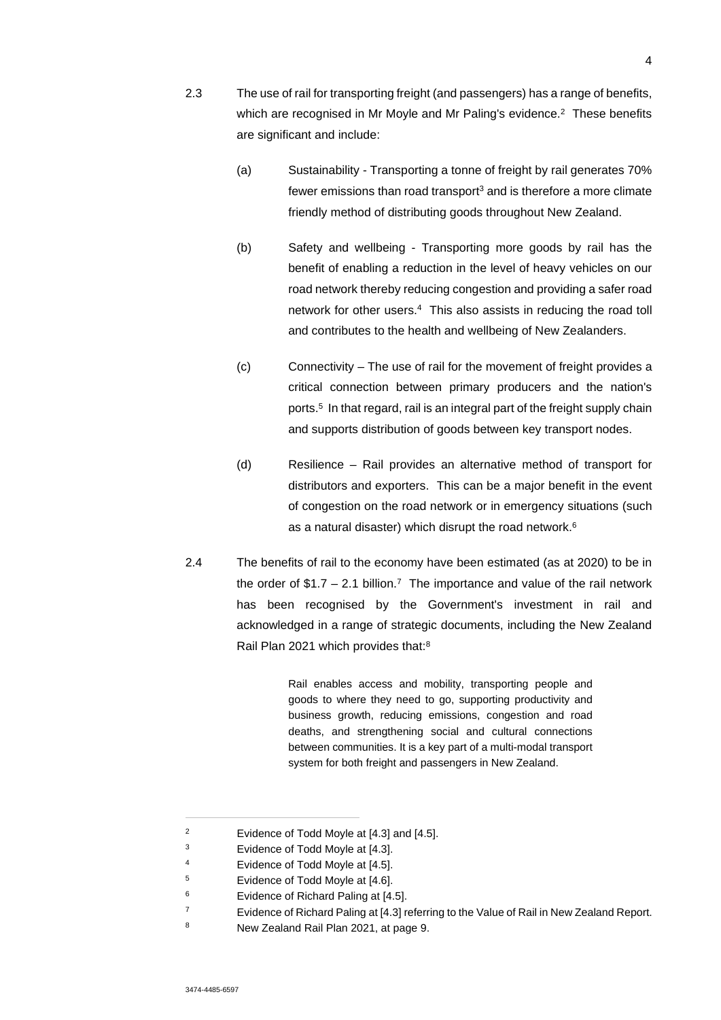- 2.3 The use of rail for transporting freight (and passengers) has a range of benefits, which are recognised in Mr Moyle and Mr Paling's evidence.<sup>2</sup> These benefits are significant and include:
	- (a) Sustainability Transporting a tonne of freight by rail generates 70% fewer emissions than road transport<sup>3</sup> and is therefore a more climate friendly method of distributing goods throughout New Zealand.
	- (b) Safety and wellbeing Transporting more goods by rail has the benefit of enabling a reduction in the level of heavy vehicles on our road network thereby reducing congestion and providing a safer road network for other users.<sup>4</sup> This also assists in reducing the road toll and contributes to the health and wellbeing of New Zealanders.
	- (c) Connectivity The use of rail for the movement of freight provides a critical connection between primary producers and the nation's ports.<sup>5</sup> In that regard, rail is an integral part of the freight supply chain and supports distribution of goods between key transport nodes.
	- (d) Resilience Rail provides an alternative method of transport for distributors and exporters. This can be a major benefit in the event of congestion on the road network or in emergency situations (such as a natural disaster) which disrupt the road network.<sup>6</sup>
- 2.4 The benefits of rail to the economy have been estimated (as at 2020) to be in the order of \$1.7  $-$  2.1 billion.<sup>7</sup> The importance and value of the rail network has been recognised by the Government's investment in rail and acknowledged in a range of strategic documents, including the New Zealand Rail Plan 2021 which provides that:<sup>8</sup>

Rail enables access and mobility, transporting people and goods to where they need to go, supporting productivity and business growth, reducing emissions, congestion and road deaths, and strengthening social and cultural connections between communities. It is a key part of a multi-modal transport system for both freight and passengers in New Zealand.

<sup>2</sup> Evidence of Todd Moyle at [4.3] and [4.5].

<sup>3</sup> Evidence of Todd Moyle at [4.3].

<sup>4</sup> Evidence of Todd Moyle at [4.5].

<sup>5</sup> Evidence of Todd Moyle at [4.6].

<sup>6</sup> Evidence of Richard Paling at [4.5].

<sup>7</sup> Evidence of Richard Paling at [4.3] referring to the Value of Rail in New Zealand Report.

<sup>8</sup> New Zealand Rail Plan 2021, at page 9.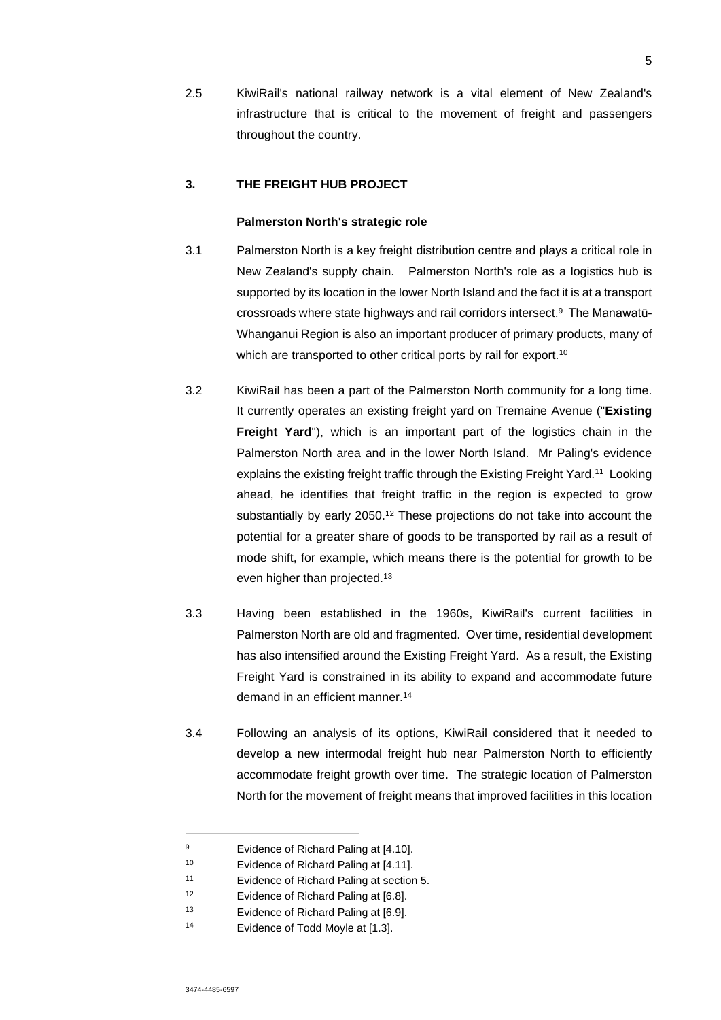2.5 KiwiRail's national railway network is a vital element of New Zealand's infrastructure that is critical to the movement of freight and passengers throughout the country.

## **3. THE FREIGHT HUB PROJECT**

#### **Palmerston North's strategic role**

- 3.1 Palmerston North is a key freight distribution centre and plays a critical role in New Zealand's supply chain. Palmerston North's role as a logistics hub is supported by its location in the lower North Island and the fact it is at a transport crossroads where state highways and rail corridors intersect.<sup>9</sup> The Manawatū-Whanganui Region is also an important producer of primary products, many of which are transported to other critical ports by rail for export.<sup>10</sup>
- 3.2 KiwiRail has been a part of the Palmerston North community for a long time. It currently operates an existing freight yard on Tremaine Avenue ("**Existing Freight Yard**"), which is an important part of the logistics chain in the Palmerston North area and in the lower North Island. Mr Paling's evidence explains the existing freight traffic through the Existing Freight Yard.<sup>11</sup> Looking ahead, he identifies that freight traffic in the region is expected to grow substantially by early 2050.<sup>12</sup> These projections do not take into account the potential for a greater share of goods to be transported by rail as a result of mode shift, for example, which means there is the potential for growth to be even higher than projected.<sup>13</sup>
- 3.3 Having been established in the 1960s, KiwiRail's current facilities in Palmerston North are old and fragmented. Over time, residential development has also intensified around the Existing Freight Yard. As a result, the Existing Freight Yard is constrained in its ability to expand and accommodate future demand in an efficient manner.<sup>14</sup>
- 3.4 Following an analysis of its options, KiwiRail considered that it needed to develop a new intermodal freight hub near Palmerston North to efficiently accommodate freight growth over time. The strategic location of Palmerston North for the movement of freight means that improved facilities in this location

<sup>9</sup> Evidence of Richard Paling at [4.10].

<sup>10</sup> Evidence of Richard Paling at [4.11].

<sup>11</sup> Evidence of Richard Paling at section 5.

<sup>12</sup> Evidence of Richard Paling at [6.8].

<sup>13</sup> Evidence of Richard Paling at [6.9].

<sup>14</sup> Evidence of Todd Moyle at [1.3].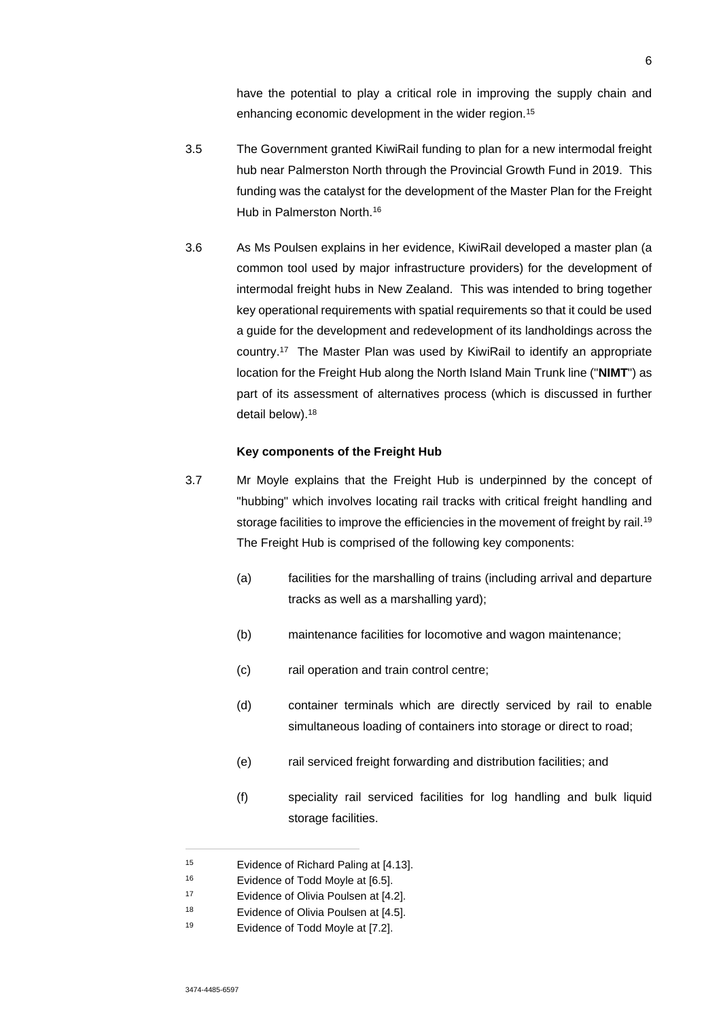have the potential to play a critical role in improving the supply chain and enhancing economic development in the wider region.<sup>15</sup>

- 3.5 The Government granted KiwiRail funding to plan for a new intermodal freight hub near Palmerston North through the Provincial Growth Fund in 2019. This funding was the catalyst for the development of the Master Plan for the Freight Hub in Palmerston North.<sup>16</sup>
- 3.6 As Ms Poulsen explains in her evidence, KiwiRail developed a master plan (a common tool used by major infrastructure providers) for the development of intermodal freight hubs in New Zealand. This was intended to bring together key operational requirements with spatial requirements so that it could be used a guide for the development and redevelopment of its landholdings across the country.<sup>17</sup> The Master Plan was used by KiwiRail to identify an appropriate location for the Freight Hub along the North Island Main Trunk line ("**NIMT**") as part of its assessment of alternatives process (which is discussed in further detail below).<sup>18</sup>

#### **Key components of the Freight Hub**

- 3.7 Mr Moyle explains that the Freight Hub is underpinned by the concept of "hubbing" which involves locating rail tracks with critical freight handling and storage facilities to improve the efficiencies in the movement of freight by rail.<sup>19</sup> The Freight Hub is comprised of the following key components:
	- (a) facilities for the marshalling of trains (including arrival and departure tracks as well as a marshalling yard);
	- (b) maintenance facilities for locomotive and wagon maintenance;
	- (c) rail operation and train control centre;
	- (d) container terminals which are directly serviced by rail to enable simultaneous loading of containers into storage or direct to road;
	- (e) rail serviced freight forwarding and distribution facilities; and
	- (f) speciality rail serviced facilities for log handling and bulk liquid storage facilities.

<sup>15</sup> Evidence of Richard Paling at [4.13].

<sup>16</sup> Evidence of Todd Moyle at [6.5].

<sup>17</sup> Evidence of Olivia Poulsen at [4.2].

<sup>18</sup> Evidence of Olivia Poulsen at [4.5].

<sup>19</sup> Evidence of Todd Moyle at [7.2].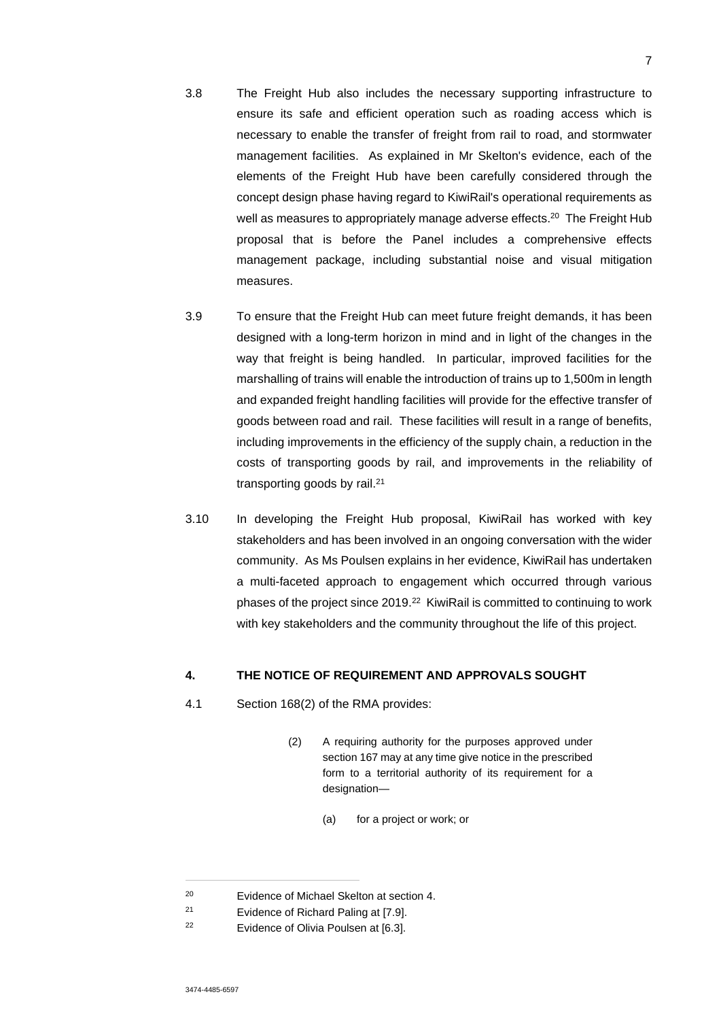- 3.8 The Freight Hub also includes the necessary supporting infrastructure to ensure its safe and efficient operation such as roading access which is necessary to enable the transfer of freight from rail to road, and stormwater management facilities. As explained in Mr Skelton's evidence, each of the elements of the Freight Hub have been carefully considered through the concept design phase having regard to KiwiRail's operational requirements as well as measures to appropriately manage adverse effects.<sup>20</sup> The Freight Hub proposal that is before the Panel includes a comprehensive effects management package, including substantial noise and visual mitigation measures.
- 3.9 To ensure that the Freight Hub can meet future freight demands, it has been designed with a long-term horizon in mind and in light of the changes in the way that freight is being handled. In particular, improved facilities for the marshalling of trains will enable the introduction of trains up to 1,500m in length and expanded freight handling facilities will provide for the effective transfer of goods between road and rail. These facilities will result in a range of benefits, including improvements in the efficiency of the supply chain, a reduction in the costs of transporting goods by rail, and improvements in the reliability of transporting goods by rail.<sup>21</sup>
- 3.10 In developing the Freight Hub proposal, KiwiRail has worked with key stakeholders and has been involved in an ongoing conversation with the wider community. As Ms Poulsen explains in her evidence, KiwiRail has undertaken a multi-faceted approach to engagement which occurred through various phases of the project since 2019.<sup>22</sup> KiwiRail is committed to continuing to work with key stakeholders and the community throughout the life of this project.

## **4. THE NOTICE OF REQUIREMENT AND APPROVALS SOUGHT**

- 4.1 Section 168(2) of the RMA provides:
	- (2) A requiring authority for the purposes approved under section 167 may at any time give notice in the prescribed form to a territorial authority of its requirement for a designation—
		- (a) for a project or work; or

<sup>20</sup> Evidence of Michael Skelton at section 4.

<sup>21</sup> Evidence of Richard Paling at [7.9].

<sup>22</sup> Evidence of Olivia Poulsen at [6.3].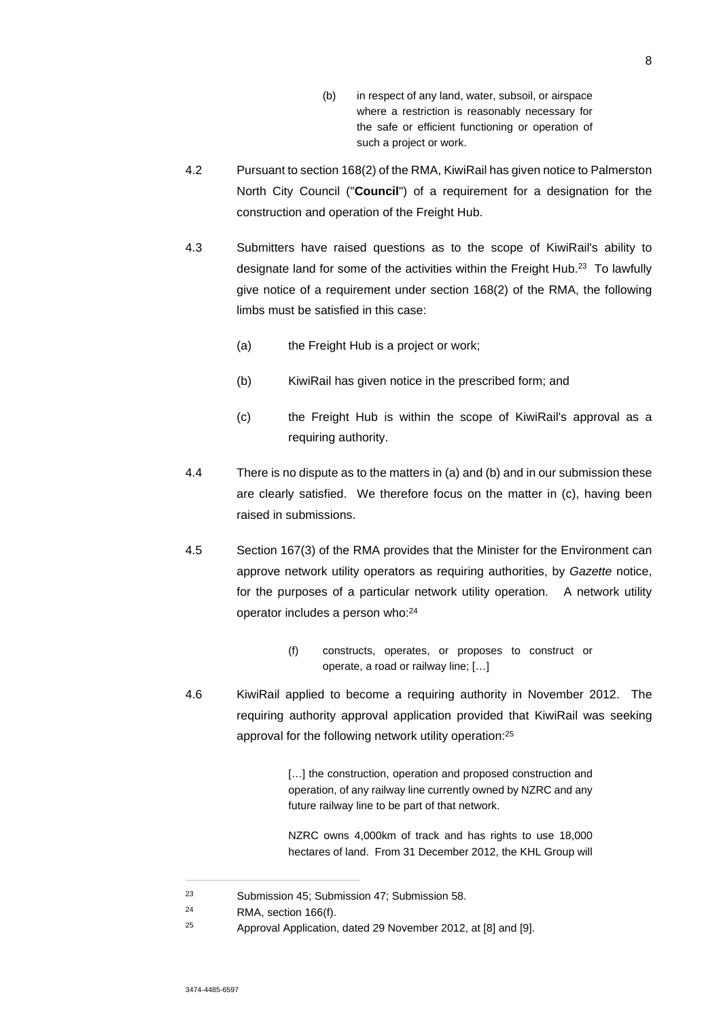- (b) in respect of any land, water, subsoil, or airspace where a restriction is reasonably necessary for the safe or efficient functioning or operation of such a project or work.
- 4.2 Pursuant to section 168(2) of the RMA, KiwiRail has given notice to Palmerston North City Council ("**Council**") of a requirement for a designation for the construction and operation of the Freight Hub.
- 4.3 Submitters have raised questions as to the scope of KiwiRail's ability to designate land for some of the activities within the Freight Hub.<sup>23</sup> To lawfully give notice of a requirement under section 168(2) of the RMA, the following limbs must be satisfied in this case:
	- (a) the Freight Hub is a project or work;
	- (b) KiwiRail has given notice in the prescribed form; and
	- (c) the Freight Hub is within the scope of KiwiRail's approval as a requiring authority.
- 4.4 There is no dispute as to the matters in (a) and (b) and in our submission these are clearly satisfied. We therefore focus on the matter in (c), having been raised in submissions.
- 4.5 Section 167(3) of the RMA provides that the Minister for the Environment can approve network utility operators as requiring authorities, by *Gazette* notice, for the purposes of a particular network utility operation. A network utility operator includes a person who:<sup>24</sup>
	- (f) constructs, operates, or proposes to construct or operate, a road or railway line; […]
- 4.6 KiwiRail applied to become a requiring authority in November 2012. The requiring authority approval application provided that KiwiRail was seeking approval for the following network utility operation:<sup>25</sup>

[...] the construction, operation and proposed construction and operation, of any railway line currently owned by NZRC and any future railway line to be part of that network.

NZRC owns 4,000km of track and has rights to use 18,000 hectares of land. From 31 December 2012, the KHL Group will

<sup>23</sup> Submission 45; Submission 47; Submission 58.

<sup>24</sup> RMA, section 166(f).

<sup>25</sup> Approval Application, dated 29 November 2012, at [8] and [9].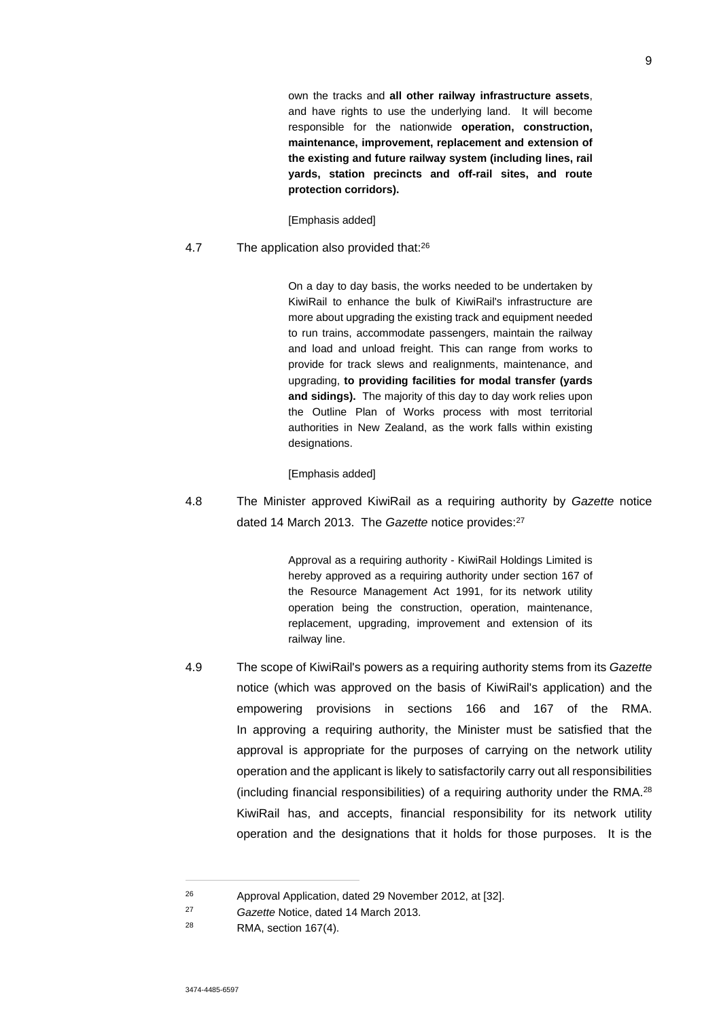own the tracks and **all other railway infrastructure assets**, and have rights to use the underlying land. It will become responsible for the nationwide **operation, construction, maintenance, improvement, replacement and extension of the existing and future railway system (including lines, rail yards, station precincts and off-rail sites, and route protection corridors).** 

[Emphasis added]

#### 4.7 The application also provided that:<sup>26</sup>

On a day to day basis, the works needed to be undertaken by KiwiRail to enhance the bulk of KiwiRail's infrastructure are more about upgrading the existing track and equipment needed to run trains, accommodate passengers, maintain the railway and load and unload freight. This can range from works to provide for track slews and realignments, maintenance, and upgrading, **to providing facilities for modal transfer (yards and sidings).** The majority of this day to day work relies upon the Outline Plan of Works process with most territorial authorities in New Zealand, as the work falls within existing designations.

#### [Emphasis added]

4.8 The Minister approved KiwiRail as a requiring authority by *Gazette* notice dated 14 March 2013. The *Gazette* notice provides:<sup>27</sup>

> Approval as a requiring authority - KiwiRail Holdings Limited is hereby approved as a requiring authority under section 167 of the Resource Management Act 1991, for its network utility operation being the construction, operation, maintenance, replacement, upgrading, improvement and extension of its railway line.

4.9 The scope of KiwiRail's powers as a requiring authority stems from its *Gazette* notice (which was approved on the basis of KiwiRail's application) and the empowering provisions in sections 166 and 167 of the RMA. In approving a requiring authority, the Minister must be satisfied that the approval is appropriate for the purposes of carrying on the network utility operation and the applicant is likely to satisfactorily carry out all responsibilities (including financial responsibilities) of a requiring authority under the RMA.<sup>28</sup> KiwiRail has, and accepts, financial responsibility for its network utility operation and the designations that it holds for those purposes. It is the

<sup>26</sup> Approval Application, dated 29 November 2012, at [32].

<sup>27</sup> *Gazette* Notice, dated 14 March 2013.

<sup>28</sup> RMA, section 167(4).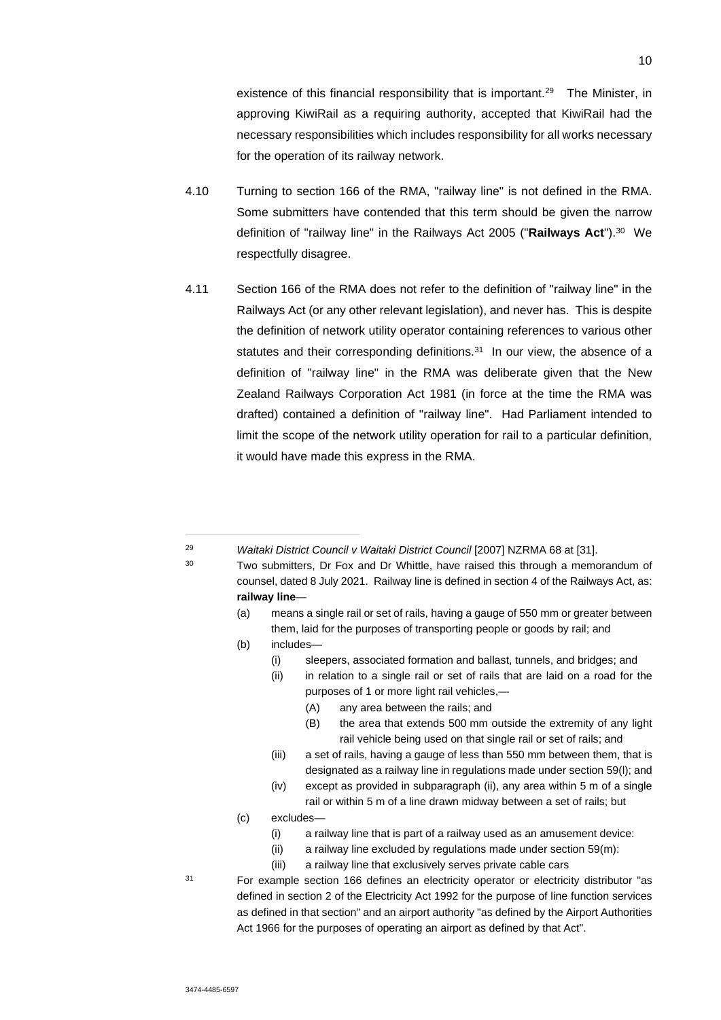existence of this financial responsibility that is important.<sup>29</sup> The Minister, in approving KiwiRail as a requiring authority, accepted that KiwiRail had the necessary responsibilities which includes responsibility for all works necessary for the operation of its railway network.

- 4.10 Turning to section 166 of the RMA, "railway line" is not defined in the RMA. Some submitters have contended that this term should be given the narrow definition of "railway line" in the Railways Act 2005 ("Railways Act").<sup>30</sup> We respectfully disagree.
- 4.11 Section 166 of the RMA does not refer to the definition of "railway line" in the Railways Act (or any other relevant legislation), and never has. This is despite the definition of network utility operator containing references to various other statutes and their corresponding definitions.<sup>31</sup> In our view, the absence of a definition of "railway line" in the RMA was deliberate given that the New Zealand Railways Corporation Act 1981 (in force at the time the RMA was drafted) contained a definition of "railway line". Had Parliament intended to limit the scope of the network utility operation for rail to a particular definition, it would have made this express in the RMA.

- <sup>29</sup> *Waitaki District Council v Waitaki District Council* [2007] NZRMA 68 at [31].
- <sup>30</sup> Two submitters, Dr Fox and Dr Whittle, have raised this through a memorandum of counsel, dated 8 July 2021. Railway line is defined in section 4 of the Railways Act, as: **railway line**—
	- (a) means a single rail or set of rails, having a gauge of 550 mm or greater between them, laid for the purposes of transporting people or goods by rail; and
	- (b) includes—
		- (i) sleepers, associated formation and ballast, tunnels, and bridges; and
		- (ii) in relation to a single rail or set of rails that are laid on a road for the purposes of 1 or more light rail vehicles,—
			- (A) any area between the rails; and
			- (B) the area that extends 500 mm outside the extremity of any light rail vehicle being used on that single rail or set of rails; and
		- (iii) a set of rails, having a gauge of less than 550 mm between them, that is designated as a railway line in regulations made under section 59(l); and
		- (iv) except as provided in subparagraph (ii), any area within 5 m of a single rail or within 5 m of a line drawn midway between a set of rails; but
	- (c) excludes—
		- (i) a railway line that is part of a railway used as an amusement device:
		- $(iii)$  a railway line excluded by regulations made under section 59 $(m)$ :
		- (iii) a railway line that exclusively serves private cable cars

<sup>31</sup> For example section 166 defines an electricity operator or electricity distributor "as defined in section 2 of the Electricity Act 1992 for the purpose of line function services as defined in that section" and an airport authority "as defined by the Airport Authorities Act 1966 for the purposes of operating an airport as defined by that Act".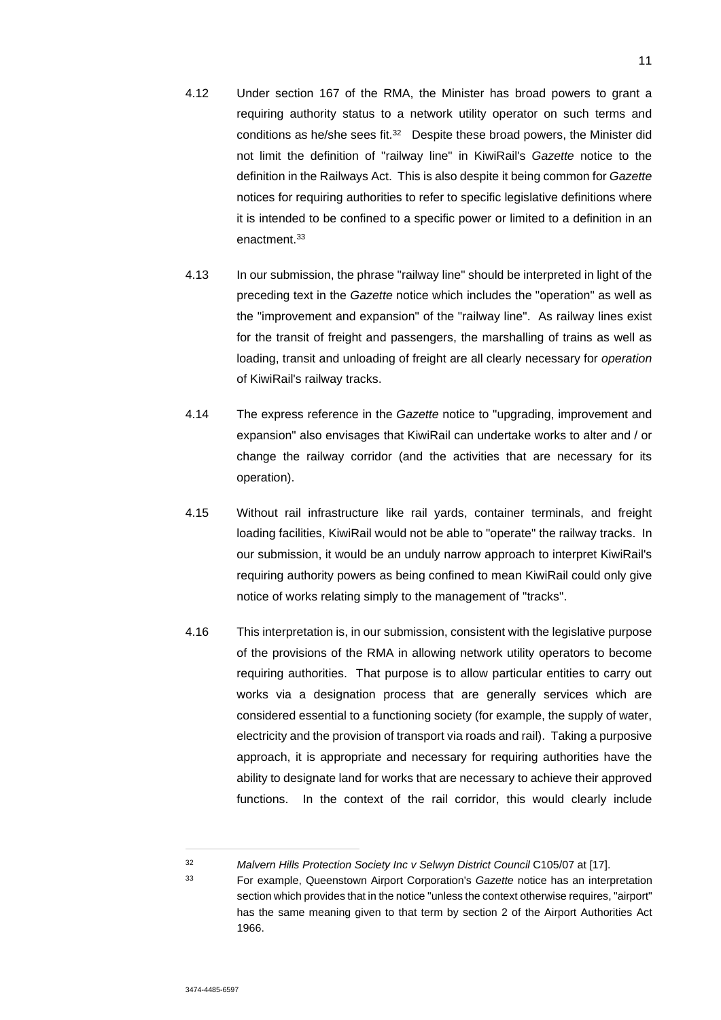- 4.12 Under section 167 of the RMA, the Minister has broad powers to grant a requiring authority status to a network utility operator on such terms and conditions as he/she sees fit.<sup>32</sup> Despite these broad powers, the Minister did not limit the definition of "railway line" in KiwiRail's *Gazette* notice to the definition in the Railways Act. This is also despite it being common for *Gazette*  notices for requiring authorities to refer to specific legislative definitions where it is intended to be confined to a specific power or limited to a definition in an enactment.<sup>33</sup>
- 4.13 In our submission, the phrase "railway line" should be interpreted in light of the preceding text in the *Gazette* notice which includes the "operation" as well as the "improvement and expansion" of the "railway line". As railway lines exist for the transit of freight and passengers, the marshalling of trains as well as loading, transit and unloading of freight are all clearly necessary for *operation* of KiwiRail's railway tracks.
- 4.14 The express reference in the *Gazette* notice to "upgrading, improvement and expansion" also envisages that KiwiRail can undertake works to alter and / or change the railway corridor (and the activities that are necessary for its operation).
- 4.15 Without rail infrastructure like rail yards, container terminals, and freight loading facilities, KiwiRail would not be able to "operate" the railway tracks. In our submission, it would be an unduly narrow approach to interpret KiwiRail's requiring authority powers as being confined to mean KiwiRail could only give notice of works relating simply to the management of "tracks".
- 4.16 This interpretation is, in our submission, consistent with the legislative purpose of the provisions of the RMA in allowing network utility operators to become requiring authorities. That purpose is to allow particular entities to carry out works via a designation process that are generally services which are considered essential to a functioning society (for example, the supply of water, electricity and the provision of transport via roads and rail). Taking a purposive approach, it is appropriate and necessary for requiring authorities have the ability to designate land for works that are necessary to achieve their approved functions. In the context of the rail corridor, this would clearly include

<sup>&</sup>lt;sup>32</sup> *Malvern Hills Protection Society Inc v Selwyn District Council C105/07 at [17].* 

<sup>33</sup> For example, Queenstown Airport Corporation's *Gazette* notice has an interpretation section which provides that in the notice "unless the context otherwise requires, "airport" has the same meaning given to that term by section 2 of the Airport Authorities Act 1966.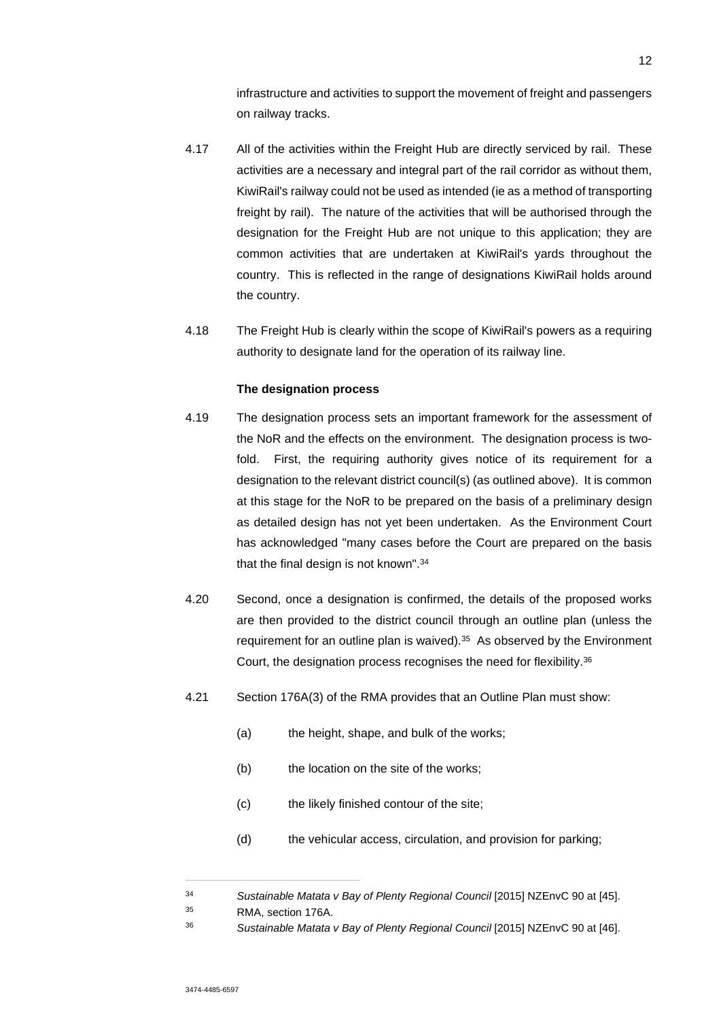infrastructure and activities to support the movement of freight and passengers on railway tracks.

- 4.17 All of the activities within the Freight Hub are directly serviced by rail. These activities are a necessary and integral part of the rail corridor as without them, KiwiRail's railway could not be used as intended (ie as a method of transporting freight by rail). The nature of the activities that will be authorised through the designation for the Freight Hub are not unique to this application; they are common activities that are undertaken at KiwiRail's yards throughout the country. This is reflected in the range of designations KiwiRail holds around the country.
- 4.18 The Freight Hub is clearly within the scope of KiwiRail's powers as a requiring authority to designate land for the operation of its railway line.

## **The designation process**

- 4.19 The designation process sets an important framework for the assessment of the NoR and the effects on the environment. The designation process is twofold. First, the requiring authority gives notice of its requirement for a designation to the relevant district council(s) (as outlined above). It is common at this stage for the NoR to be prepared on the basis of a preliminary design as detailed design has not yet been undertaken. As the Environment Court has acknowledged "many cases before the Court are prepared on the basis that the final design is not known".<sup>34</sup>
- 4.20 Second, once a designation is confirmed, the details of the proposed works are then provided to the district council through an outline plan (unless the requirement for an outline plan is waived).<sup>35</sup> As observed by the Environment Court, the designation process recognises the need for flexibility.<sup>36</sup>
- 4.21 Section 176A(3) of the RMA provides that an Outline Plan must show:
	- (a) the height, shape, and bulk of the works;
	- (b) the location on the site of the works;
	- (c) the likely finished contour of the site;
	- (d) the vehicular access, circulation, and provision for parking;

<sup>34</sup> *Sustainable Matata v Bay of Plenty Regional Council* [2015] NZEnvC 90 at [45].

<sup>35</sup> RMA, section 176A.

<sup>36</sup> *Sustainable Matata v Bay of Plenty Regional Council* [2015] NZEnvC 90 at [46].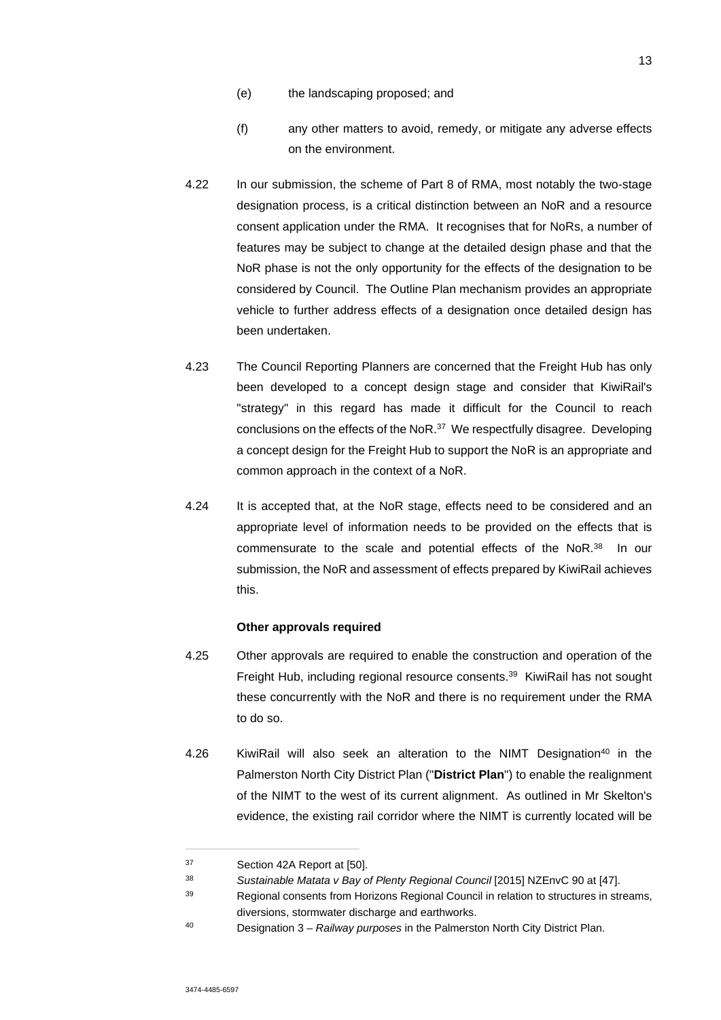- (e) the landscaping proposed; and
- (f) any other matters to avoid, remedy, or mitigate any adverse effects on the environment.
- 4.22 In our submission, the scheme of Part 8 of RMA, most notably the two-stage designation process, is a critical distinction between an NoR and a resource consent application under the RMA. It recognises that for NoRs, a number of features may be subject to change at the detailed design phase and that the NoR phase is not the only opportunity for the effects of the designation to be considered by Council. The Outline Plan mechanism provides an appropriate vehicle to further address effects of a designation once detailed design has been undertaken.
- 4.23 The Council Reporting Planners are concerned that the Freight Hub has only been developed to a concept design stage and consider that KiwiRail's "strategy" in this regard has made it difficult for the Council to reach conclusions on the effects of the NoR.<sup>37</sup> We respectfully disagree. Developing a concept design for the Freight Hub to support the NoR is an appropriate and common approach in the context of a NoR.
- 4.24 It is accepted that, at the NoR stage, effects need to be considered and an appropriate level of information needs to be provided on the effects that is commensurate to the scale and potential effects of the NoR.<sup>38</sup> In our submission, the NoR and assessment of effects prepared by KiwiRail achieves this.

### **Other approvals required**

- 4.25 Other approvals are required to enable the construction and operation of the Freight Hub, including regional resource consents.<sup>39</sup> KiwiRail has not sought these concurrently with the NoR and there is no requirement under the RMA to do so.
- 4.26 KiwiRail will also seek an alteration to the NIMT Designation<sup>40</sup> in the Palmerston North City District Plan ("**District Plan**") to enable the realignment of the NIMT to the west of its current alignment. As outlined in Mr Skelton's evidence, the existing rail corridor where the NIMT is currently located will be

<sup>37</sup> Section 42A Report at [50].

<sup>38</sup> *Sustainable Matata v Bay of Plenty Regional Council* [2015] NZEnvC 90 at [47].

<sup>39</sup> Regional consents from Horizons Regional Council in relation to structures in streams, diversions, stormwater discharge and earthworks.

<sup>40</sup> Designation 3 – *Railway purposes* in the Palmerston North City District Plan.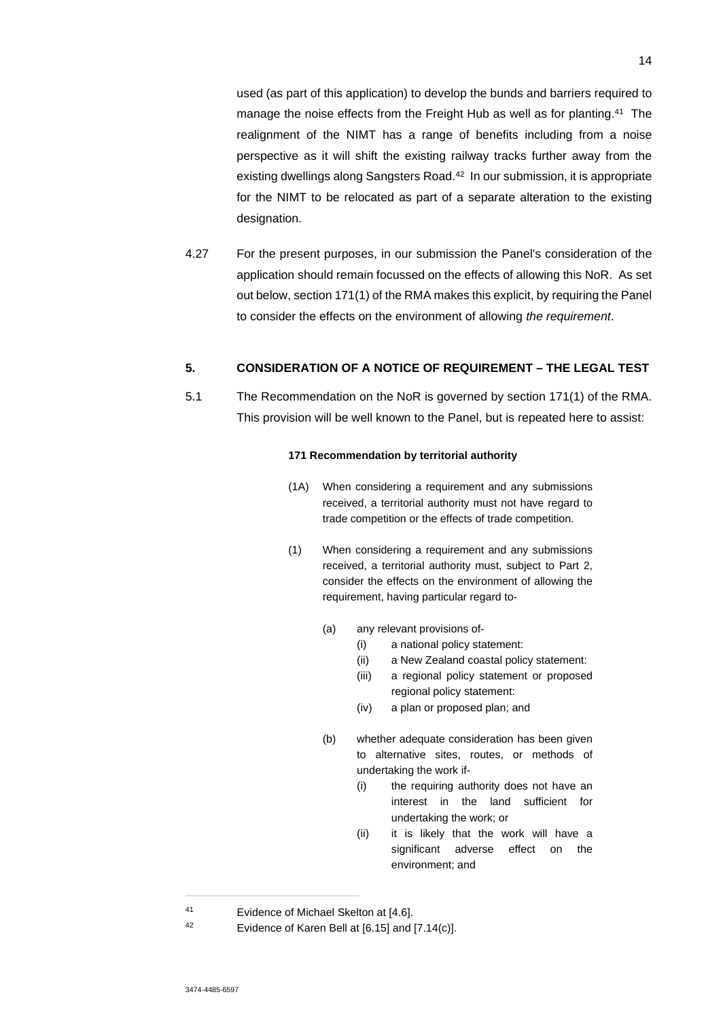used (as part of this application) to develop the bunds and barriers required to manage the noise effects from the Freight Hub as well as for planting.<sup>41</sup> The realignment of the NIMT has a range of benefits including from a noise perspective as it will shift the existing railway tracks further away from the existing dwellings along Sangsters Road.<sup>42</sup> In our submission, it is appropriate for the NIMT to be relocated as part of a separate alteration to the existing designation.

4.27 For the present purposes, in our submission the Panel's consideration of the application should remain focussed on the effects of allowing this NoR. As set out below, section 171(1) of the RMA makes this explicit, by requiring the Panel to consider the effects on the environment of allowing *the requirement*.

## **5. CONSIDERATION OF A NOTICE OF REQUIREMENT – THE LEGAL TEST**

5.1 The Recommendation on the NoR is governed by section 171(1) of the RMA. This provision will be well known to the Panel, but is repeated here to assist:

#### **171 Recommendation by territorial authority**

- (1A) When considering a requirement and any submissions received, a territorial authority must not have regard to trade competition or the effects of trade competition.
- (1) When considering a requirement and any submissions received, a territorial authority must, subject to Part 2, consider the effects on the environment of allowing the requirement, having particular regard to-
	- (a) any relevant provisions of-
		- (i) a national policy statement:
		- (ii) a New Zealand coastal policy statement:
		- (iii) a regional policy statement or proposed regional policy statement:
		- (iv) a plan or proposed plan; and
	- (b) whether adequate consideration has been given to alternative sites, routes, or methods of undertaking the work if-
		- (i) the requiring authority does not have an interest in the land sufficient for undertaking the work; or
		- (ii) it is likely that the work will have a significant adverse effect on the environment; and

<sup>41</sup> Evidence of Michael Skelton at [4.6].

<sup>42</sup> Evidence of Karen Bell at [6.15] and [7.14(c)].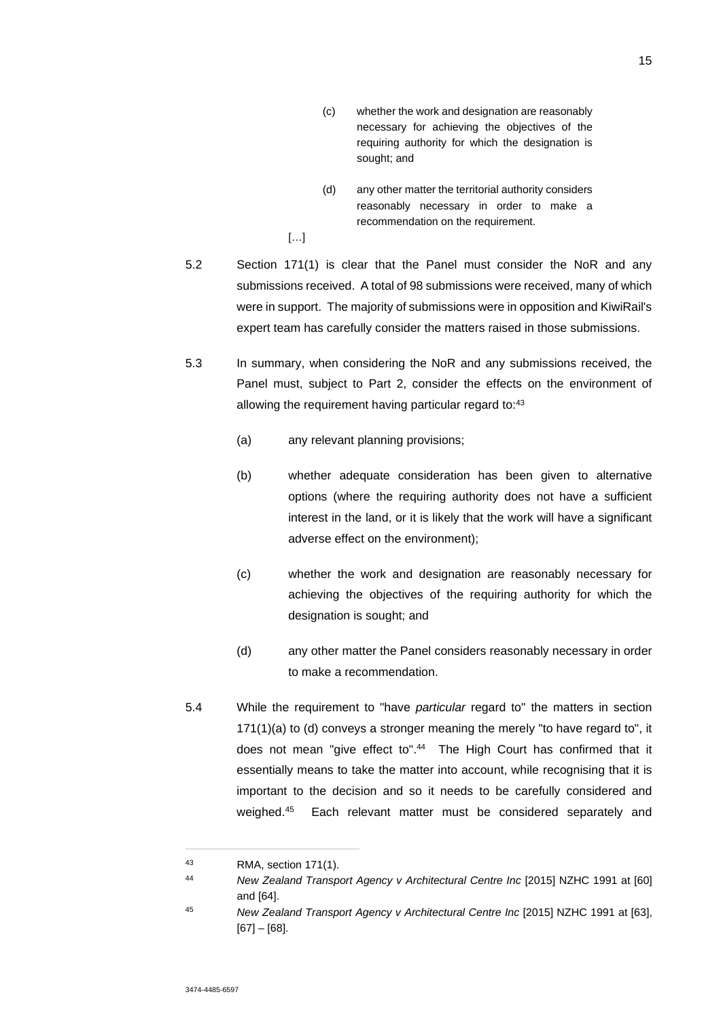- (c) whether the work and designation are reasonably necessary for achieving the objectives of the requiring authority for which the designation is sought; and
- (d) any other matter the territorial authority considers reasonably necessary in order to make a recommendation on the requirement.

[…]

- 5.2 Section 171(1) is clear that the Panel must consider the NoR and any submissions received. A total of 98 submissions were received, many of which were in support. The majority of submissions were in opposition and KiwiRail's expert team has carefully consider the matters raised in those submissions.
- 5.3 In summary, when considering the NoR and any submissions received, the Panel must, subject to Part 2, consider the effects on the environment of allowing the requirement having particular regard to:<sup>43</sup>
	- (a) any relevant planning provisions;
	- (b) whether adequate consideration has been given to alternative options (where the requiring authority does not have a sufficient interest in the land, or it is likely that the work will have a significant adverse effect on the environment);
	- (c) whether the work and designation are reasonably necessary for achieving the objectives of the requiring authority for which the designation is sought; and
	- (d) any other matter the Panel considers reasonably necessary in order to make a recommendation.
- 5.4 While the requirement to "have *particular* regard to" the matters in section 171(1)(a) to (d) conveys a stronger meaning the merely "to have regard to", it does not mean "give effect to".<sup>44</sup> The High Court has confirmed that it essentially means to take the matter into account, while recognising that it is important to the decision and so it needs to be carefully considered and weighed.<sup>45</sup> Each relevant matter must be considered separately and

<sup>43</sup> RMA, section 171(1).

<sup>44</sup> *New Zealand Transport Agency v Architectural Centre Inc* [2015] NZHC 1991 at [60] and [64].

<sup>45</sup> *New Zealand Transport Agency v Architectural Centre Inc* [2015] NZHC 1991 at [63], [67] – [68].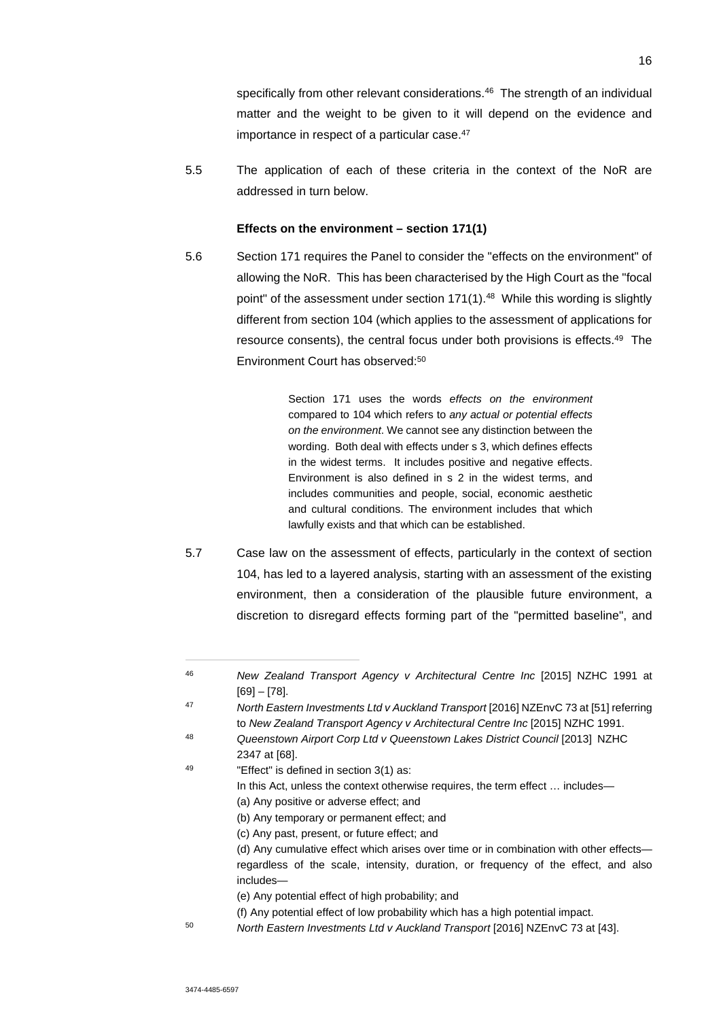specifically from other relevant considerations.<sup>46</sup> The strength of an individual matter and the weight to be given to it will depend on the evidence and importance in respect of a particular case.<sup>47</sup>

5.5 The application of each of these criteria in the context of the NoR are addressed in turn below.

#### **Effects on the environment – section 171(1)**

5.6 Section 171 requires the Panel to consider the "effects on the environment" of allowing the NoR. This has been characterised by the High Court as the "focal point" of the assessment under section 171(1).<sup>48</sup> While this wording is slightly different from section 104 (which applies to the assessment of applications for resource consents), the central focus under both provisions is effects.<sup>49</sup> The Environment Court has observed:<sup>50</sup>

> Section 171 uses the words *effects on the environment* compared to 104 which refers to *any actual or potential effects on the environment*. We cannot see any distinction between the wording. Both deal with effects under s 3, which defines effects in the widest terms. It includes positive and negative effects. Environment is also defined in s 2 in the widest terms, and includes communities and people, social, economic aesthetic and cultural conditions. The environment includes that which lawfully exists and that which can be established.

5.7 Case law on the assessment of effects, particularly in the context of section 104, has led to a layered analysis, starting with an assessment of the existing environment, then a consideration of the plausible future environment, a discretion to disregard effects forming part of the "permitted baseline", and

- In this Act, unless the context otherwise requires, the term effect … includes— (a) Any positive or adverse effect; and
	- (b) Any temporary or permanent effect; and
	- (c) Any past, present, or future effect; and

- (e) Any potential effect of high probability; and
- (f) Any potential effect of low probability which has a high potential impact.
- <sup>50</sup> *North Eastern Investments Ltd v Auckland Transport* [2016] NZEnvC 73 at [43].

<sup>46</sup> *New Zealand Transport Agency v Architectural Centre Inc* [2015] NZHC 1991 at [69] – [78].

<sup>47</sup> *North Eastern Investments Ltd v Auckland Transport* [2016] NZEnvC 73 at [51] referring to *New Zealand Transport Agency v Architectural Centre Inc* [2015] NZHC 1991.

<sup>48</sup> *Queenstown Airport Corp Ltd v Queenstown Lakes District Council* [2013] NZHC 2347 at [68].

<sup>49 &</sup>quot;Effect" is defined in section 3(1) as:

<sup>(</sup>d) Any cumulative effect which arises over time or in combination with other effects regardless of the scale, intensity, duration, or frequency of the effect, and also includes—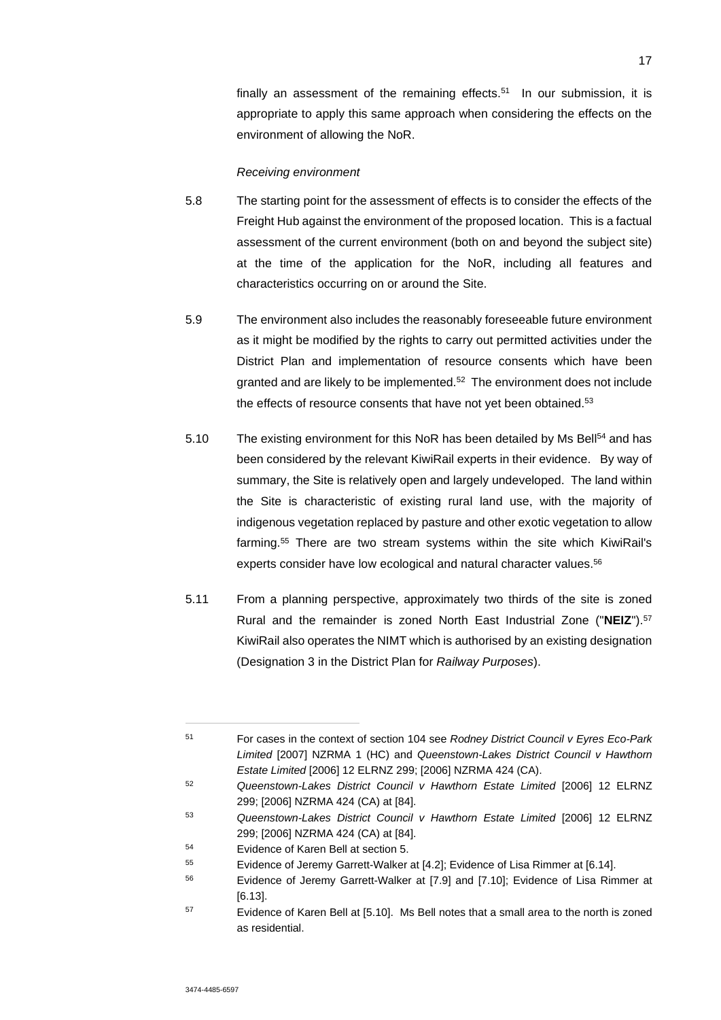finally an assessment of the remaining effects.<sup>51</sup> In our submission, it is appropriate to apply this same approach when considering the effects on the environment of allowing the NoR.

#### *Receiving environment*

- 5.8 The starting point for the assessment of effects is to consider the effects of the Freight Hub against the environment of the proposed location. This is a factual assessment of the current environment (both on and beyond the subject site) at the time of the application for the NoR, including all features and characteristics occurring on or around the Site.
- 5.9 The environment also includes the reasonably foreseeable future environment as it might be modified by the rights to carry out permitted activities under the District Plan and implementation of resource consents which have been granted and are likely to be implemented.<sup>52</sup> The environment does not include the effects of resource consents that have not yet been obtained.<sup>53</sup>
- 5.10 The existing environment for this NoR has been detailed by Ms Bell<sup>54</sup> and has been considered by the relevant KiwiRail experts in their evidence. By way of summary, the Site is relatively open and largely undeveloped. The land within the Site is characteristic of existing rural land use, with the majority of indigenous vegetation replaced by pasture and other exotic vegetation to allow farming.<sup>55</sup> There are two stream systems within the site which KiwiRail's experts consider have low ecological and natural character values.<sup>56</sup>
- 5.11 From a planning perspective, approximately two thirds of the site is zoned Rural and the remainder is zoned North East Industrial Zone ("**NEIZ**").<sup>57</sup> KiwiRail also operates the NIMT which is authorised by an existing designation (Designation 3 in the District Plan for *Railway Purposes*).

<sup>51</sup> For cases in the context of section 104 see *Rodney District Council v Eyres Eco-Park Limited* [2007] NZRMA 1 (HC) and *Queenstown-Lakes District Council v Hawthorn Estate Limited* [2006] 12 ELRNZ 299; [2006] NZRMA 424 (CA).

<sup>52</sup> *Queenstown-Lakes District Council v Hawthorn Estate Limited* [2006] 12 ELRNZ 299; [2006] NZRMA 424 (CA) at [84].

<sup>53</sup> *Queenstown-Lakes District Council v Hawthorn Estate Limited* [2006] 12 ELRNZ 299; [2006] NZRMA 424 (CA) at [84].

<sup>54</sup> Evidence of Karen Bell at section 5.

<sup>55</sup> Evidence of Jeremy Garrett-Walker at [4.2]; Evidence of Lisa Rimmer at [6.14].

<sup>56</sup> Evidence of Jeremy Garrett-Walker at [7.9] and [7.10]; Evidence of Lisa Rimmer at [6.13].

<sup>57</sup> Evidence of Karen Bell at [5.10]. Ms Bell notes that a small area to the north is zoned as residential.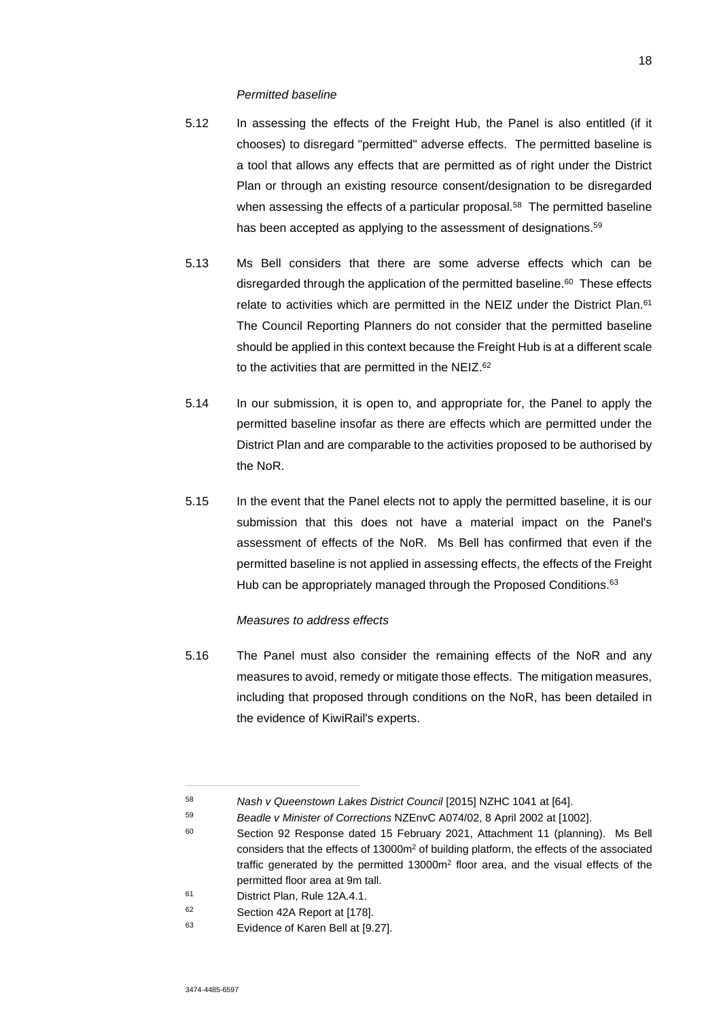#### *Permitted baseline*

- 5.12 In assessing the effects of the Freight Hub, the Panel is also entitled (if it chooses) to disregard "permitted" adverse effects. The permitted baseline is a tool that allows any effects that are permitted as of right under the District Plan or through an existing resource consent/designation to be disregarded when assessing the effects of a particular proposal.<sup>58</sup> The permitted baseline has been accepted as applying to the assessment of designations.<sup>59</sup>
- 5.13 Ms Bell considers that there are some adverse effects which can be disregarded through the application of the permitted baseline.<sup>60</sup> These effects relate to activities which are permitted in the NEIZ under the District Plan.<sup>61</sup> The Council Reporting Planners do not consider that the permitted baseline should be applied in this context because the Freight Hub is at a different scale to the activities that are permitted in the NEIZ.<sup>62</sup>
- 5.14 In our submission, it is open to, and appropriate for, the Panel to apply the permitted baseline insofar as there are effects which are permitted under the District Plan and are comparable to the activities proposed to be authorised by the NoR.
- 5.15 In the event that the Panel elects not to apply the permitted baseline, it is our submission that this does not have a material impact on the Panel's assessment of effects of the NoR. Ms Bell has confirmed that even if the permitted baseline is not applied in assessing effects, the effects of the Freight Hub can be appropriately managed through the Proposed Conditions.<sup>63</sup>

### *Measures to address effects*

5.16 The Panel must also consider the remaining effects of the NoR and any measures to avoid, remedy or mitigate those effects. The mitigation measures, including that proposed through conditions on the NoR, has been detailed in the evidence of KiwiRail's experts.

<sup>58</sup> *Nash v Queenstown Lakes District Council* [2015] NZHC 1041 at [64].

<sup>59</sup> *Beadle v Minister of Corrections* NZEnvC A074/02, 8 April 2002 at [1002].

<sup>60</sup> Section 92 Response dated 15 February 2021, Attachment 11 (planning). Ms Bell considers that the effects of  $13000m^2$  of building platform, the effects of the associated traffic generated by the permitted  $13000m^2$  floor area, and the visual effects of the permitted floor area at 9m tall.

<sup>61</sup> District Plan, Rule 12A.4.1.

<sup>62</sup> Section 42A Report at [178].

<sup>63</sup> Evidence of Karen Bell at [9.27].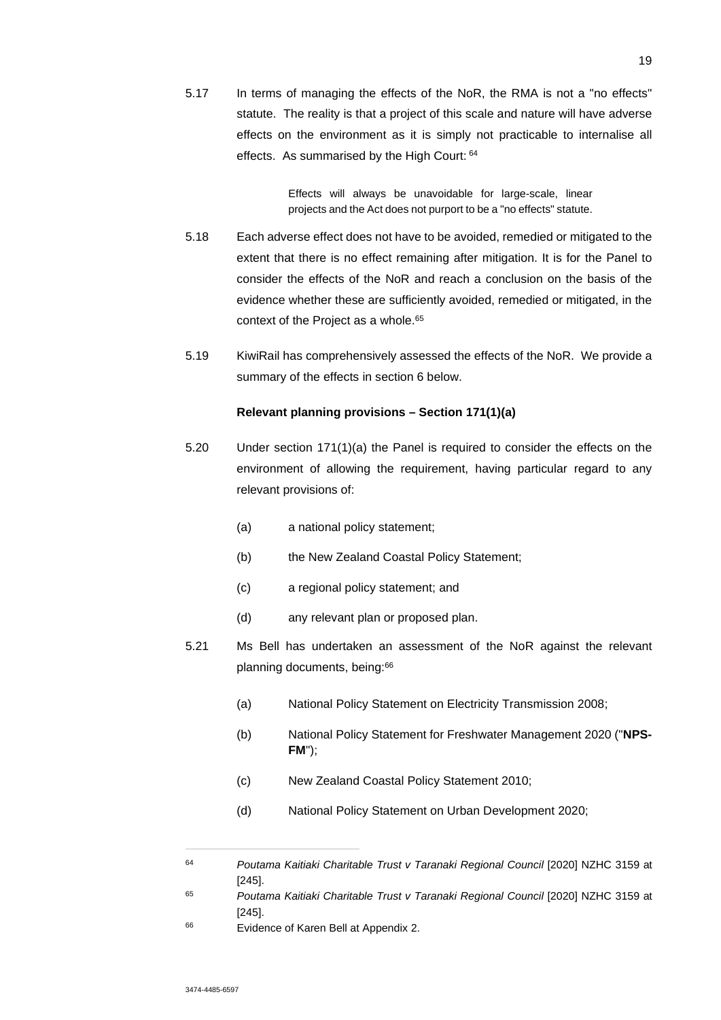5.17 In terms of managing the effects of the NoR, the RMA is not a "no effects" statute. The reality is that a project of this scale and nature will have adverse effects on the environment as it is simply not practicable to internalise all effects. As summarised by the High Court: 64

> Effects will always be unavoidable for large-scale, linear projects and the Act does not purport to be a "no effects" statute.

- 5.18 Each adverse effect does not have to be avoided, remedied or mitigated to the extent that there is no effect remaining after mitigation. It is for the Panel to consider the effects of the NoR and reach a conclusion on the basis of the evidence whether these are sufficiently avoided, remedied or mitigated, in the context of the Project as a whole.<sup>65</sup>
- 5.19 KiwiRail has comprehensively assessed the effects of the NoR. We provide a summary of the effects in section 6 below.

## **Relevant planning provisions – Section 171(1)(a)**

- 5.20 Under section 171(1)(a) the Panel is required to consider the effects on the environment of allowing the requirement, having particular regard to any relevant provisions of:
	- (a) a national policy statement;
	- (b) the New Zealand Coastal Policy Statement;
	- (c) a regional policy statement; and
	- (d) any relevant plan or proposed plan.
- 5.21 Ms Bell has undertaken an assessment of the NoR against the relevant planning documents, being:<sup>66</sup>
	- (a) National Policy Statement on Electricity Transmission 2008;
	- (b) National Policy Statement for Freshwater Management 2020 ("**NPS-FM**");
	- (c) New Zealand Coastal Policy Statement 2010;
	- (d) National Policy Statement on Urban Development 2020;

<sup>64</sup> *Poutama Kaitiaki Charitable Trust v Taranaki Regional Council* [2020] NZHC 3159 at [245].

<sup>65</sup> *Poutama Kaitiaki Charitable Trust v Taranaki Regional Council* [2020] NZHC 3159 at [245].

<sup>66</sup> Evidence of Karen Bell at Appendix 2.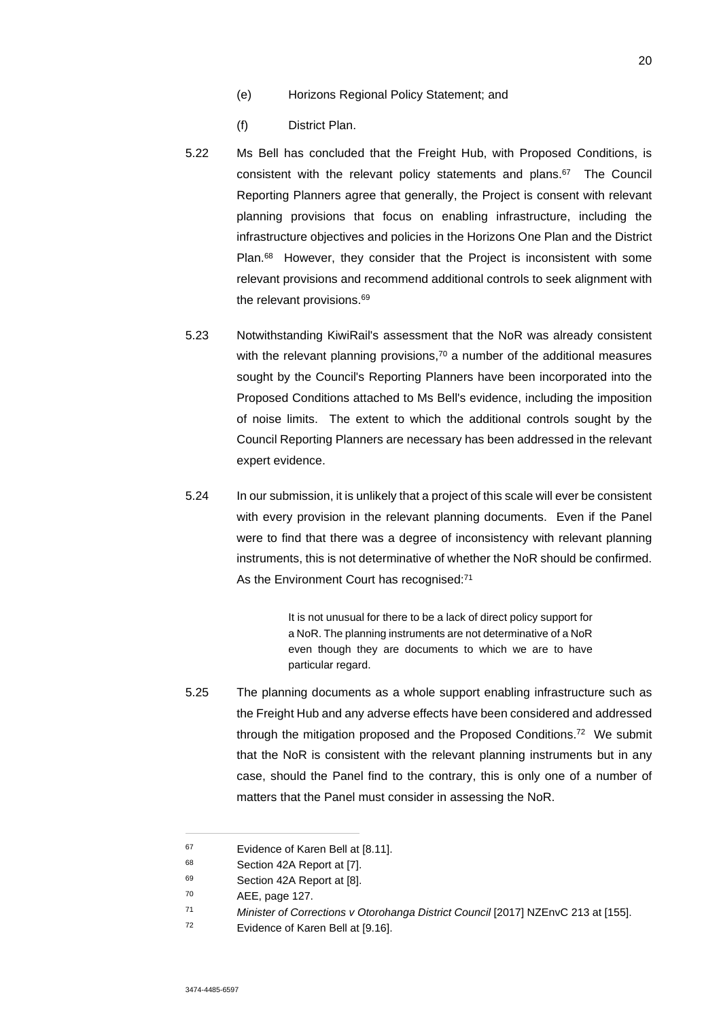- (e) Horizons Regional Policy Statement; and
- (f) District Plan.
- 5.22 Ms Bell has concluded that the Freight Hub, with Proposed Conditions, is consistent with the relevant policy statements and plans.<sup>67</sup> The Council Reporting Planners agree that generally, the Project is consent with relevant planning provisions that focus on enabling infrastructure, including the infrastructure objectives and policies in the Horizons One Plan and the District Plan.<sup>68</sup> However, they consider that the Project is inconsistent with some relevant provisions and recommend additional controls to seek alignment with the relevant provisions.<sup>69</sup>
- 5.23 Notwithstanding KiwiRail's assessment that the NoR was already consistent with the relevant planning provisions, $70$  a number of the additional measures sought by the Council's Reporting Planners have been incorporated into the Proposed Conditions attached to Ms Bell's evidence, including the imposition of noise limits. The extent to which the additional controls sought by the Council Reporting Planners are necessary has been addressed in the relevant expert evidence.
- 5.24 In our submission, it is unlikely that a project of this scale will ever be consistent with every provision in the relevant planning documents. Even if the Panel were to find that there was a degree of inconsistency with relevant planning instruments, this is not determinative of whether the NoR should be confirmed. As the Environment Court has recognised:<sup>71</sup>

It is not unusual for there to be a lack of direct policy support for a NoR. The planning instruments are not determinative of a NoR even though they are documents to which we are to have particular regard.

5.25 The planning documents as a whole support enabling infrastructure such as the Freight Hub and any adverse effects have been considered and addressed through the mitigation proposed and the Proposed Conditions.<sup>72</sup> We submit that the NoR is consistent with the relevant planning instruments but in any case, should the Panel find to the contrary, this is only one of a number of matters that the Panel must consider in assessing the NoR.

<sup>71</sup> *Minister of Corrections v Otorohanga District Council* [2017] NZEnvC 213 at [155].

<sup>67</sup> Evidence of Karen Bell at [8.11].

<sup>68</sup> Section 42A Report at [7].

<sup>69</sup> Section 42A Report at [8].

<sup>70</sup> AEE, page 127.

<sup>72</sup> Evidence of Karen Bell at [9.16].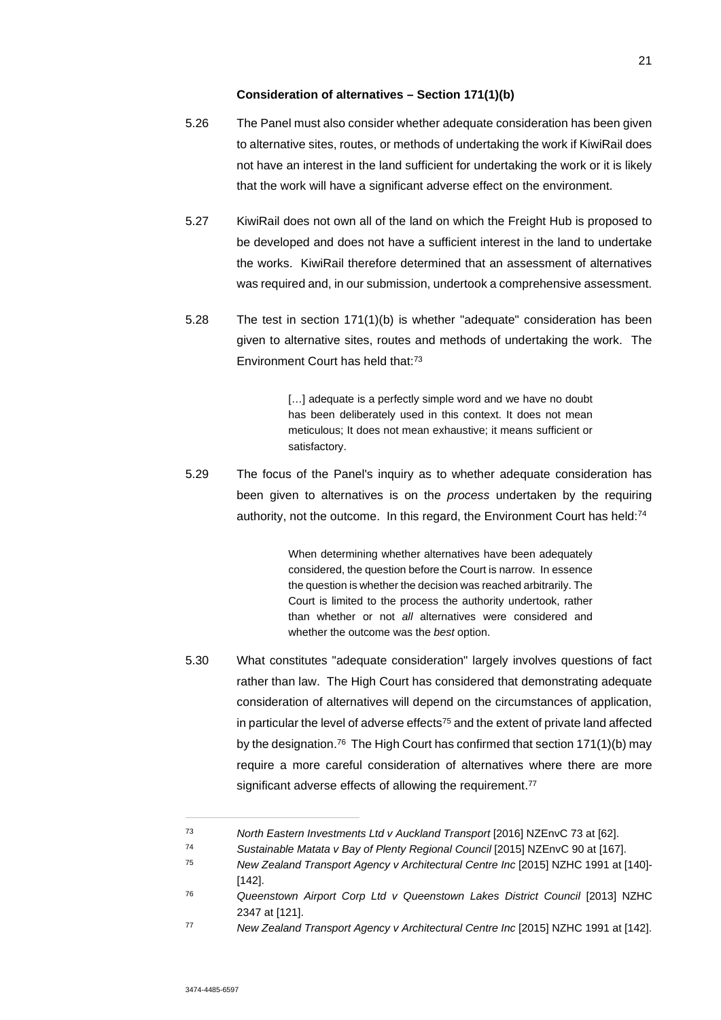#### **Consideration of alternatives – Section 171(1)(b)**

- 5.26 The Panel must also consider whether adequate consideration has been given to alternative sites, routes, or methods of undertaking the work if KiwiRail does not have an interest in the land sufficient for undertaking the work or it is likely that the work will have a significant adverse effect on the environment.
- 5.27 KiwiRail does not own all of the land on which the Freight Hub is proposed to be developed and does not have a sufficient interest in the land to undertake the works. KiwiRail therefore determined that an assessment of alternatives was required and, in our submission, undertook a comprehensive assessment.
- 5.28 The test in section 171(1)(b) is whether "adequate" consideration has been given to alternative sites, routes and methods of undertaking the work. The Environment Court has held that:<sup>73</sup>

[...] adequate is a perfectly simple word and we have no doubt has been deliberately used in this context. It does not mean meticulous; It does not mean exhaustive; it means sufficient or satisfactory.

5.29 The focus of the Panel's inquiry as to whether adequate consideration has been given to alternatives is on the *process* undertaken by the requiring authority, not the outcome. In this regard, the Environment Court has held:<sup>74</sup>

> When determining whether alternatives have been adequately considered, the question before the Court is narrow. In essence the question is whether the decision was reached arbitrarily. The Court is limited to the process the authority undertook, rather than whether or not *all* alternatives were considered and whether the outcome was the *best* option.

5.30 What constitutes "adequate consideration" largely involves questions of fact rather than law. The High Court has considered that demonstrating adequate consideration of alternatives will depend on the circumstances of application, in particular the level of adverse effects $75$  and the extent of private land affected by the designation.<sup>76</sup> The High Court has confirmed that section 171(1)(b) may require a more careful consideration of alternatives where there are more significant adverse effects of allowing the requirement.<sup>77</sup>

<sup>73</sup> *North Eastern Investments Ltd v Auckland Transport* [2016] NZEnvC 73 at [62].

<sup>74</sup> *Sustainable Matata v Bay of Plenty Regional Council* [2015] NZEnvC 90 at [167].

<sup>75</sup> *New Zealand Transport Agency v Architectural Centre Inc* [2015] NZHC 1991 at [140]- [142].

<sup>76</sup> *Queenstown Airport Corp Ltd v Queenstown Lakes District Council* [2013] NZHC 2347 at [121].

<sup>77</sup> *New Zealand Transport Agency v Architectural Centre Inc* [2015] NZHC 1991 at [142].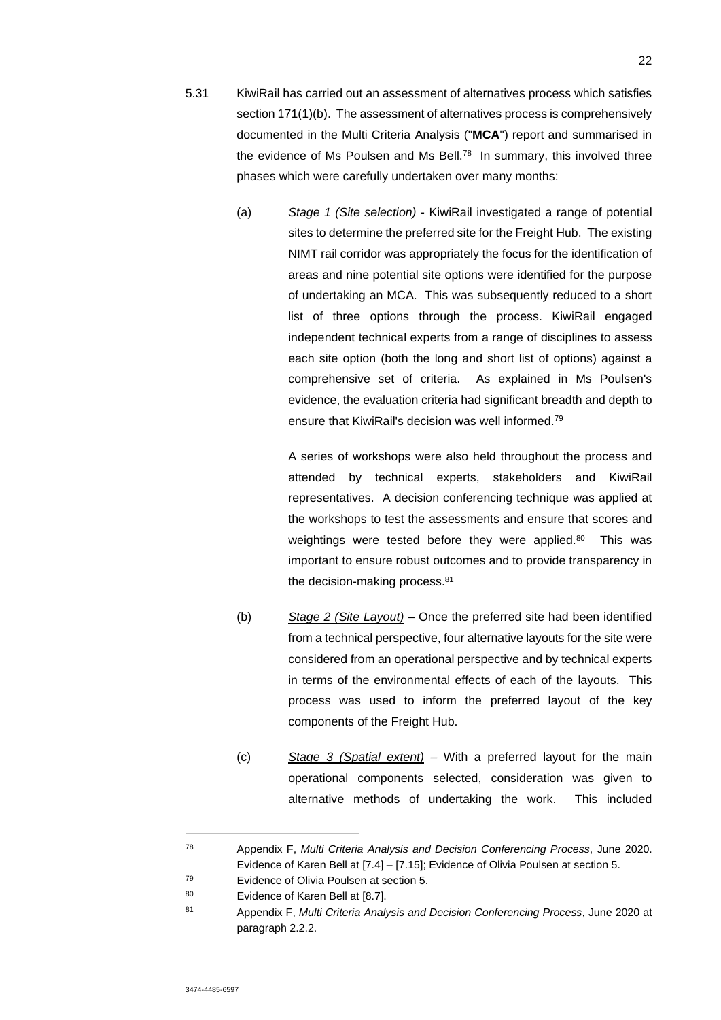- 5.31 KiwiRail has carried out an assessment of alternatives process which satisfies section 171(1)(b). The assessment of alternatives process is comprehensively documented in the Multi Criteria Analysis ("**MCA**") report and summarised in the evidence of Ms Poulsen and Ms Bell.<sup>78</sup> In summary, this involved three phases which were carefully undertaken over many months:
	- (a) *Stage 1 (Site selection)* KiwiRail investigated a range of potential sites to determine the preferred site for the Freight Hub. The existing NIMT rail corridor was appropriately the focus for the identification of areas and nine potential site options were identified for the purpose of undertaking an MCA. This was subsequently reduced to a short list of three options through the process. KiwiRail engaged independent technical experts from a range of disciplines to assess each site option (both the long and short list of options) against a comprehensive set of criteria. As explained in Ms Poulsen's evidence, the evaluation criteria had significant breadth and depth to ensure that KiwiRail's decision was well informed.<sup>79</sup>

A series of workshops were also held throughout the process and attended by technical experts, stakeholders and KiwiRail representatives. A decision conferencing technique was applied at the workshops to test the assessments and ensure that scores and weightings were tested before they were applied.<sup>80</sup> This was important to ensure robust outcomes and to provide transparency in the decision-making process.<sup>81</sup>

- (b) *Stage 2 (Site Layout)* Once the preferred site had been identified from a technical perspective, four alternative layouts for the site were considered from an operational perspective and by technical experts in terms of the environmental effects of each of the layouts. This process was used to inform the preferred layout of the key components of the Freight Hub.
- (c) *Stage 3 (Spatial extent)* With a preferred layout for the main operational components selected, consideration was given to alternative methods of undertaking the work. This included

<sup>78</sup> Appendix F, *Multi Criteria Analysis and Decision Conferencing Process*, June 2020. Evidence of Karen Bell at [7.4] – [7.15]; Evidence of Olivia Poulsen at section 5.

<sup>79</sup> Evidence of Olivia Poulsen at section 5.

<sup>80</sup> Evidence of Karen Bell at [8.7].

<sup>81</sup> Appendix F, *Multi Criteria Analysis and Decision Conferencing Process*, June 2020 at paragraph 2.2.2.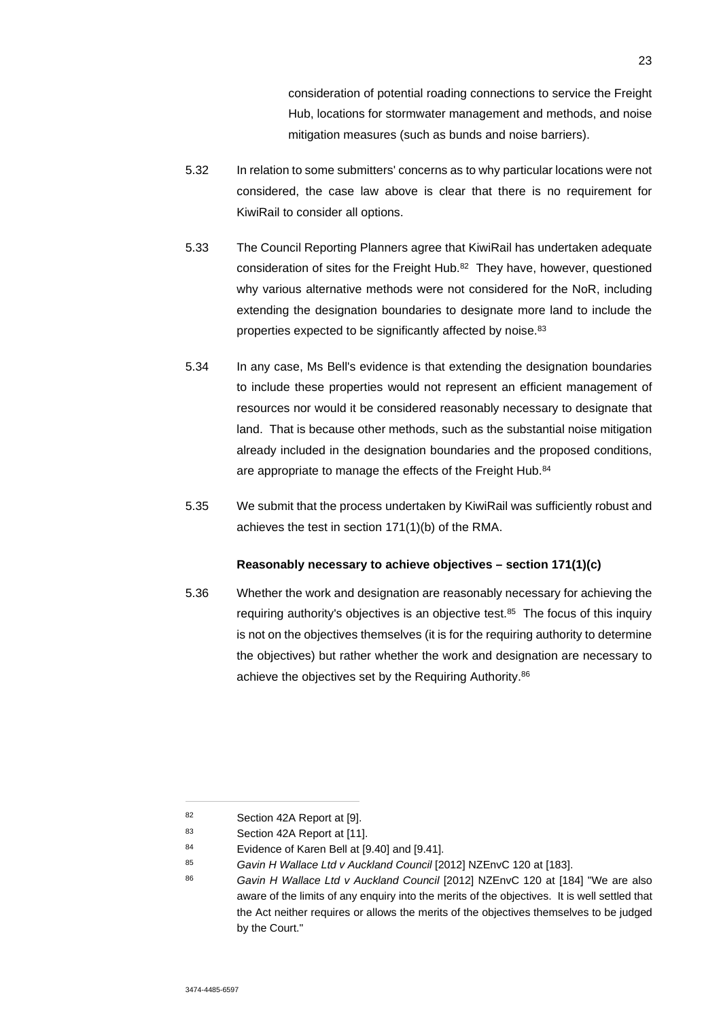consideration of potential roading connections to service the Freight Hub, locations for stormwater management and methods, and noise mitigation measures (such as bunds and noise barriers).

- 5.32 In relation to some submitters' concerns as to why particular locations were not considered, the case law above is clear that there is no requirement for KiwiRail to consider all options.
- 5.33 The Council Reporting Planners agree that KiwiRail has undertaken adequate consideration of sites for the Freight Hub.<sup>82</sup> They have, however, questioned why various alternative methods were not considered for the NoR, including extending the designation boundaries to designate more land to include the properties expected to be significantly affected by noise.<sup>83</sup>
- 5.34 In any case, Ms Bell's evidence is that extending the designation boundaries to include these properties would not represent an efficient management of resources nor would it be considered reasonably necessary to designate that land. That is because other methods, such as the substantial noise mitigation already included in the designation boundaries and the proposed conditions, are appropriate to manage the effects of the Freight Hub.<sup>84</sup>
- 5.35 We submit that the process undertaken by KiwiRail was sufficiently robust and achieves the test in section 171(1)(b) of the RMA.

### **Reasonably necessary to achieve objectives – section 171(1)(c)**

5.36 Whether the work and designation are reasonably necessary for achieving the requiring authority's objectives is an objective test.<sup>85</sup> The focus of this inquiry is not on the objectives themselves (it is for the requiring authority to determine the objectives) but rather whether the work and designation are necessary to achieve the objectives set by the Requiring Authority.<sup>86</sup>

<sup>82</sup> Section 42A Report at [9].

<sup>83</sup> Section 42A Report at [11].

<sup>84</sup> Evidence of Karen Bell at [9.40] and [9.41].

<sup>85</sup> *Gavin H Wallace Ltd v Auckland Council* [2012] NZEnvC 120 at [183].

<sup>86</sup> *Gavin H Wallace Ltd v Auckland Council* [2012] NZEnvC 120 at [184] "We are also aware of the limits of any enquiry into the merits of the objectives. It is well settled that the Act neither requires or allows the merits of the objectives themselves to be judged by the Court."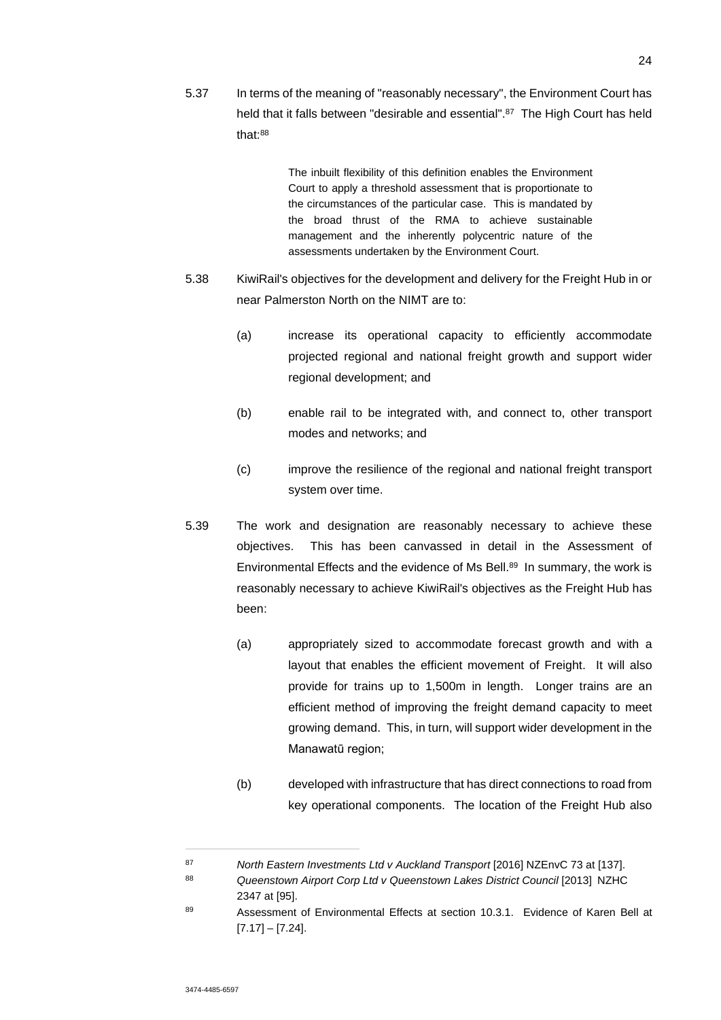5.37 In terms of the meaning of "reasonably necessary", the Environment Court has held that it falls between "desirable and essential".<sup>87</sup> The High Court has held that:<sup>88</sup>

> The inbuilt flexibility of this definition enables the Environment Court to apply a threshold assessment that is proportionate to the circumstances of the particular case. This is mandated by the broad thrust of the RMA to achieve sustainable management and the inherently polycentric nature of the assessments undertaken by the Environment Court.

- 5.38 KiwiRail's objectives for the development and delivery for the Freight Hub in or near Palmerston North on the NIMT are to:
	- (a) increase its operational capacity to efficiently accommodate projected regional and national freight growth and support wider regional development; and
	- (b) enable rail to be integrated with, and connect to, other transport modes and networks; and
	- (c) improve the resilience of the regional and national freight transport system over time.
- 5.39 The work and designation are reasonably necessary to achieve these objectives. This has been canvassed in detail in the Assessment of Environmental Effects and the evidence of Ms Bell.<sup>89</sup> In summary, the work is reasonably necessary to achieve KiwiRail's objectives as the Freight Hub has been:
	- (a) appropriately sized to accommodate forecast growth and with a layout that enables the efficient movement of Freight. It will also provide for trains up to 1,500m in length. Longer trains are an efficient method of improving the freight demand capacity to meet growing demand. This, in turn, will support wider development in the Manawatū region;
	- (b) developed with infrastructure that has direct connections to road from key operational components. The location of the Freight Hub also

<sup>87</sup> *North Eastern Investments Ltd v Auckland Transport* [2016] NZEnvC 73 at [137].

<sup>88</sup> *Queenstown Airport Corp Ltd v Queenstown Lakes District Council* [2013] NZHC 2347 at [95].

<sup>89</sup> Assessment of Environmental Effects at section 10.3.1. Evidence of Karen Bell at  $[7.17] - [7.24]$ .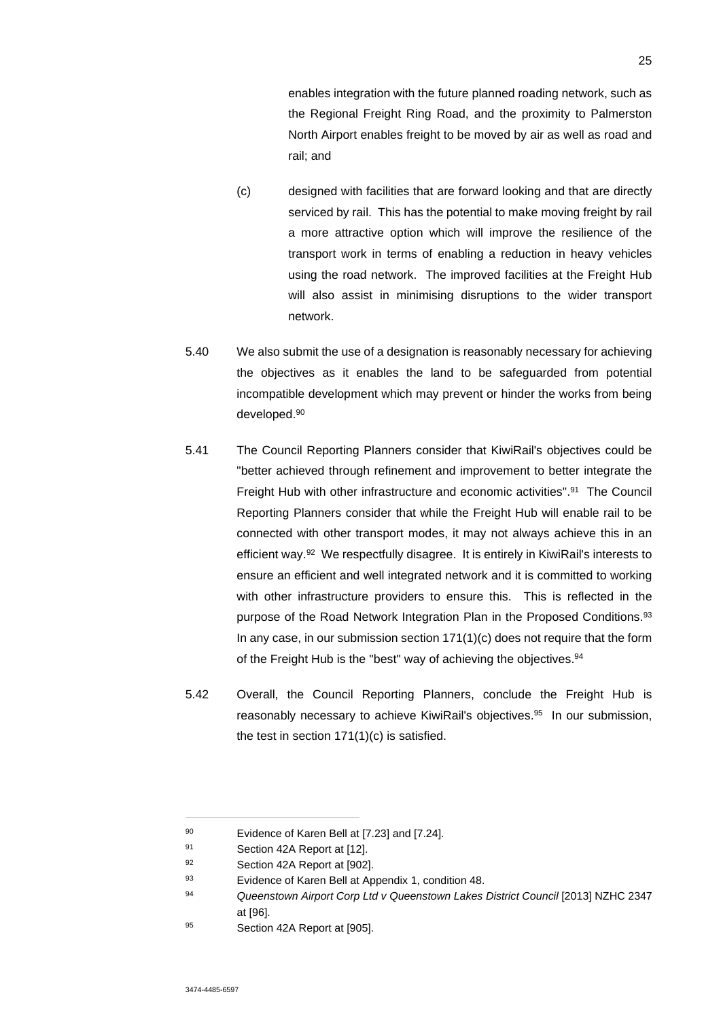enables integration with the future planned roading network, such as the Regional Freight Ring Road, and the proximity to Palmerston North Airport enables freight to be moved by air as well as road and rail; and

- (c) designed with facilities that are forward looking and that are directly serviced by rail. This has the potential to make moving freight by rail a more attractive option which will improve the resilience of the transport work in terms of enabling a reduction in heavy vehicles using the road network. The improved facilities at the Freight Hub will also assist in minimising disruptions to the wider transport network.
- 5.40 We also submit the use of a designation is reasonably necessary for achieving the objectives as it enables the land to be safeguarded from potential incompatible development which may prevent or hinder the works from being developed.<sup>90</sup>
- 5.41 The Council Reporting Planners consider that KiwiRail's objectives could be "better achieved through refinement and improvement to better integrate the Freight Hub with other infrastructure and economic activities".<sup>91</sup> The Council Reporting Planners consider that while the Freight Hub will enable rail to be connected with other transport modes, it may not always achieve this in an efficient way.<sup>92</sup> We respectfully disagree. It is entirely in KiwiRail's interests to ensure an efficient and well integrated network and it is committed to working with other infrastructure providers to ensure this. This is reflected in the purpose of the Road Network Integration Plan in the Proposed Conditions.<sup>93</sup> In any case, in our submission section 171(1)(c) does not require that the form of the Freight Hub is the "best" way of achieving the objectives.<sup>94</sup>
- 5.42 Overall, the Council Reporting Planners, conclude the Freight Hub is reasonably necessary to achieve KiwiRail's objectives.<sup>95</sup> In our submission, the test in section 171(1)(c) is satisfied.

<sup>90</sup> Evidence of Karen Bell at [7.23] and [7.24].

<sup>91</sup> Section 42A Report at [12].

<sup>92</sup> Section 42A Report at [902].

<sup>93</sup> Evidence of Karen Bell at Appendix 1, condition 48.

<sup>94</sup> *Queenstown Airport Corp Ltd v Queenstown Lakes District Council* [2013] NZHC 2347 at [96].

<sup>95</sup> Section 42A Report at [905].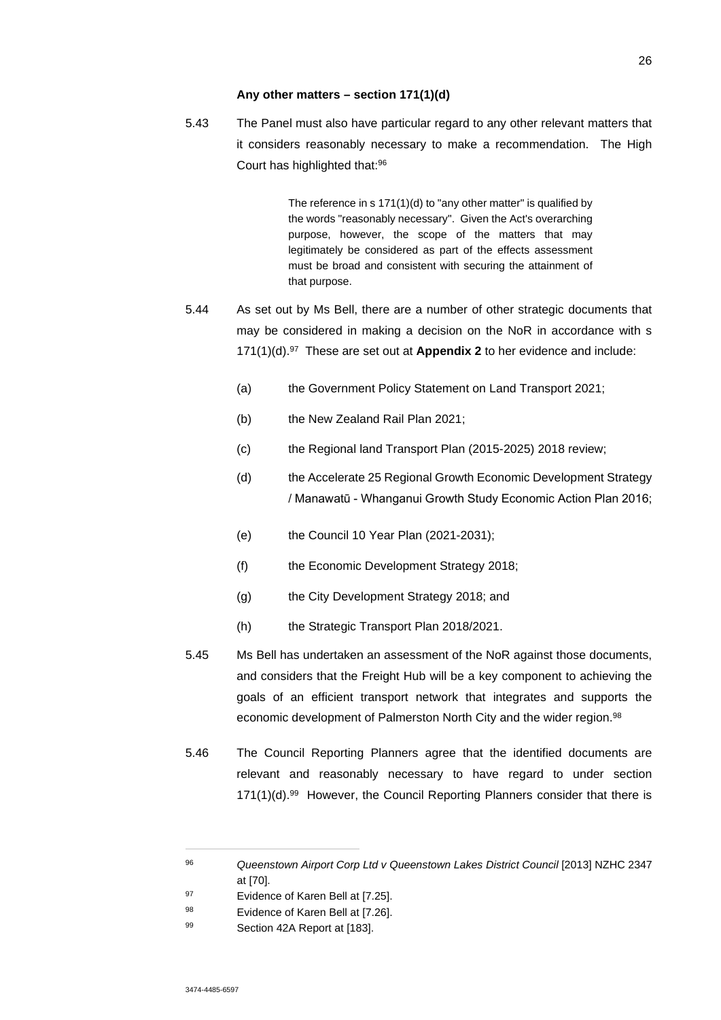#### **Any other matters – section 171(1)(d)**

5.43 The Panel must also have particular regard to any other relevant matters that it considers reasonably necessary to make a recommendation. The High Court has highlighted that:<sup>96</sup>

> The reference in s 171(1)(d) to "any other matter" is qualified by the words "reasonably necessary". Given the Act's overarching purpose, however, the scope of the matters that may legitimately be considered as part of the effects assessment must be broad and consistent with securing the attainment of that purpose.

- 5.44 As set out by Ms Bell, there are a number of other strategic documents that may be considered in making a decision on the NoR in accordance with s 171(1)(d).<sup>97</sup> These are set out at **Appendix 2** to her evidence and include:
	- (a) the Government Policy Statement on Land Transport 2021;
	- (b) the New Zealand Rail Plan 2021;
	- (c) the Regional land Transport Plan (2015-2025) 2018 review;
	- (d) the Accelerate 25 Regional Growth Economic Development Strategy / Manawatū - Whanganui Growth Study Economic Action Plan 2016;
	- (e) the Council 10 Year Plan (2021-2031);
	- (f) the Economic Development Strategy 2018;
	- (g) the City Development Strategy 2018; and
	- (h) the Strategic Transport Plan 2018/2021.
- 5.45 Ms Bell has undertaken an assessment of the NoR against those documents, and considers that the Freight Hub will be a key component to achieving the goals of an efficient transport network that integrates and supports the economic development of Palmerston North City and the wider region.<sup>98</sup>
- 5.46 The Council Reporting Planners agree that the identified documents are relevant and reasonably necessary to have regard to under section 171(1)(d).<sup>99</sup> However, the Council Reporting Planners consider that there is

<sup>&</sup>lt;sup>96</sup> Queenstown Airport Corp Ltd v Queenstown Lakes District Council [2013] NZHC 2347 at [70].

<sup>97</sup> Evidence of Karen Bell at [7.25].

<sup>98</sup> Evidence of Karen Bell at [7.26].

<sup>99</sup> Section 42A Report at [183].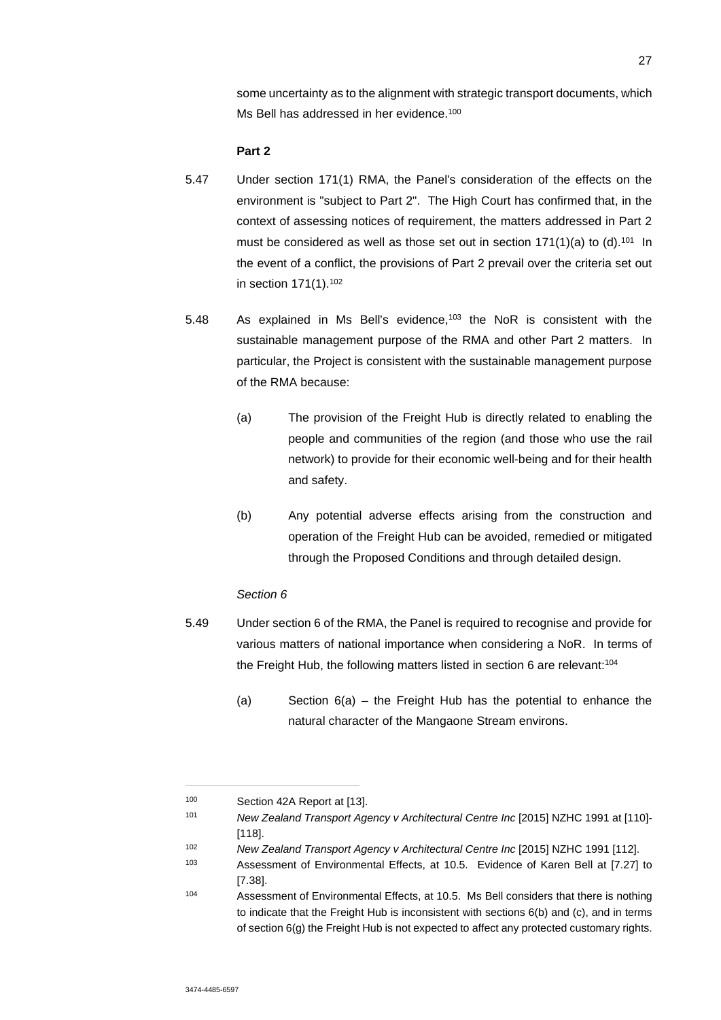some uncertainty as to the alignment with strategic transport documents, which Ms Bell has addressed in her evidence.<sup>100</sup>

#### **Part 2**

- 5.47 Under section 171(1) RMA, the Panel's consideration of the effects on the environment is "subject to Part 2". The High Court has confirmed that, in the context of assessing notices of requirement, the matters addressed in Part 2 must be considered as well as those set out in section  $171(1)(a)$  to  $(d)$ .<sup>101</sup> In the event of a conflict, the provisions of Part 2 prevail over the criteria set out in section 171(1).<sup>102</sup>
- 5.48 As explained in Ms Bell's evidence,<sup>103</sup> the NoR is consistent with the sustainable management purpose of the RMA and other Part 2 matters. In particular, the Project is consistent with the sustainable management purpose of the RMA because:
	- (a) The provision of the Freight Hub is directly related to enabling the people and communities of the region (and those who use the rail network) to provide for their economic well-being and for their health and safety.
	- (b) Any potential adverse effects arising from the construction and operation of the Freight Hub can be avoided, remedied or mitigated through the Proposed Conditions and through detailed design.

#### *Section 6*

- 5.49 Under section 6 of the RMA, the Panel is required to recognise and provide for various matters of national importance when considering a NoR. In terms of the Freight Hub, the following matters listed in section 6 are relevant:<sup>104</sup>
	- (a) Section 6(a) the Freight Hub has the potential to enhance the natural character of the Mangaone Stream environs.

<sup>100</sup> Section 42A Report at [13].

<sup>101</sup> *New Zealand Transport Agency v Architectural Centre Inc* [2015] NZHC 1991 at [110]- [118]

<sup>102</sup> *New Zealand Transport Agency v Architectural Centre Inc* [2015] NZHC 1991 [112].

<sup>103</sup> Assessment of Environmental Effects, at 10.5. Evidence of Karen Bell at [7.27] to [7.38].

<sup>104</sup> Assessment of Environmental Effects, at 10.5. Ms Bell considers that there is nothing to indicate that the Freight Hub is inconsistent with sections 6(b) and (c), and in terms of section 6(g) the Freight Hub is not expected to affect any protected customary rights.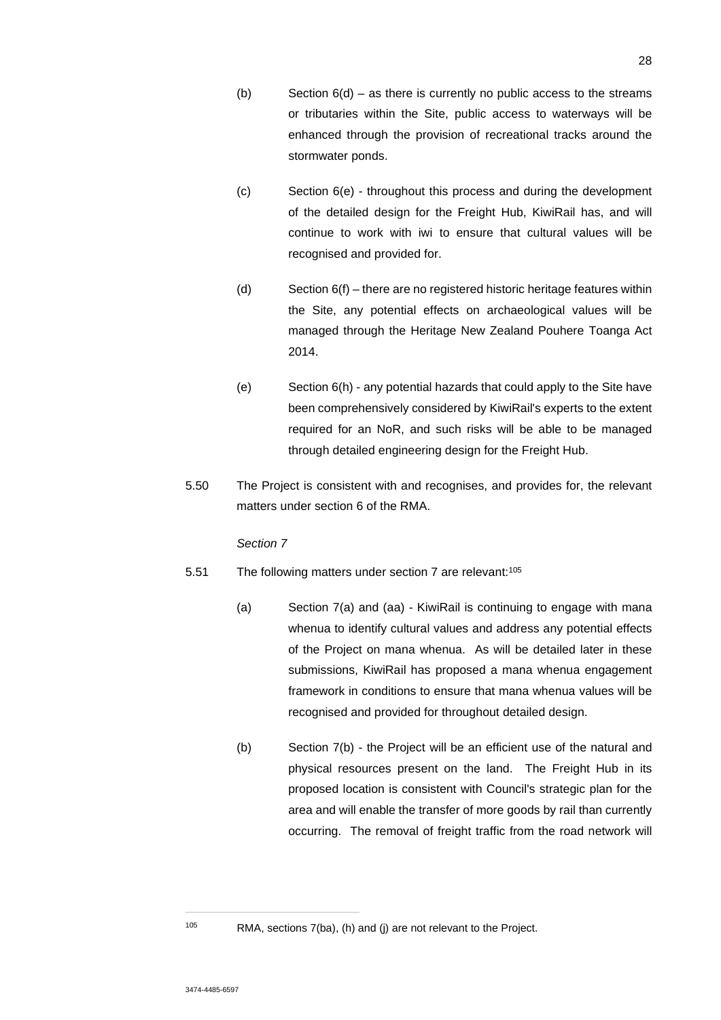- (b) Section  $6(d)$  as there is currently no public access to the streams or tributaries within the Site, public access to waterways will be enhanced through the provision of recreational tracks around the stormwater ponds.
- (c) Section 6(e) throughout this process and during the development of the detailed design for the Freight Hub, KiwiRail has, and will continue to work with iwi to ensure that cultural values will be recognised and provided for.
- (d) Section 6(f) there are no registered historic heritage features within the Site, any potential effects on archaeological values will be managed through the Heritage New Zealand Pouhere Toanga Act 2014.
- (e) Section 6(h) any potential hazards that could apply to the Site have been comprehensively considered by KiwiRail's experts to the extent required for an NoR, and such risks will be able to be managed through detailed engineering design for the Freight Hub.
- 5.50 The Project is consistent with and recognises, and provides for, the relevant matters under section 6 of the RMA.

### *Section 7*

- 5.51 The following matters under section 7 are relevant:<sup>105</sup>
	- (a) Section 7(a) and (aa) KiwiRail is continuing to engage with mana whenua to identify cultural values and address any potential effects of the Project on mana whenua. As will be detailed later in these submissions, KiwiRail has proposed a mana whenua engagement framework in conditions to ensure that mana whenua values will be recognised and provided for throughout detailed design.
	- (b) Section 7(b) the Project will be an efficient use of the natural and physical resources present on the land. The Freight Hub in its proposed location is consistent with Council's strategic plan for the area and will enable the transfer of more goods by rail than currently occurring. The removal of freight traffic from the road network will

 $105$  RMA, sections 7(ba), (h) and (j) are not relevant to the Project.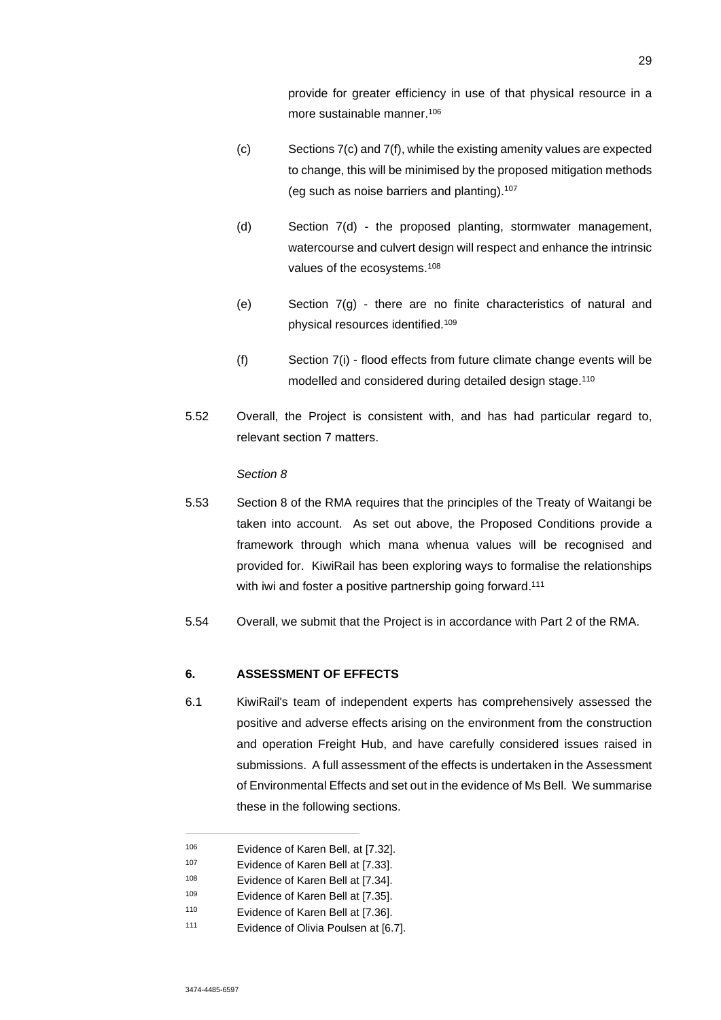provide for greater efficiency in use of that physical resource in a more sustainable manner.<sup>106</sup>

- (c) Sections 7(c) and 7(f), while the existing amenity values are expected to change, this will be minimised by the proposed mitigation methods (eg such as noise barriers and planting).<sup>107</sup>
- (d) Section 7(d) the proposed planting, stormwater management, watercourse and culvert design will respect and enhance the intrinsic values of the ecosystems.<sup>108</sup>
- (e) Section 7(g) there are no finite characteristics of natural and physical resources identified.<sup>109</sup>
- (f) Section 7(i) flood effects from future climate change events will be modelled and considered during detailed design stage.<sup>110</sup>
- 5.52 Overall, the Project is consistent with, and has had particular regard to, relevant section 7 matters.

*Section 8*

- 5.53 Section 8 of the RMA requires that the principles of the Treaty of Waitangi be taken into account. As set out above, the Proposed Conditions provide a framework through which mana whenua values will be recognised and provided for. KiwiRail has been exploring ways to formalise the relationships with iwi and foster a positive partnership going forward.<sup>111</sup>
- 5.54 Overall, we submit that the Project is in accordance with Part 2 of the RMA.

## **6. ASSESSMENT OF EFFECTS**

6.1 KiwiRail's team of independent experts has comprehensively assessed the positive and adverse effects arising on the environment from the construction and operation Freight Hub, and have carefully considered issues raised in submissions. A full assessment of the effects is undertaken in the Assessment of Environmental Effects and set out in the evidence of Ms Bell. We summarise these in the following sections.

<sup>110</sup> Evidence of Karen Bell at [7.36].

<sup>106</sup> Evidence of Karen Bell, at [7.32].

<sup>107</sup> Evidence of Karen Bell at [7.33].

<sup>108</sup> Evidence of Karen Bell at [7.34].

<sup>109</sup> Evidence of Karen Bell at [7.35].

<sup>111</sup> Evidence of Olivia Poulsen at [6.7].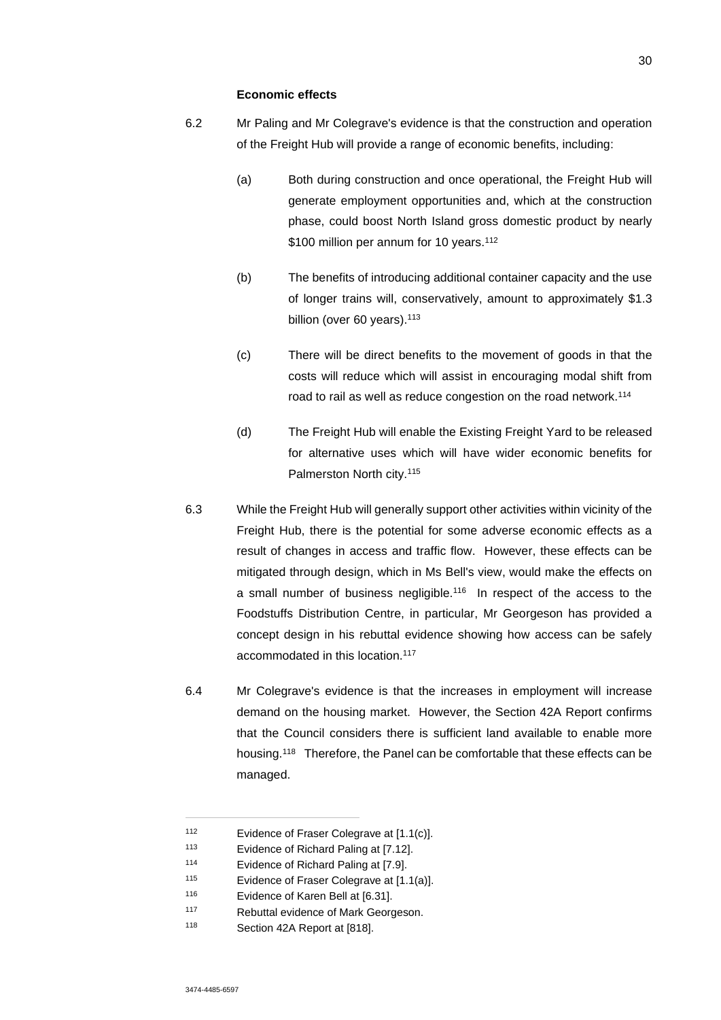#### **Economic effects**

- 6.2 Mr Paling and Mr Colegrave's evidence is that the construction and operation of the Freight Hub will provide a range of economic benefits, including:
	- (a) Both during construction and once operational, the Freight Hub will generate employment opportunities and, which at the construction phase, could boost North Island gross domestic product by nearly \$100 million per annum for 10 years.<sup>112</sup>
	- (b) The benefits of introducing additional container capacity and the use of longer trains will, conservatively, amount to approximately \$1.3 billion (over 60 years).<sup>113</sup>
	- (c) There will be direct benefits to the movement of goods in that the costs will reduce which will assist in encouraging modal shift from road to rail as well as reduce congestion on the road network.<sup>114</sup>
	- (d) The Freight Hub will enable the Existing Freight Yard to be released for alternative uses which will have wider economic benefits for Palmerston North city.<sup>115</sup>
- 6.3 While the Freight Hub will generally support other activities within vicinity of the Freight Hub, there is the potential for some adverse economic effects as a result of changes in access and traffic flow. However, these effects can be mitigated through design, which in Ms Bell's view, would make the effects on a small number of business negligible.<sup>116</sup> In respect of the access to the Foodstuffs Distribution Centre, in particular, Mr Georgeson has provided a concept design in his rebuttal evidence showing how access can be safely accommodated in this location.<sup>117</sup>
- 6.4 Mr Colegrave's evidence is that the increases in employment will increase demand on the housing market. However, the Section 42A Report confirms that the Council considers there is sufficient land available to enable more housing.<sup>118</sup> Therefore, the Panel can be comfortable that these effects can be managed.

<sup>112</sup> Evidence of Fraser Colegrave at [1.1(c)].

<sup>113</sup> Evidence of Richard Paling at [7.12].

<sup>114</sup> Evidence of Richard Paling at [7.9].

<sup>115</sup> Evidence of Fraser Colegrave at [1.1(a)].

<sup>116</sup> Evidence of Karen Bell at [6.31].

<sup>117</sup> Rebuttal evidence of Mark Georgeson.

<sup>118</sup> Section 42A Report at [818].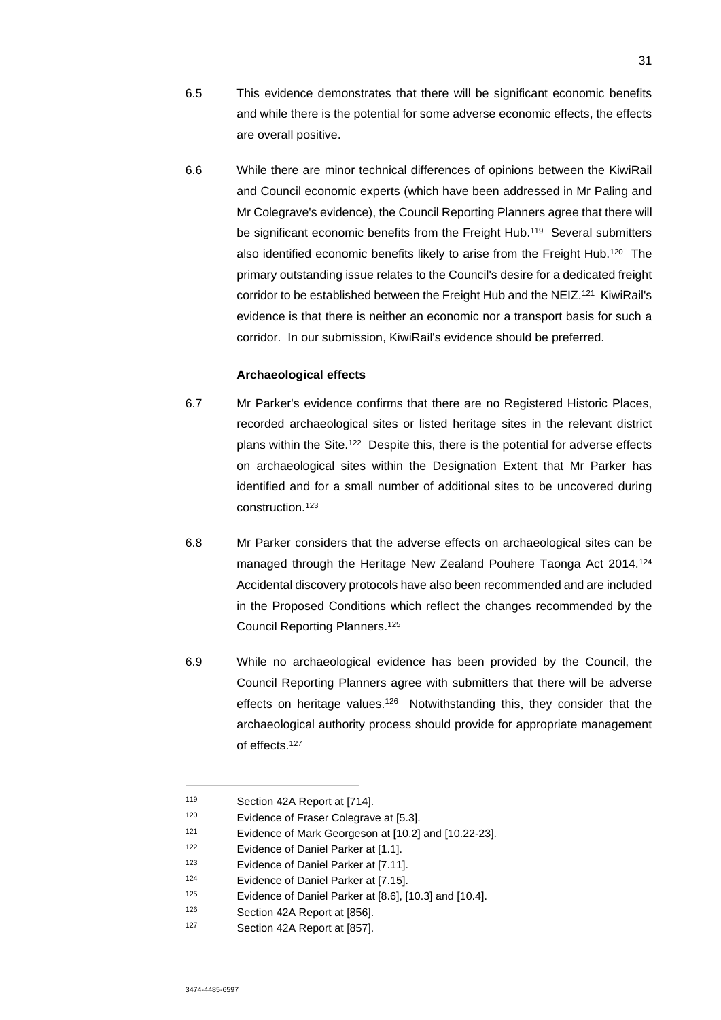- 6.5 This evidence demonstrates that there will be significant economic benefits and while there is the potential for some adverse economic effects, the effects are overall positive.
- 6.6 While there are minor technical differences of opinions between the KiwiRail and Council economic experts (which have been addressed in Mr Paling and Mr Colegrave's evidence), the Council Reporting Planners agree that there will be significant economic benefits from the Freight Hub.<sup>119</sup> Several submitters also identified economic benefits likely to arise from the Freight Hub.<sup>120</sup> The primary outstanding issue relates to the Council's desire for a dedicated freight corridor to be established between the Freight Hub and the NEIZ.<sup>121</sup> KiwiRail's evidence is that there is neither an economic nor a transport basis for such a corridor. In our submission, KiwiRail's evidence should be preferred.

#### **Archaeological effects**

- 6.7 Mr Parker's evidence confirms that there are no Registered Historic Places, recorded archaeological sites or listed heritage sites in the relevant district plans within the Site.<sup>122</sup> Despite this, there is the potential for adverse effects on archaeological sites within the Designation Extent that Mr Parker has identified and for a small number of additional sites to be uncovered during construction.<sup>123</sup>
- 6.8 Mr Parker considers that the adverse effects on archaeological sites can be managed through the Heritage New Zealand Pouhere Taonga Act 2014.<sup>124</sup> Accidental discovery protocols have also been recommended and are included in the Proposed Conditions which reflect the changes recommended by the Council Reporting Planners.<sup>125</sup>
- 6.9 While no archaeological evidence has been provided by the Council, the Council Reporting Planners agree with submitters that there will be adverse effects on heritage values.<sup>126</sup> Notwithstanding this, they consider that the archaeological authority process should provide for appropriate management of effects.<sup>127</sup>

<sup>126</sup> Section 42A Report at [856].

<sup>119</sup> Section 42A Report at [714].

<sup>120</sup> Evidence of Fraser Colegrave at [5.3].

<sup>121</sup> Evidence of Mark Georgeson at [10.2] and [10.22-23].

<sup>122</sup> Evidence of Daniel Parker at [1.1].

<sup>123</sup> Evidence of Daniel Parker at [7.11].

<sup>124</sup> Evidence of Daniel Parker at [7.15].

<sup>125</sup> Evidence of Daniel Parker at [8.6], [10.3] and [10.4].

<sup>127</sup> Section 42A Report at [857].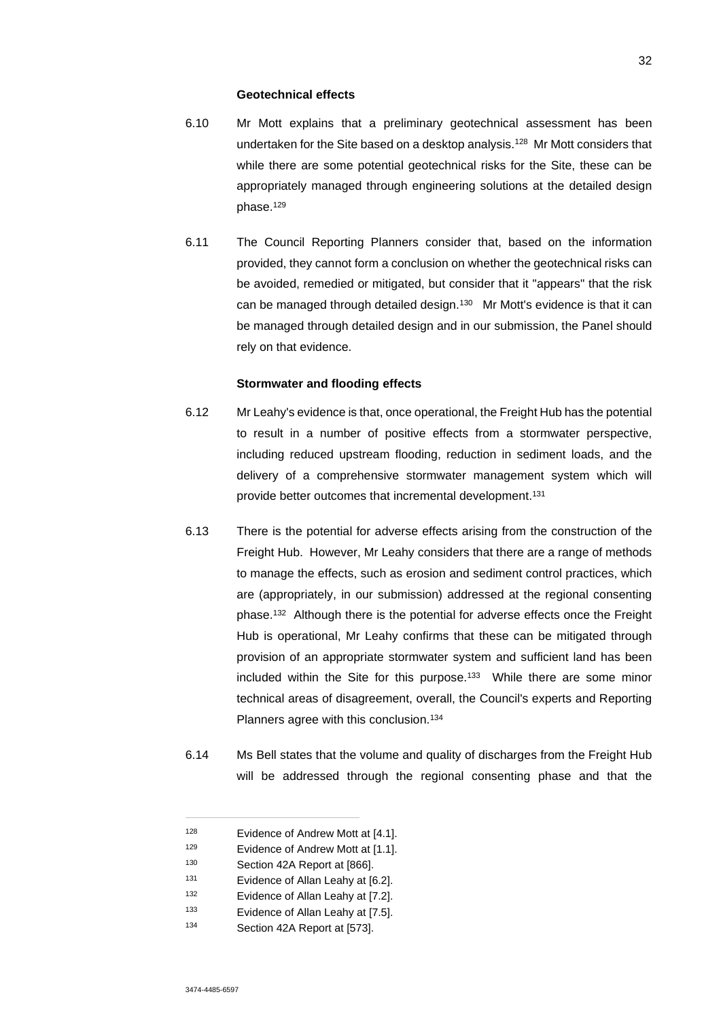#### **Geotechnical effects**

- 6.10 Mr Mott explains that a preliminary geotechnical assessment has been undertaken for the Site based on a desktop analysis.<sup>128</sup> Mr Mott considers that while there are some potential geotechnical risks for the Site, these can be appropriately managed through engineering solutions at the detailed design phase.<sup>129</sup>
- 6.11 The Council Reporting Planners consider that, based on the information provided, they cannot form a conclusion on whether the geotechnical risks can be avoided, remedied or mitigated, but consider that it "appears" that the risk can be managed through detailed design.<sup>130</sup> Mr Mott's evidence is that it can be managed through detailed design and in our submission, the Panel should rely on that evidence.

#### **Stormwater and flooding effects**

- 6.12 Mr Leahy's evidence is that, once operational, the Freight Hub has the potential to result in a number of positive effects from a stormwater perspective, including reduced upstream flooding, reduction in sediment loads, and the delivery of a comprehensive stormwater management system which will provide better outcomes that incremental development.<sup>131</sup>
- 6.13 There is the potential for adverse effects arising from the construction of the Freight Hub. However, Mr Leahy considers that there are a range of methods to manage the effects, such as erosion and sediment control practices, which are (appropriately, in our submission) addressed at the regional consenting phase.<sup>132</sup> Although there is the potential for adverse effects once the Freight Hub is operational, Mr Leahy confirms that these can be mitigated through provision of an appropriate stormwater system and sufficient land has been included within the Site for this purpose.<sup>133</sup> While there are some minor technical areas of disagreement, overall, the Council's experts and Reporting Planners agree with this conclusion.<sup>134</sup>
- 6.14 Ms Bell states that the volume and quality of discharges from the Freight Hub will be addressed through the regional consenting phase and that the

<sup>128</sup> Evidence of Andrew Mott at [4.1].

<sup>129</sup> Evidence of Andrew Mott at [1.1].

<sup>130</sup> Section 42A Report at [866].

<sup>131</sup> Evidence of Allan Leahy at [6.2].

<sup>132</sup> Evidence of Allan Leahy at [7.2].

<sup>133</sup> Evidence of Allan Leahy at [7.5].

<sup>134</sup> Section 42A Report at [573].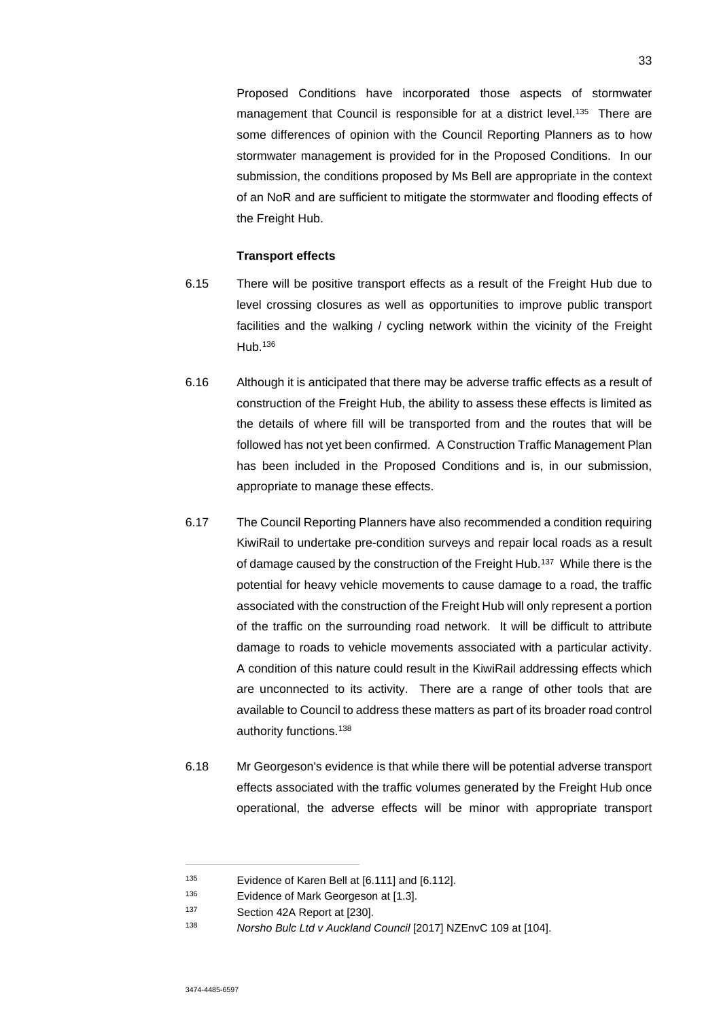Proposed Conditions have incorporated those aspects of stormwater management that Council is responsible for at a district level.<sup>135</sup> There are some differences of opinion with the Council Reporting Planners as to how stormwater management is provided for in the Proposed Conditions. In our submission, the conditions proposed by Ms Bell are appropriate in the context of an NoR and are sufficient to mitigate the stormwater and flooding effects of the Freight Hub.

### **Transport effects**

- 6.15 There will be positive transport effects as a result of the Freight Hub due to level crossing closures as well as opportunities to improve public transport facilities and the walking / cycling network within the vicinity of the Freight Hub.<sup>136</sup>
- 6.16 Although it is anticipated that there may be adverse traffic effects as a result of construction of the Freight Hub, the ability to assess these effects is limited as the details of where fill will be transported from and the routes that will be followed has not yet been confirmed. A Construction Traffic Management Plan has been included in the Proposed Conditions and is, in our submission, appropriate to manage these effects.
- 6.17 The Council Reporting Planners have also recommended a condition requiring KiwiRail to undertake pre-condition surveys and repair local roads as a result of damage caused by the construction of the Freight Hub.<sup>137</sup> While there is the potential for heavy vehicle movements to cause damage to a road, the traffic associated with the construction of the Freight Hub will only represent a portion of the traffic on the surrounding road network. It will be difficult to attribute damage to roads to vehicle movements associated with a particular activity. A condition of this nature could result in the KiwiRail addressing effects which are unconnected to its activity. There are a range of other tools that are available to Council to address these matters as part of its broader road control authority functions.<sup>138</sup>
- 6.18 Mr Georgeson's evidence is that while there will be potential adverse transport effects associated with the traffic volumes generated by the Freight Hub once operational, the adverse effects will be minor with appropriate transport

<sup>135</sup> Evidence of Karen Bell at [6.111] and [6.112].

<sup>136</sup> Evidence of Mark Georgeson at [1.3].

<sup>137</sup> Section 42A Report at [230].

<sup>138</sup> *Norsho Bulc Ltd v Auckland Council* [2017] NZEnvC 109 at [104].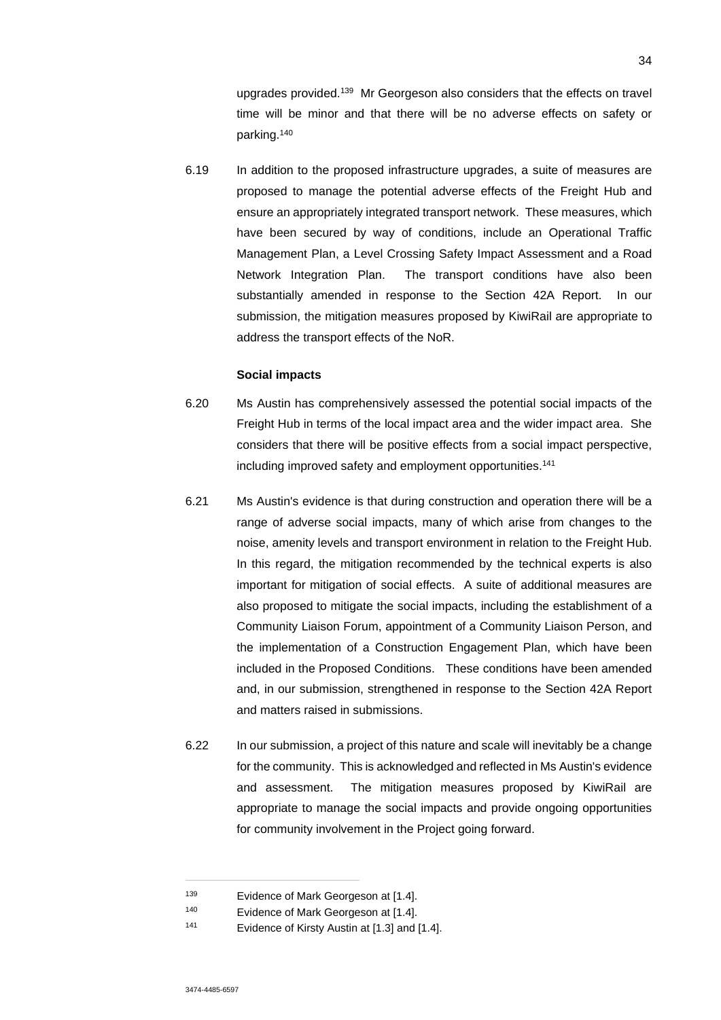upgrades provided.<sup>139</sup> Mr Georgeson also considers that the effects on travel time will be minor and that there will be no adverse effects on safety or parking.<sup>140</sup>

6.19 In addition to the proposed infrastructure upgrades, a suite of measures are proposed to manage the potential adverse effects of the Freight Hub and ensure an appropriately integrated transport network. These measures, which have been secured by way of conditions, include an Operational Traffic Management Plan, a Level Crossing Safety Impact Assessment and a Road Network Integration Plan. The transport conditions have also been substantially amended in response to the Section 42A Report. In our submission, the mitigation measures proposed by KiwiRail are appropriate to address the transport effects of the NoR.

#### **Social impacts**

- 6.20 Ms Austin has comprehensively assessed the potential social impacts of the Freight Hub in terms of the local impact area and the wider impact area. She considers that there will be positive effects from a social impact perspective, including improved safety and employment opportunities.<sup>141</sup>
- 6.21 Ms Austin's evidence is that during construction and operation there will be a range of adverse social impacts, many of which arise from changes to the noise, amenity levels and transport environment in relation to the Freight Hub. In this regard, the mitigation recommended by the technical experts is also important for mitigation of social effects. A suite of additional measures are also proposed to mitigate the social impacts, including the establishment of a Community Liaison Forum, appointment of a Community Liaison Person, and the implementation of a Construction Engagement Plan, which have been included in the Proposed Conditions. These conditions have been amended and, in our submission, strengthened in response to the Section 42A Report and matters raised in submissions.
- 6.22 In our submission, a project of this nature and scale will inevitably be a change for the community. This is acknowledged and reflected in Ms Austin's evidence and assessment. The mitigation measures proposed by KiwiRail are appropriate to manage the social impacts and provide ongoing opportunities for community involvement in the Project going forward.

<sup>139</sup> Evidence of Mark Georgeson at [1.4].

<sup>140</sup> Evidence of Mark Georgeson at [1.4].

<sup>141</sup> Evidence of Kirsty Austin at [1.3] and [1.4].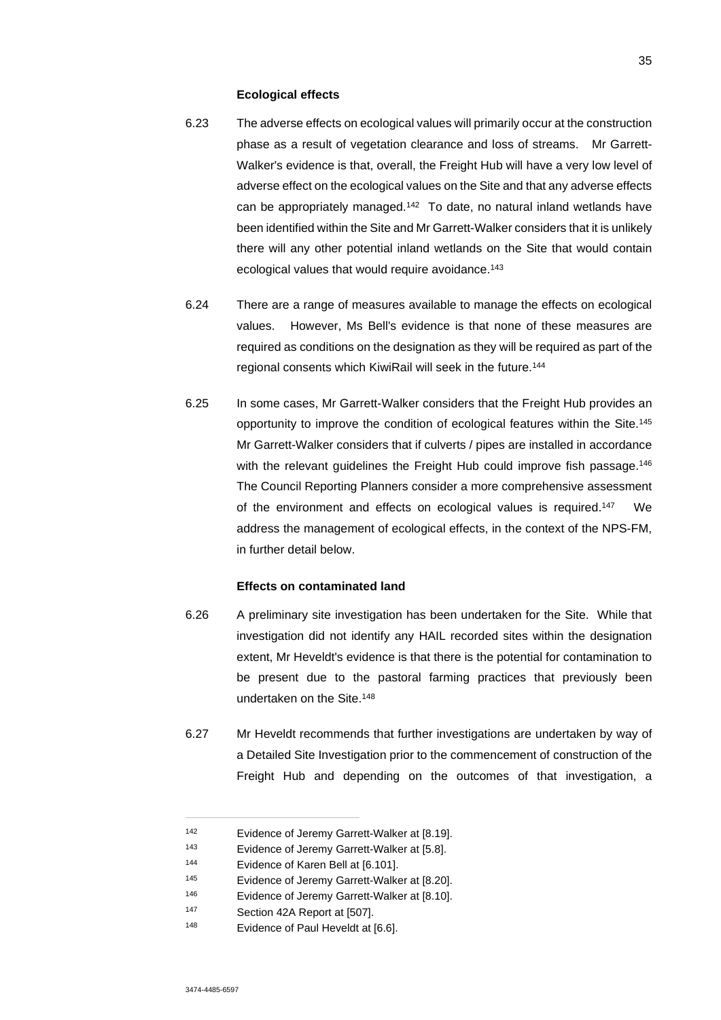#### **Ecological effects**

- 6.23 The adverse effects on ecological values will primarily occur at the construction phase as a result of vegetation clearance and loss of streams. Mr Garrett-Walker's evidence is that, overall, the Freight Hub will have a very low level of adverse effect on the ecological values on the Site and that any adverse effects can be appropriately managed.<sup>142</sup> To date, no natural inland wetlands have been identified within the Site and Mr Garrett-Walker considers that it is unlikely there will any other potential inland wetlands on the Site that would contain ecological values that would require avoidance.<sup>143</sup>
- 6.24 There are a range of measures available to manage the effects on ecological values. However, Ms Bell's evidence is that none of these measures are required as conditions on the designation as they will be required as part of the regional consents which KiwiRail will seek in the future.<sup>144</sup>
- 6.25 In some cases, Mr Garrett-Walker considers that the Freight Hub provides an opportunity to improve the condition of ecological features within the Site.<sup>145</sup> Mr Garrett-Walker considers that if culverts / pipes are installed in accordance with the relevant quidelines the Freight Hub could improve fish passage.<sup>146</sup> The Council Reporting Planners consider a more comprehensive assessment of the environment and effects on ecological values is required.<sup>147</sup> We address the management of ecological effects, in the context of the NPS-FM, in further detail below.

### **Effects on contaminated land**

- 6.26 A preliminary site investigation has been undertaken for the Site. While that investigation did not identify any HAIL recorded sites within the designation extent, Mr Heveldt's evidence is that there is the potential for contamination to be present due to the pastoral farming practices that previously been undertaken on the Site.<sup>148</sup>
- 6.27 Mr Heveldt recommends that further investigations are undertaken by way of a Detailed Site Investigation prior to the commencement of construction of the Freight Hub and depending on the outcomes of that investigation, a

<sup>142</sup> Evidence of Jeremy Garrett-Walker at [8.19].

<sup>143</sup> Evidence of Jeremy Garrett-Walker at [5.8].

<sup>144</sup> Evidence of Karen Bell at [6.101].

<sup>145</sup> Evidence of Jeremy Garrett-Walker at [8.20].

<sup>146</sup> Evidence of Jeremy Garrett-Walker at [8.10].

<sup>147</sup> Section 42A Report at [507].

<sup>148</sup> Evidence of Paul Heveldt at [6.6].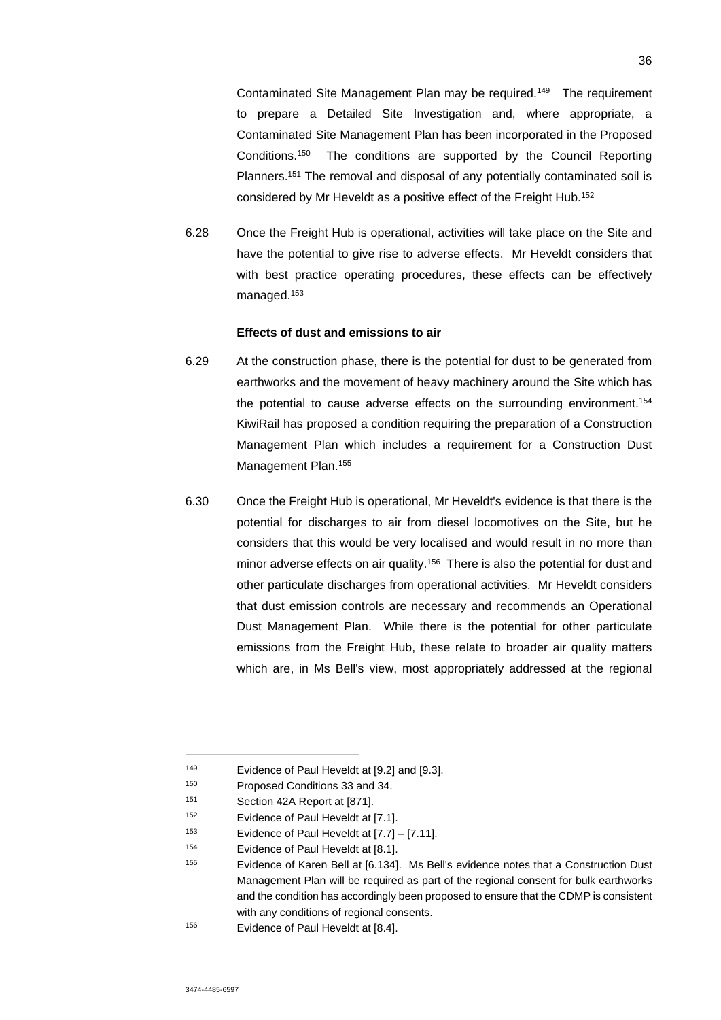Contaminated Site Management Plan may be required.<sup>149</sup> The requirement to prepare a Detailed Site Investigation and, where appropriate, a Contaminated Site Management Plan has been incorporated in the Proposed Conditions.<sup>150</sup> The conditions are supported by the Council Reporting Planners.<sup>151</sup> The removal and disposal of any potentially contaminated soil is considered by Mr Heveldt as a positive effect of the Freight Hub.<sup>152</sup>

6.28 Once the Freight Hub is operational, activities will take place on the Site and have the potential to give rise to adverse effects. Mr Heveldt considers that with best practice operating procedures, these effects can be effectively managed.<sup>153</sup>

## **Effects of dust and emissions to air**

- 6.29 At the construction phase, there is the potential for dust to be generated from earthworks and the movement of heavy machinery around the Site which has the potential to cause adverse effects on the surrounding environment.<sup>154</sup> KiwiRail has proposed a condition requiring the preparation of a Construction Management Plan which includes a requirement for a Construction Dust Management Plan.<sup>155</sup>
- 6.30 Once the Freight Hub is operational, Mr Heveldt's evidence is that there is the potential for discharges to air from diesel locomotives on the Site, but he considers that this would be very localised and would result in no more than minor adverse effects on air quality.<sup>156</sup> There is also the potential for dust and other particulate discharges from operational activities. Mr Heveldt considers that dust emission controls are necessary and recommends an Operational Dust Management Plan. While there is the potential for other particulate emissions from the Freight Hub, these relate to broader air quality matters which are, in Ms Bell's view, most appropriately addressed at the regional

<sup>149</sup> Evidence of Paul Heveldt at [9.2] and [9.3].

<sup>150</sup> Proposed Conditions 33 and 34.

<sup>151</sup> Section 42A Report at [871].

<sup>152</sup> Evidence of Paul Heveldt at [7.1].

<sup>153</sup> Evidence of Paul Heveldt at [7.7] – [7.11].

<sup>154</sup> Evidence of Paul Heveldt at [8.1].

<sup>155</sup> Evidence of Karen Bell at [6.134]. Ms Bell's evidence notes that a Construction Dust Management Plan will be required as part of the regional consent for bulk earthworks and the condition has accordingly been proposed to ensure that the CDMP is consistent with any conditions of regional consents.

<sup>156</sup> Evidence of Paul Heveldt at [8.4].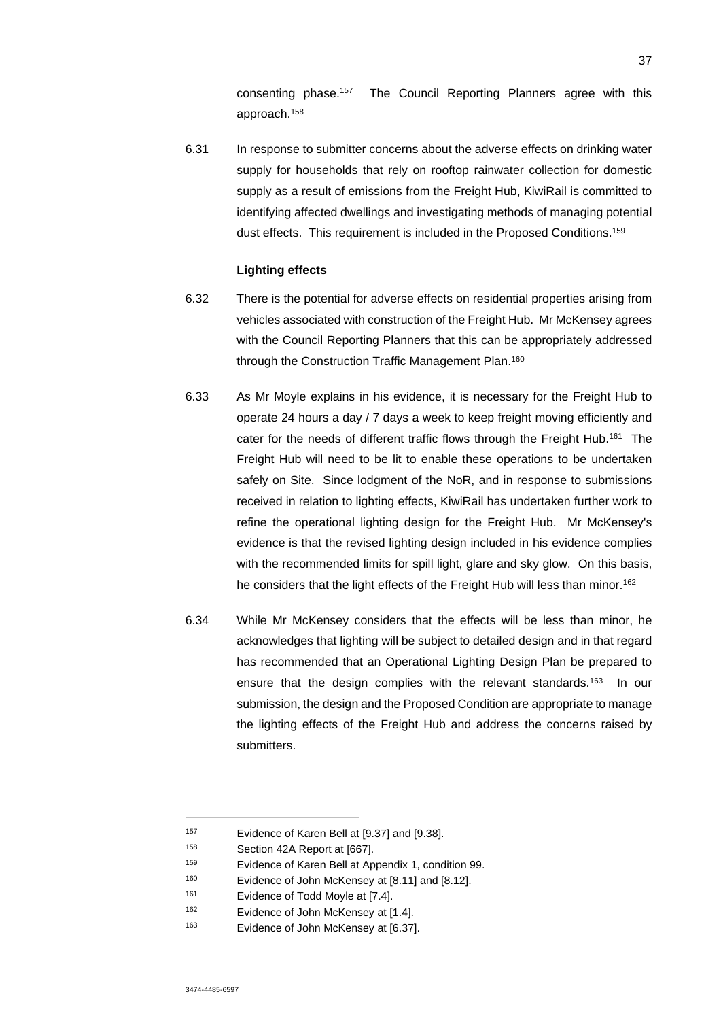consenting phase.<sup>157</sup> The Council Reporting Planners agree with this approach.<sup>158</sup>

6.31 In response to submitter concerns about the adverse effects on drinking water supply for households that rely on rooftop rainwater collection for domestic supply as a result of emissions from the Freight Hub, KiwiRail is committed to identifying affected dwellings and investigating methods of managing potential dust effects. This requirement is included in the Proposed Conditions.<sup>159</sup>

### **Lighting effects**

- 6.32 There is the potential for adverse effects on residential properties arising from vehicles associated with construction of the Freight Hub. Mr McKensey agrees with the Council Reporting Planners that this can be appropriately addressed through the Construction Traffic Management Plan.<sup>160</sup>
- 6.33 As Mr Moyle explains in his evidence, it is necessary for the Freight Hub to operate 24 hours a day / 7 days a week to keep freight moving efficiently and cater for the needs of different traffic flows through the Freight Hub.<sup>161</sup> The Freight Hub will need to be lit to enable these operations to be undertaken safely on Site. Since lodgment of the NoR, and in response to submissions received in relation to lighting effects, KiwiRail has undertaken further work to refine the operational lighting design for the Freight Hub. Mr McKensey's evidence is that the revised lighting design included in his evidence complies with the recommended limits for spill light, glare and sky glow. On this basis, he considers that the light effects of the Freight Hub will less than minor.<sup>162</sup>
- 6.34 While Mr McKensey considers that the effects will be less than minor, he acknowledges that lighting will be subject to detailed design and in that regard has recommended that an Operational Lighting Design Plan be prepared to ensure that the design complies with the relevant standards.<sup>163</sup> In our submission, the design and the Proposed Condition are appropriate to manage the lighting effects of the Freight Hub and address the concerns raised by submitters.

<sup>157</sup> Evidence of Karen Bell at [9.37] and [9.38].

<sup>158</sup> Section 42A Report at [667].

<sup>159</sup> Evidence of Karen Bell at Appendix 1, condition 99.

<sup>160</sup> Evidence of John McKensey at [8.11] and [8.12].

<sup>161</sup> Evidence of Todd Moyle at [7.4].

<sup>162</sup> Evidence of John McKensey at [1.4].

<sup>163</sup> Evidence of John McKensey at [6.37].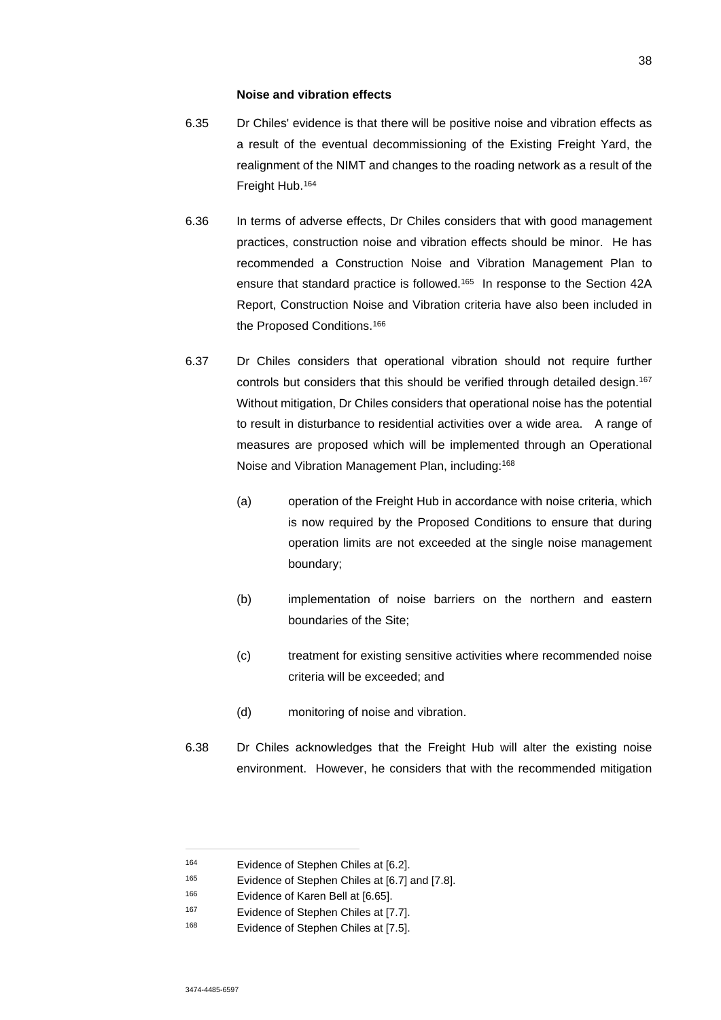#### **Noise and vibration effects**

- 6.35 Dr Chiles' evidence is that there will be positive noise and vibration effects as a result of the eventual decommissioning of the Existing Freight Yard, the realignment of the NIMT and changes to the roading network as a result of the Freight Hub.<sup>164</sup>
- 6.36 In terms of adverse effects, Dr Chiles considers that with good management practices, construction noise and vibration effects should be minor. He has recommended a Construction Noise and Vibration Management Plan to ensure that standard practice is followed.<sup>165</sup> In response to the Section 42A Report, Construction Noise and Vibration criteria have also been included in the Proposed Conditions.<sup>166</sup>
- 6.37 Dr Chiles considers that operational vibration should not require further controls but considers that this should be verified through detailed design.<sup>167</sup> Without mitigation, Dr Chiles considers that operational noise has the potential to result in disturbance to residential activities over a wide area. A range of measures are proposed which will be implemented through an Operational Noise and Vibration Management Plan, including:<sup>168</sup>
	- (a) operation of the Freight Hub in accordance with noise criteria, which is now required by the Proposed Conditions to ensure that during operation limits are not exceeded at the single noise management boundary;
	- (b) implementation of noise barriers on the northern and eastern boundaries of the Site;
	- (c) treatment for existing sensitive activities where recommended noise criteria will be exceeded; and
	- (d) monitoring of noise and vibration.
- 6.38 Dr Chiles acknowledges that the Freight Hub will alter the existing noise environment. However, he considers that with the recommended mitigation

<sup>164</sup> Evidence of Stephen Chiles at [6.2].

<sup>165</sup> Evidence of Stephen Chiles at [6.7] and [7.8].

<sup>166</sup> Evidence of Karen Bell at [6.65].

<sup>167</sup> Evidence of Stephen Chiles at [7.7].

<sup>168</sup> Evidence of Stephen Chiles at [7.5].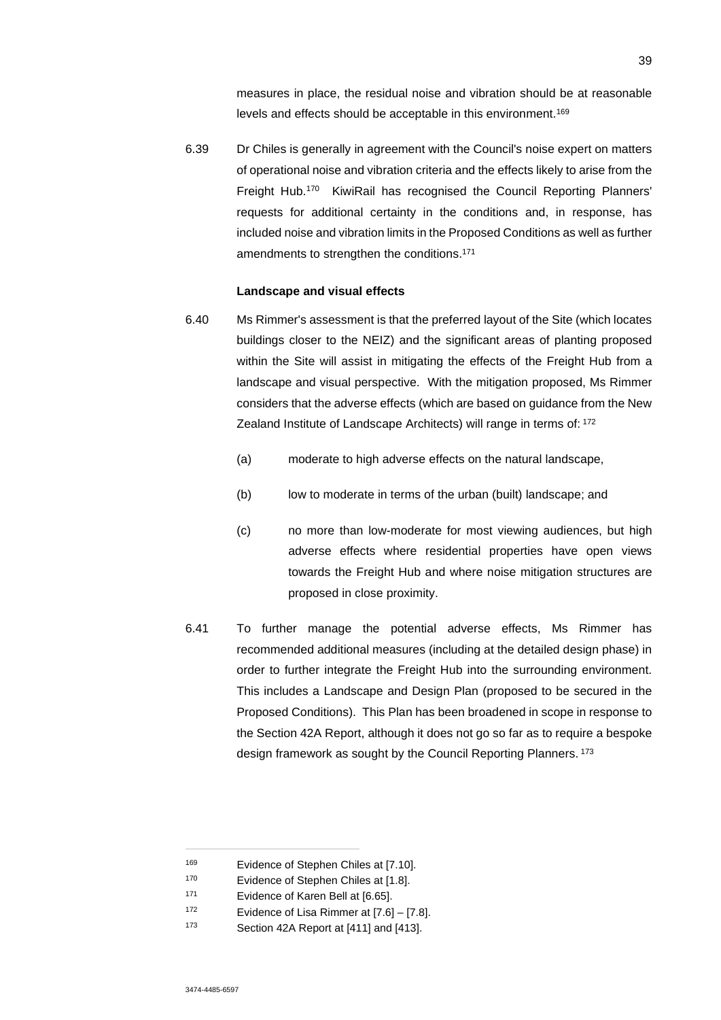measures in place, the residual noise and vibration should be at reasonable levels and effects should be acceptable in this environment.<sup>169</sup>

6.39 Dr Chiles is generally in agreement with the Council's noise expert on matters of operational noise and vibration criteria and the effects likely to arise from the Freight Hub.<sup>170</sup> KiwiRail has recognised the Council Reporting Planners' requests for additional certainty in the conditions and, in response, has included noise and vibration limits in the Proposed Conditions as well as further amendments to strengthen the conditions.<sup>171</sup>

#### **Landscape and visual effects**

- 6.40 Ms Rimmer's assessment is that the preferred layout of the Site (which locates buildings closer to the NEIZ) and the significant areas of planting proposed within the Site will assist in mitigating the effects of the Freight Hub from a landscape and visual perspective. With the mitigation proposed, Ms Rimmer considers that the adverse effects (which are based on guidance from the New Zealand Institute of Landscape Architects) will range in terms of: 172
	- (a) moderate to high adverse effects on the natural landscape,
	- (b) low to moderate in terms of the urban (built) landscape; and
	- (c) no more than low-moderate for most viewing audiences, but high adverse effects where residential properties have open views towards the Freight Hub and where noise mitigation structures are proposed in close proximity.
- 6.41 To further manage the potential adverse effects, Ms Rimmer has recommended additional measures (including at the detailed design phase) in order to further integrate the Freight Hub into the surrounding environment. This includes a Landscape and Design Plan (proposed to be secured in the Proposed Conditions). This Plan has been broadened in scope in response to the Section 42A Report, although it does not go so far as to require a bespoke design framework as sought by the Council Reporting Planners.<sup>173</sup>

<sup>169</sup> Evidence of Stephen Chiles at [7.10].

<sup>170</sup> Evidence of Stephen Chiles at [1.8].

<sup>171</sup> Evidence of Karen Bell at [6.65].

<sup>172</sup> Evidence of Lisa Rimmer at [7.6] – [7.8].

<sup>173</sup> Section 42A Report at [411] and [413].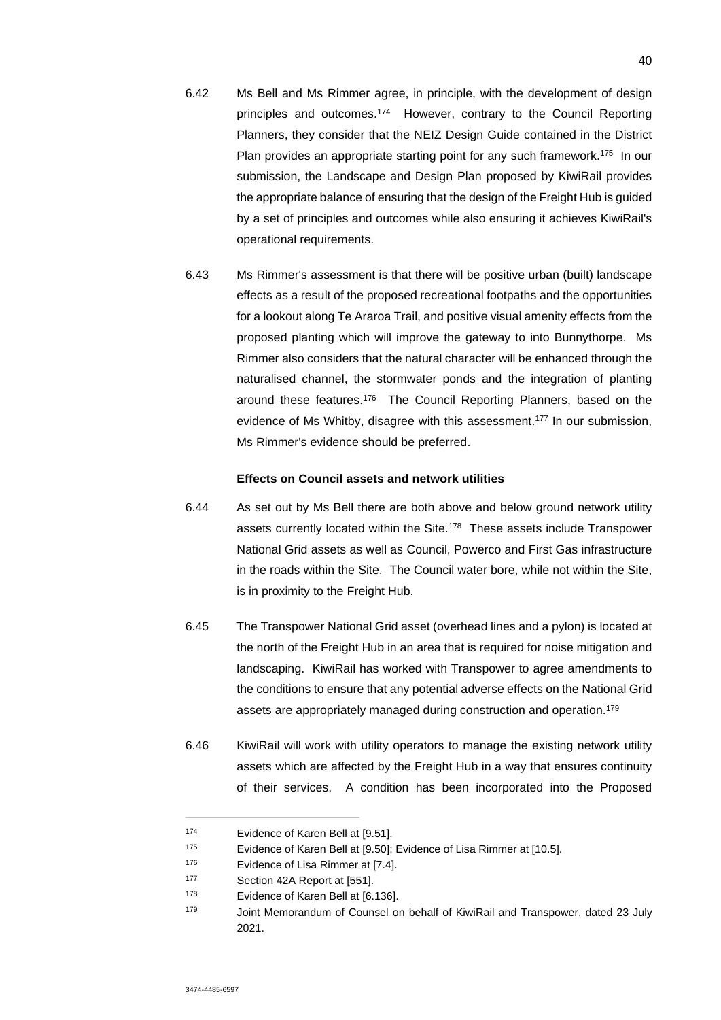- 6.42 Ms Bell and Ms Rimmer agree, in principle, with the development of design principles and outcomes.<sup>174</sup> However, contrary to the Council Reporting Planners, they consider that the NEIZ Design Guide contained in the District Plan provides an appropriate starting point for any such framework.<sup>175</sup> In our submission, the Landscape and Design Plan proposed by KiwiRail provides the appropriate balance of ensuring that the design of the Freight Hub is guided by a set of principles and outcomes while also ensuring it achieves KiwiRail's operational requirements.
- 6.43 Ms Rimmer's assessment is that there will be positive urban (built) landscape effects as a result of the proposed recreational footpaths and the opportunities for a lookout along Te Araroa Trail, and positive visual amenity effects from the proposed planting which will improve the gateway to into Bunnythorpe. Ms Rimmer also considers that the natural character will be enhanced through the naturalised channel, the stormwater ponds and the integration of planting around these features.<sup>176</sup> The Council Reporting Planners, based on the evidence of Ms Whitby, disagree with this assessment.<sup>177</sup> In our submission, Ms Rimmer's evidence should be preferred.

### **Effects on Council assets and network utilities**

- 6.44 As set out by Ms Bell there are both above and below ground network utility assets currently located within the Site.<sup>178</sup> These assets include Transpower National Grid assets as well as Council, Powerco and First Gas infrastructure in the roads within the Site. The Council water bore, while not within the Site, is in proximity to the Freight Hub.
- 6.45 The Transpower National Grid asset (overhead lines and a pylon) is located at the north of the Freight Hub in an area that is required for noise mitigation and landscaping. KiwiRail has worked with Transpower to agree amendments to the conditions to ensure that any potential adverse effects on the National Grid assets are appropriately managed during construction and operation.<sup>179</sup>
- 6.46 KiwiRail will work with utility operators to manage the existing network utility assets which are affected by the Freight Hub in a way that ensures continuity of their services. A condition has been incorporated into the Proposed

<sup>174</sup> Evidence of Karen Bell at [9.51].

<sup>175</sup> Evidence of Karen Bell at [9.50]; Evidence of Lisa Rimmer at [10.5].

<sup>176</sup> Evidence of Lisa Rimmer at [7.4].

<sup>177</sup> Section 42A Report at [551].

<sup>178</sup> Evidence of Karen Bell at [6.136].

<sup>179</sup> Joint Memorandum of Counsel on behalf of KiwiRail and Transpower, dated 23 July 2021.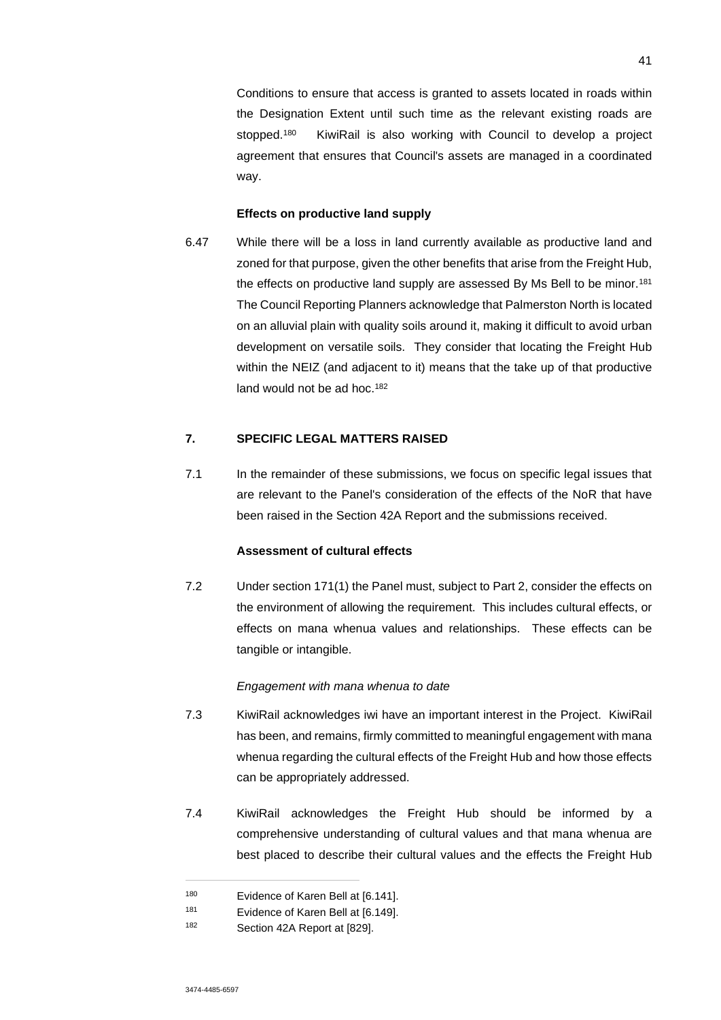Conditions to ensure that access is granted to assets located in roads within the Designation Extent until such time as the relevant existing roads are stopped.<sup>180</sup> KiwiRail is also working with Council to develop a project agreement that ensures that Council's assets are managed in a coordinated way.

#### **Effects on productive land supply**

6.47 While there will be a loss in land currently available as productive land and zoned for that purpose, given the other benefits that arise from the Freight Hub, the effects on productive land supply are assessed By Ms Bell to be minor.<sup>181</sup> The Council Reporting Planners acknowledge that Palmerston North is located on an alluvial plain with quality soils around it, making it difficult to avoid urban development on versatile soils. They consider that locating the Freight Hub within the NEIZ (and adjacent to it) means that the take up of that productive land would not be ad hoc.<sup>182</sup>

## **7. SPECIFIC LEGAL MATTERS RAISED**

7.1 In the remainder of these submissions, we focus on specific legal issues that are relevant to the Panel's consideration of the effects of the NoR that have been raised in the Section 42A Report and the submissions received.

## **Assessment of cultural effects**

7.2 Under section 171(1) the Panel must, subject to Part 2, consider the effects on the environment of allowing the requirement. This includes cultural effects, or effects on mana whenua values and relationships. These effects can be tangible or intangible.

#### *Engagement with mana whenua to date*

- 7.3 KiwiRail acknowledges iwi have an important interest in the Project. KiwiRail has been, and remains, firmly committed to meaningful engagement with mana whenua regarding the cultural effects of the Freight Hub and how those effects can be appropriately addressed.
- 7.4 KiwiRail acknowledges the Freight Hub should be informed by a comprehensive understanding of cultural values and that mana whenua are best placed to describe their cultural values and the effects the Freight Hub

<sup>180</sup> Evidence of Karen Bell at [6.141].

<sup>181</sup> Evidence of Karen Bell at [6.149].

<sup>182</sup> Section 42A Report at [829].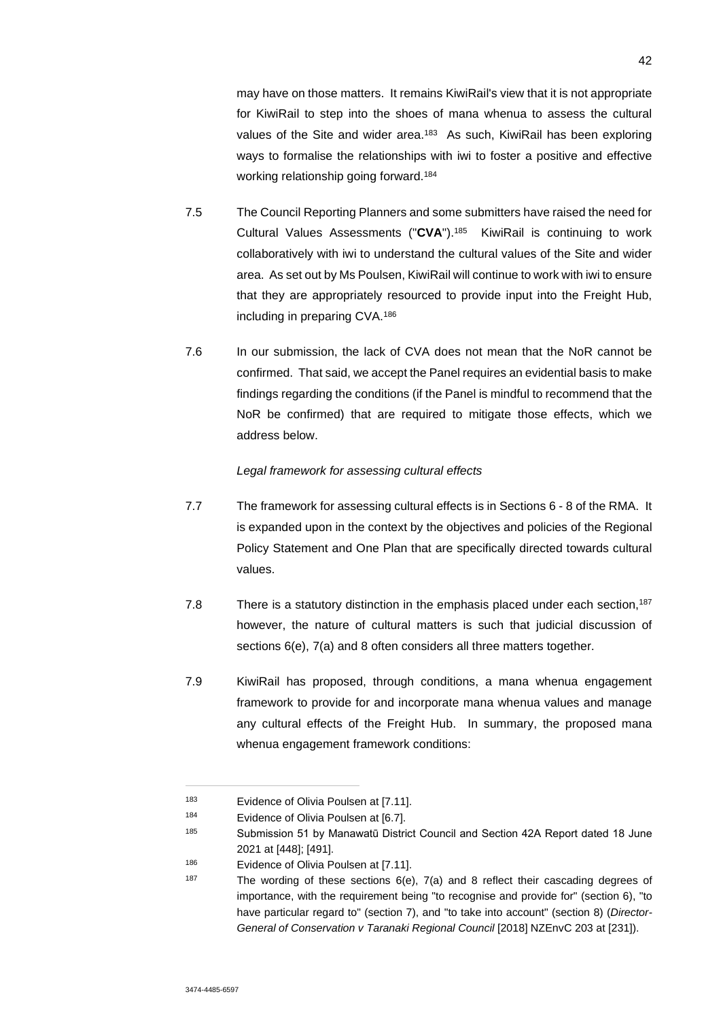may have on those matters. It remains KiwiRail's view that it is not appropriate for KiwiRail to step into the shoes of mana whenua to assess the cultural values of the Site and wider area.<sup>183</sup> As such, KiwiRail has been exploring ways to formalise the relationships with iwi to foster a positive and effective working relationship going forward.<sup>184</sup>

- 7.5 The Council Reporting Planners and some submitters have raised the need for Cultural Values Assessments ("**CVA**").<sup>185</sup> KiwiRail is continuing to work collaboratively with iwi to understand the cultural values of the Site and wider area. As set out by Ms Poulsen, KiwiRail will continue to work with iwi to ensure that they are appropriately resourced to provide input into the Freight Hub, including in preparing CVA.<sup>186</sup>
- 7.6 In our submission, the lack of CVA does not mean that the NoR cannot be confirmed. That said, we accept the Panel requires an evidential basis to make findings regarding the conditions (if the Panel is mindful to recommend that the NoR be confirmed) that are required to mitigate those effects, which we address below.

### *Legal framework for assessing cultural effects*

- 7.7 The framework for assessing cultural effects is in Sections 6 8 of the RMA. It is expanded upon in the context by the objectives and policies of the Regional Policy Statement and One Plan that are specifically directed towards cultural values.
- 7.8 There is a statutory distinction in the emphasis placed under each section,<sup>187</sup> however, the nature of cultural matters is such that judicial discussion of sections 6(e), 7(a) and 8 often considers all three matters together.
- 7.9 KiwiRail has proposed, through conditions, a mana whenua engagement framework to provide for and incorporate mana whenua values and manage any cultural effects of the Freight Hub. In summary, the proposed mana whenua engagement framework conditions:

<sup>183</sup> Evidence of Olivia Poulsen at [7.11].

<sup>184</sup> Evidence of Olivia Poulsen at [6.7].

<sup>&</sup>lt;sup>185</sup> Submission 51 by Manawatū District Council and Section 42A Report dated 18 June 2021 at [448]; [491].

<sup>186</sup> Evidence of Olivia Poulsen at [7.11].

<sup>&</sup>lt;sup>187</sup> The wording of these sections  $6(e)$ ,  $7(a)$  and 8 reflect their cascading degrees of importance, with the requirement being "to recognise and provide for" (section 6), "to have particular regard to" (section 7), and "to take into account" (section 8) (*Director-General of Conservation v Taranaki Regional Council* [2018] NZEnvC 203 at [231]).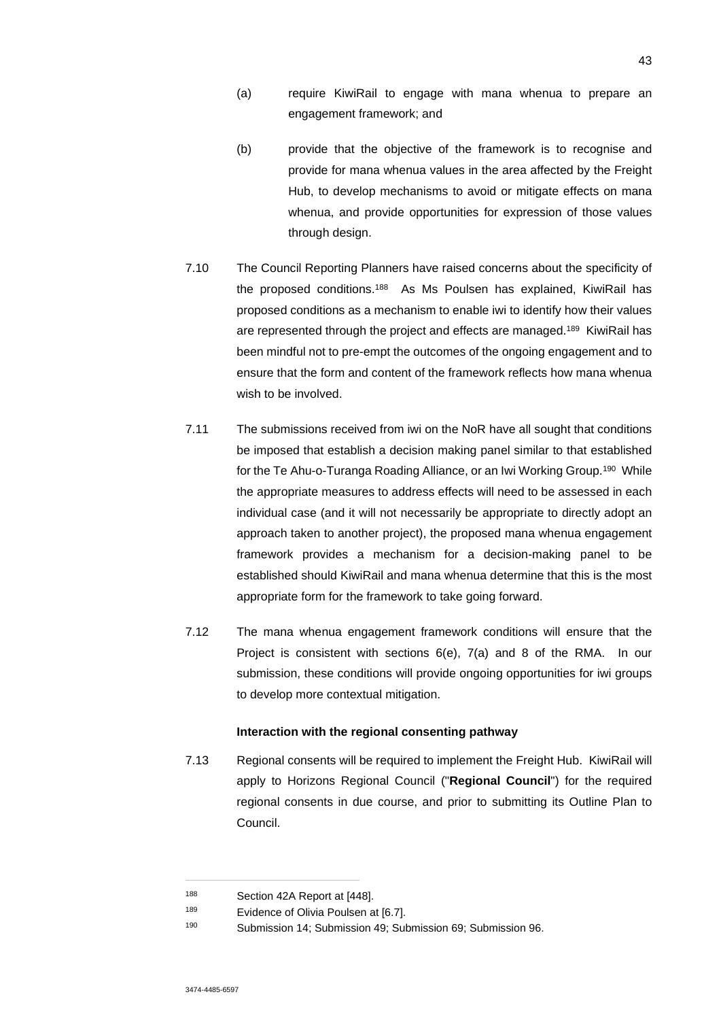- (a) require KiwiRail to engage with mana whenua to prepare an engagement framework; and
- (b) provide that the objective of the framework is to recognise and provide for mana whenua values in the area affected by the Freight Hub, to develop mechanisms to avoid or mitigate effects on mana whenua, and provide opportunities for expression of those values through design.
- 7.10 The Council Reporting Planners have raised concerns about the specificity of the proposed conditions.<sup>188</sup> As Ms Poulsen has explained, KiwiRail has proposed conditions as a mechanism to enable iwi to identify how their values are represented through the project and effects are managed.<sup>189</sup> KiwiRail has been mindful not to pre-empt the outcomes of the ongoing engagement and to ensure that the form and content of the framework reflects how mana whenua wish to be involved.
- 7.11 The submissions received from iwi on the NoR have all sought that conditions be imposed that establish a decision making panel similar to that established for the Te Ahu-o-Turanga Roading Alliance, or an Iwi Working Group.<sup>190</sup> While the appropriate measures to address effects will need to be assessed in each individual case (and it will not necessarily be appropriate to directly adopt an approach taken to another project), the proposed mana whenua engagement framework provides a mechanism for a decision-making panel to be established should KiwiRail and mana whenua determine that this is the most appropriate form for the framework to take going forward.
- 7.12 The mana whenua engagement framework conditions will ensure that the Project is consistent with sections 6(e), 7(a) and 8 of the RMA. In our submission, these conditions will provide ongoing opportunities for iwi groups to develop more contextual mitigation.

### **Interaction with the regional consenting pathway**

7.13 Regional consents will be required to implement the Freight Hub. KiwiRail will apply to Horizons Regional Council ("**Regional Council**") for the required regional consents in due course, and prior to submitting its Outline Plan to Council.

<sup>188</sup> Section 42A Report at [448].

<sup>189</sup> Evidence of Olivia Poulsen at [6.7].

<sup>190</sup> Submission 14; Submission 49; Submission 69; Submission 96.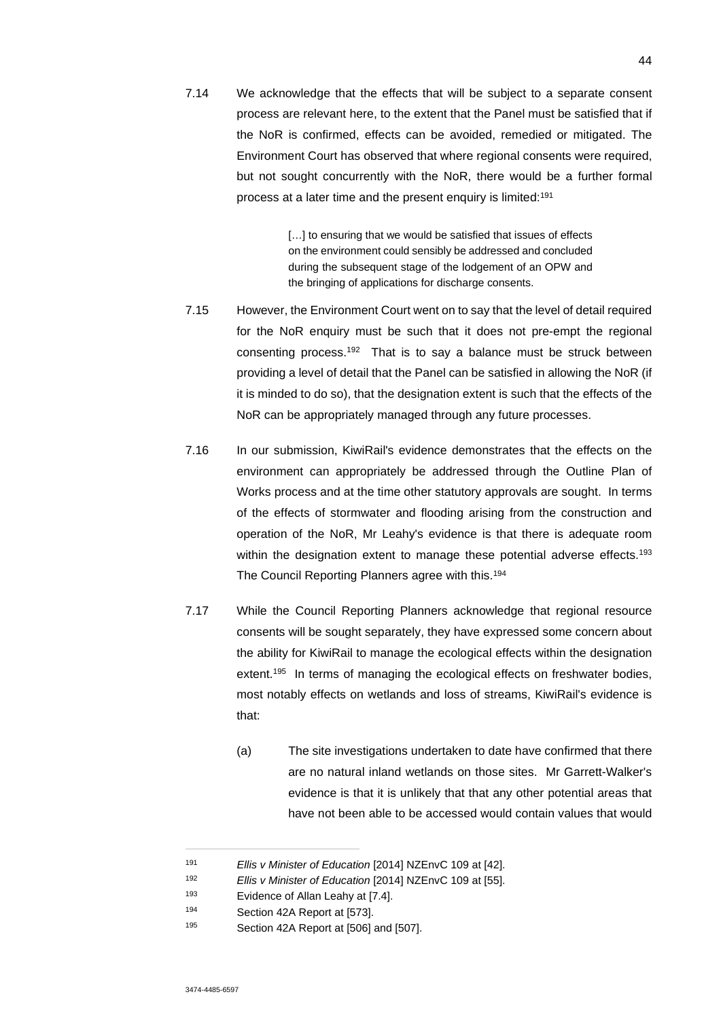7.14 We acknowledge that the effects that will be subject to a separate consent process are relevant here, to the extent that the Panel must be satisfied that if the NoR is confirmed, effects can be avoided, remedied or mitigated. The Environment Court has observed that where regional consents were required, but not sought concurrently with the NoR, there would be a further formal process at a later time and the present enquiry is limited:<sup>191</sup>

> [...] to ensuring that we would be satisfied that issues of effects on the environment could sensibly be addressed and concluded during the subsequent stage of the lodgement of an OPW and the bringing of applications for discharge consents.

- 7.15 However, the Environment Court went on to say that the level of detail required for the NoR enquiry must be such that it does not pre-empt the regional consenting process.<sup>192</sup> That is to say a balance must be struck between providing a level of detail that the Panel can be satisfied in allowing the NoR (if it is minded to do so), that the designation extent is such that the effects of the NoR can be appropriately managed through any future processes.
- 7.16 In our submission, KiwiRail's evidence demonstrates that the effects on the environment can appropriately be addressed through the Outline Plan of Works process and at the time other statutory approvals are sought. In terms of the effects of stormwater and flooding arising from the construction and operation of the NoR, Mr Leahy's evidence is that there is adequate room within the designation extent to manage these potential adverse effects.<sup>193</sup> The Council Reporting Planners agree with this.<sup>194</sup>
- 7.17 While the Council Reporting Planners acknowledge that regional resource consents will be sought separately, they have expressed some concern about the ability for KiwiRail to manage the ecological effects within the designation extent.<sup>195</sup> In terms of managing the ecological effects on freshwater bodies, most notably effects on wetlands and loss of streams, KiwiRail's evidence is that:
	- (a) The site investigations undertaken to date have confirmed that there are no natural inland wetlands on those sites. Mr Garrett-Walker's evidence is that it is unlikely that that any other potential areas that have not been able to be accessed would contain values that would

<sup>191</sup> *Ellis v Minister of Education* [2014] NZEnvC 109 at [42].

<sup>192</sup> *Ellis v Minister of Education* [2014] NZEnvC 109 at [55].

<sup>193</sup> Evidence of Allan Leahy at [7.4].

<sup>194</sup> Section 42A Report at [573].

<sup>195</sup> Section 42A Report at [506] and [507].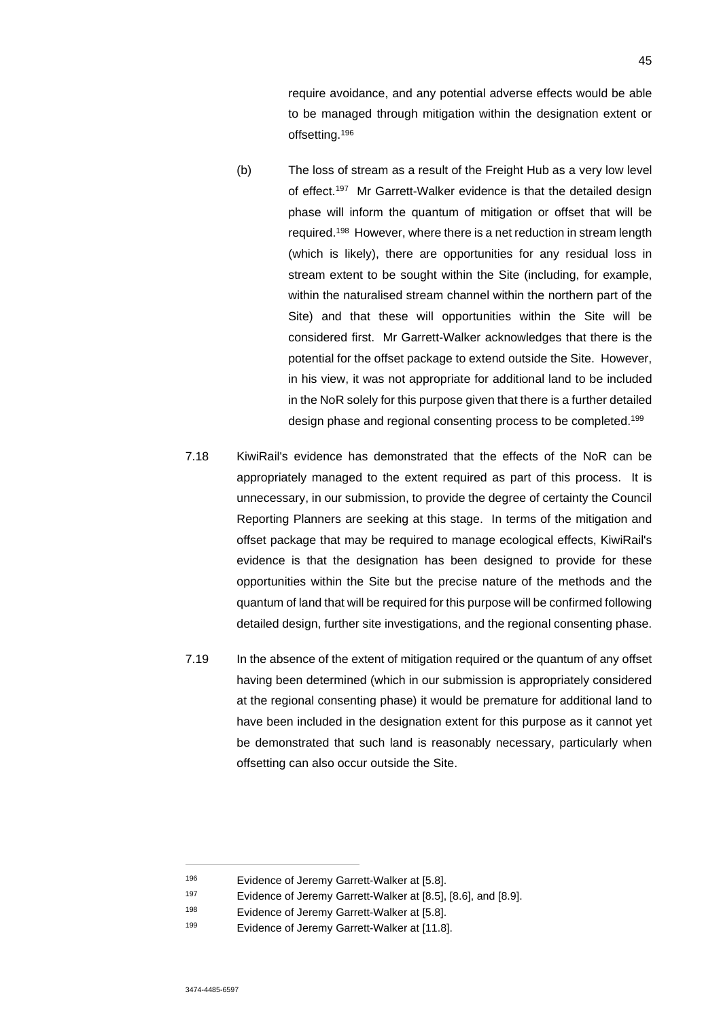require avoidance, and any potential adverse effects would be able to be managed through mitigation within the designation extent or offsetting.<sup>196</sup>

- (b) The loss of stream as a result of the Freight Hub as a very low level of effect.<sup>197</sup> Mr Garrett-Walker evidence is that the detailed design phase will inform the quantum of mitigation or offset that will be required.<sup>198</sup> However, where there is a net reduction in stream length (which is likely), there are opportunities for any residual loss in stream extent to be sought within the Site (including, for example, within the naturalised stream channel within the northern part of the Site) and that these will opportunities within the Site will be considered first. Mr Garrett-Walker acknowledges that there is the potential for the offset package to extend outside the Site. However, in his view, it was not appropriate for additional land to be included in the NoR solely for this purpose given that there is a further detailed design phase and regional consenting process to be completed.<sup>199</sup>
- 7.18 KiwiRail's evidence has demonstrated that the effects of the NoR can be appropriately managed to the extent required as part of this process. It is unnecessary, in our submission, to provide the degree of certainty the Council Reporting Planners are seeking at this stage. In terms of the mitigation and offset package that may be required to manage ecological effects, KiwiRail's evidence is that the designation has been designed to provide for these opportunities within the Site but the precise nature of the methods and the quantum of land that will be required for this purpose will be confirmed following detailed design, further site investigations, and the regional consenting phase.
- 7.19 In the absence of the extent of mitigation required or the quantum of any offset having been determined (which in our submission is appropriately considered at the regional consenting phase) it would be premature for additional land to have been included in the designation extent for this purpose as it cannot yet be demonstrated that such land is reasonably necessary, particularly when offsetting can also occur outside the Site.

<sup>196</sup> Evidence of Jeremy Garrett-Walker at [5.8].

<sup>197</sup> Evidence of Jeremy Garrett-Walker at [8.5], [8.6], and [8.9].

<sup>198</sup> Evidence of Jeremy Garrett-Walker at [5.8].

<sup>199</sup> Evidence of Jeremy Garrett-Walker at [11.8].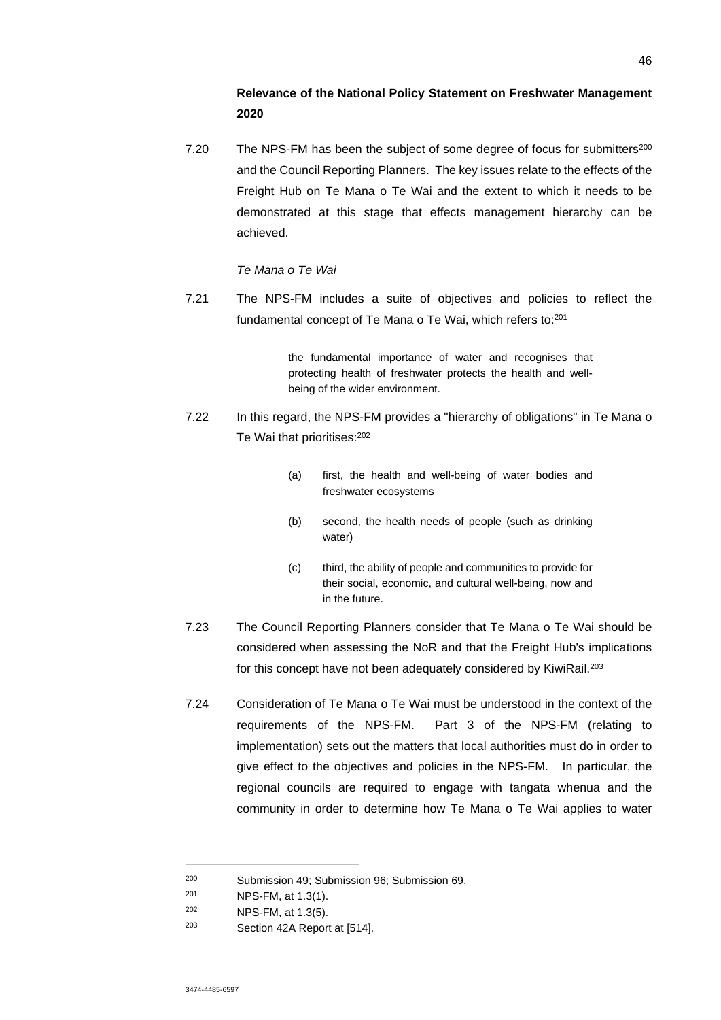# **Relevance of the National Policy Statement on Freshwater Management 2020**

7.20 The NPS-FM has been the subject of some degree of focus for submitters<sup>200</sup> and the Council Reporting Planners. The key issues relate to the effects of the Freight Hub on Te Mana o Te Wai and the extent to which it needs to be demonstrated at this stage that effects management hierarchy can be achieved.

## *Te Mana o Te Wai*

7.21 The NPS-FM includes a suite of objectives and policies to reflect the fundamental concept of Te Mana o Te Wai, which refers to:<sup>201</sup>

> the fundamental importance of water and recognises that protecting health of freshwater protects the health and wellbeing of the wider environment.

- 7.22 In this regard, the NPS-FM provides a "hierarchy of obligations" in Te Mana o Te Wai that prioritises:<sup>202</sup>
	- (a) first, the health and well-being of water bodies and freshwater ecosystems
	- (b) second, the health needs of people (such as drinking water)
	- (c) third, the ability of people and communities to provide for their social, economic, and cultural well-being, now and in the future.
- 7.23 The Council Reporting Planners consider that Te Mana o Te Wai should be considered when assessing the NoR and that the Freight Hub's implications for this concept have not been adequately considered by KiwiRail.<sup>203</sup>
- 7.24 Consideration of Te Mana o Te Wai must be understood in the context of the requirements of the NPS-FM. Part 3 of the NPS-FM (relating to implementation) sets out the matters that local authorities must do in order to give effect to the objectives and policies in the NPS-FM. In particular, the regional councils are required to engage with tangata whenua and the community in order to determine how Te Mana o Te Wai applies to water

<sup>200</sup> Submission 49; Submission 96; Submission 69.

<sup>201</sup> NPS-FM, at 1.3(1).

<sup>202</sup> NPS-FM, at 1.3(5).

<sup>203</sup> Section 42A Report at [514].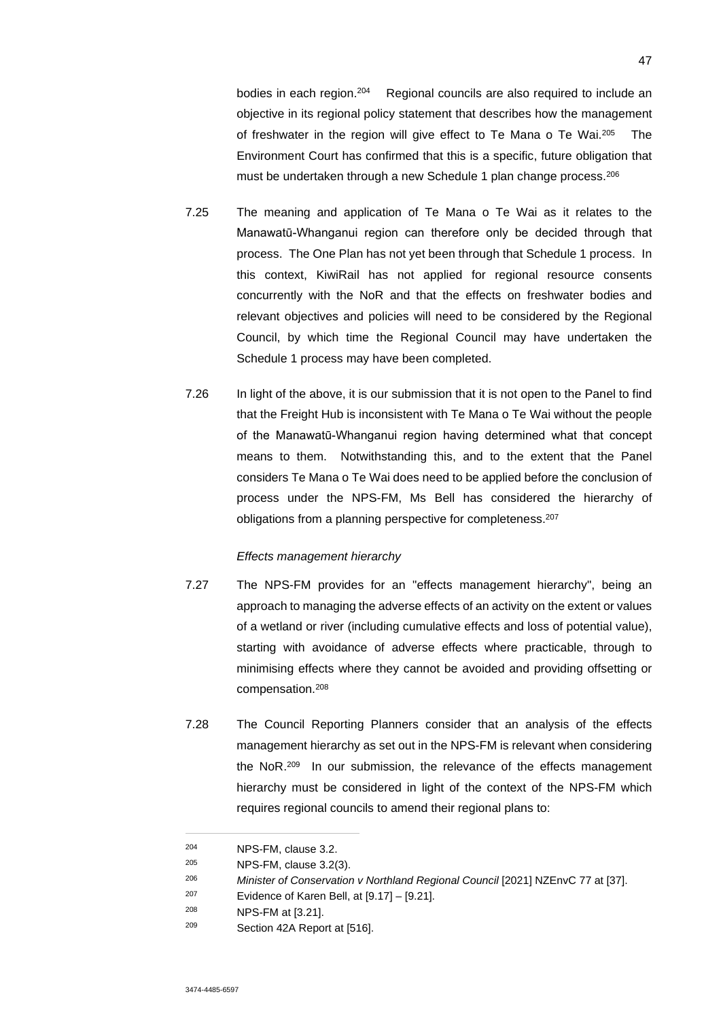bodies in each region.<sup>204</sup> Regional councils are also required to include an objective in its regional policy statement that describes how the management of freshwater in the region will give effect to Te Mana o Te Wai.<sup>205</sup> The Environment Court has confirmed that this is a specific, future obligation that must be undertaken through a new Schedule 1 plan change process.<sup>206</sup>

- 7.25 The meaning and application of Te Mana o Te Wai as it relates to the Manawatū-Whanganui region can therefore only be decided through that process. The One Plan has not yet been through that Schedule 1 process. In this context, KiwiRail has not applied for regional resource consents concurrently with the NoR and that the effects on freshwater bodies and relevant objectives and policies will need to be considered by the Regional Council, by which time the Regional Council may have undertaken the Schedule 1 process may have been completed.
- 7.26 In light of the above, it is our submission that it is not open to the Panel to find that the Freight Hub is inconsistent with Te Mana o Te Wai without the people of the Manawatū-Whanganui region having determined what that concept means to them. Notwithstanding this, and to the extent that the Panel considers Te Mana o Te Wai does need to be applied before the conclusion of process under the NPS-FM, Ms Bell has considered the hierarchy of obligations from a planning perspective for completeness.<sup>207</sup>

### *Effects management hierarchy*

- 7.27 The NPS-FM provides for an "effects management hierarchy", being an approach to managing the adverse effects of an activity on the extent or values of a wetland or river (including cumulative effects and loss of potential value), starting with avoidance of adverse effects where practicable, through to minimising effects where they cannot be avoided and providing offsetting or compensation.<sup>208</sup>
- 7.28 The Council Reporting Planners consider that an analysis of the effects management hierarchy as set out in the NPS-FM is relevant when considering the NoR.<sup>209</sup> In our submission, the relevance of the effects management hierarchy must be considered in light of the context of the NPS-FM which requires regional councils to amend their regional plans to:

<sup>204</sup> NPS-FM, clause 3.2.

<sup>205</sup> NPS-FM, clause 3.2(3).

<sup>206</sup> *Minister of Conservation v Northland Regional Council* [2021] NZEnvC 77 at [37].

 $207$  Evidence of Karen Bell, at  $[9.17] - [9.21]$ .

<sup>208</sup> NPS-FM at [3.21].

<sup>209</sup> Section 42A Report at [516].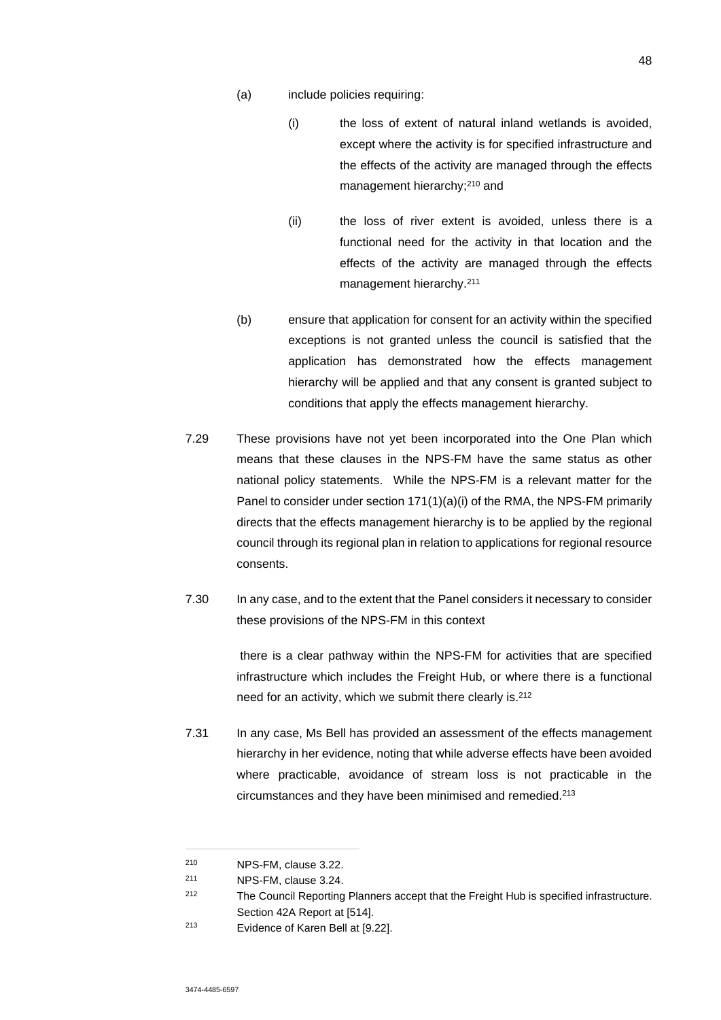- (a) include policies requiring:
	- (i) the loss of extent of natural inland wetlands is avoided, except where the activity is for specified infrastructure and the effects of the activity are managed through the effects management hierarchy:<sup>210</sup> and
	- (ii) the loss of river extent is avoided, unless there is a functional need for the activity in that location and the effects of the activity are managed through the effects management hierarchy.<sup>211</sup>
- (b) ensure that application for consent for an activity within the specified exceptions is not granted unless the council is satisfied that the application has demonstrated how the effects management hierarchy will be applied and that any consent is granted subject to conditions that apply the effects management hierarchy.
- 7.29 These provisions have not yet been incorporated into the One Plan which means that these clauses in the NPS-FM have the same status as other national policy statements. While the NPS-FM is a relevant matter for the Panel to consider under section 171(1)(a)(i) of the RMA, the NPS-FM primarily directs that the effects management hierarchy is to be applied by the regional council through its regional plan in relation to applications for regional resource consents.
- 7.30 In any case, and to the extent that the Panel considers it necessary to consider these provisions of the NPS-FM in this context

 there is a clear pathway within the NPS-FM for activities that are specified infrastructure which includes the Freight Hub, or where there is a functional need for an activity, which we submit there clearly is.<sup>212</sup>

7.31 In any case, Ms Bell has provided an assessment of the effects management hierarchy in her evidence, noting that while adverse effects have been avoided where practicable, avoidance of stream loss is not practicable in the circumstances and they have been minimised and remedied.<sup>213</sup>

<sup>210</sup> NPS-FM, clause 3.22.

<sup>211</sup> NPS-FM, clause 3.24.

<sup>212</sup> The Council Reporting Planners accept that the Freight Hub is specified infrastructure. Section 42A Report at [514].

<sup>213</sup> Evidence of Karen Bell at [9.22].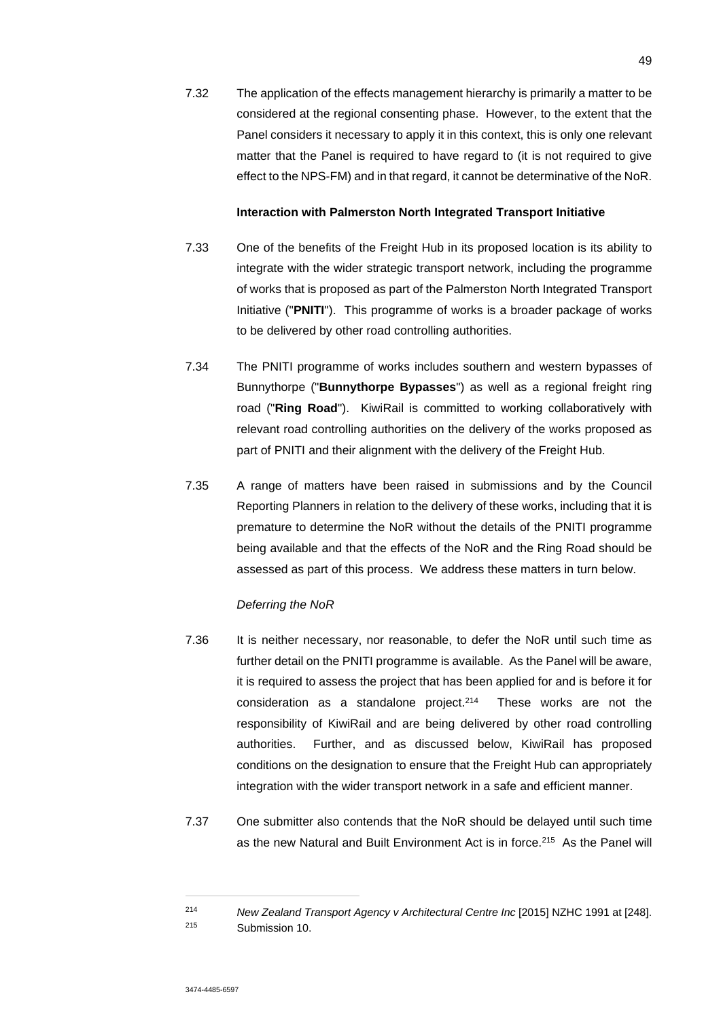7.32 The application of the effects management hierarchy is primarily a matter to be considered at the regional consenting phase. However, to the extent that the Panel considers it necessary to apply it in this context, this is only one relevant matter that the Panel is required to have regard to (it is not required to give effect to the NPS-FM) and in that regard, it cannot be determinative of the NoR.

### **Interaction with Palmerston North Integrated Transport Initiative**

- 7.33 One of the benefits of the Freight Hub in its proposed location is its ability to integrate with the wider strategic transport network, including the programme of works that is proposed as part of the Palmerston North Integrated Transport Initiative ("**PNITI**"). This programme of works is a broader package of works to be delivered by other road controlling authorities.
- 7.34 The PNITI programme of works includes southern and western bypasses of Bunnythorpe ("**Bunnythorpe Bypasses**") as well as a regional freight ring road ("**Ring Road**"). KiwiRail is committed to working collaboratively with relevant road controlling authorities on the delivery of the works proposed as part of PNITI and their alignment with the delivery of the Freight Hub.
- 7.35 A range of matters have been raised in submissions and by the Council Reporting Planners in relation to the delivery of these works, including that it is premature to determine the NoR without the details of the PNITI programme being available and that the effects of the NoR and the Ring Road should be assessed as part of this process. We address these matters in turn below.

### *Deferring the NoR*

- 7.36 It is neither necessary, nor reasonable, to defer the NoR until such time as further detail on the PNITI programme is available. As the Panel will be aware, it is required to assess the project that has been applied for and is before it for consideration as a standalone project.<sup>214</sup> These works are not the responsibility of KiwiRail and are being delivered by other road controlling authorities. Further, and as discussed below, KiwiRail has proposed conditions on the designation to ensure that the Freight Hub can appropriately integration with the wider transport network in a safe and efficient manner.
- 7.37 One submitter also contends that the NoR should be delayed until such time as the new Natural and Built Environment Act is in force.<sup>215</sup> As the Panel will

<sup>214</sup> *New Zealand Transport Agency v Architectural Centre Inc* [2015] NZHC 1991 at [248]. <sup>215</sup> Submission 10.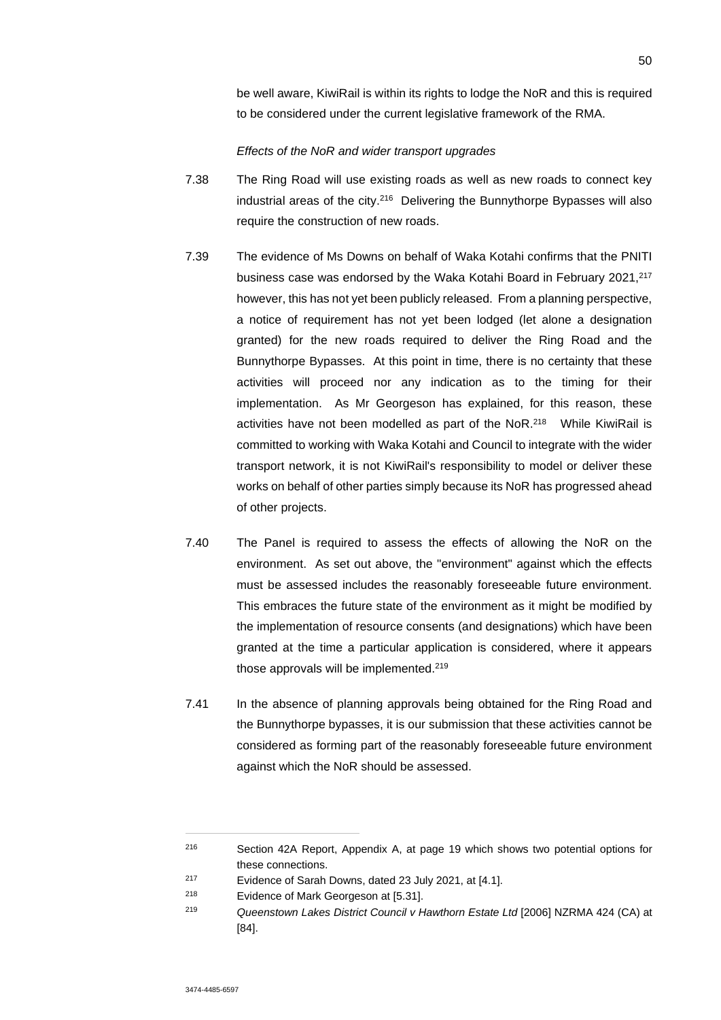be well aware, KiwiRail is within its rights to lodge the NoR and this is required to be considered under the current legislative framework of the RMA.

### *Effects of the NoR and wider transport upgrades*

- 7.38 The Ring Road will use existing roads as well as new roads to connect key industrial areas of the city.<sup>216</sup> Delivering the Bunnythorpe Bypasses will also require the construction of new roads.
- 7.39 The evidence of Ms Downs on behalf of Waka Kotahi confirms that the PNITI business case was endorsed by the Waka Kotahi Board in February 2021, 217 however, this has not yet been publicly released. From a planning perspective, a notice of requirement has not yet been lodged (let alone a designation granted) for the new roads required to deliver the Ring Road and the Bunnythorpe Bypasses. At this point in time, there is no certainty that these activities will proceed nor any indication as to the timing for their implementation. As Mr Georgeson has explained, for this reason, these activities have not been modelled as part of the NoR.<sup>218</sup> While KiwiRail is committed to working with Waka Kotahi and Council to integrate with the wider transport network, it is not KiwiRail's responsibility to model or deliver these works on behalf of other parties simply because its NoR has progressed ahead of other projects.
- 7.40 The Panel is required to assess the effects of allowing the NoR on the environment. As set out above, the "environment" against which the effects must be assessed includes the reasonably foreseeable future environment. This embraces the future state of the environment as it might be modified by the implementation of resource consents (and designations) which have been granted at the time a particular application is considered, where it appears those approvals will be implemented.<sup>219</sup>
- 7.41 In the absence of planning approvals being obtained for the Ring Road and the Bunnythorpe bypasses, it is our submission that these activities cannot be considered as forming part of the reasonably foreseeable future environment against which the NoR should be assessed.

<sup>216</sup> Section 42A Report, Appendix A, at page 19 which shows two potential options for these connections.

<sup>217</sup> Evidence of Sarah Downs, dated 23 July 2021, at [4.1].

<sup>218</sup> Evidence of Mark Georgeson at [5.31].

<sup>219</sup> *Queenstown Lakes District Council v Hawthorn Estate Ltd* [2006] NZRMA 424 (CA) at [84].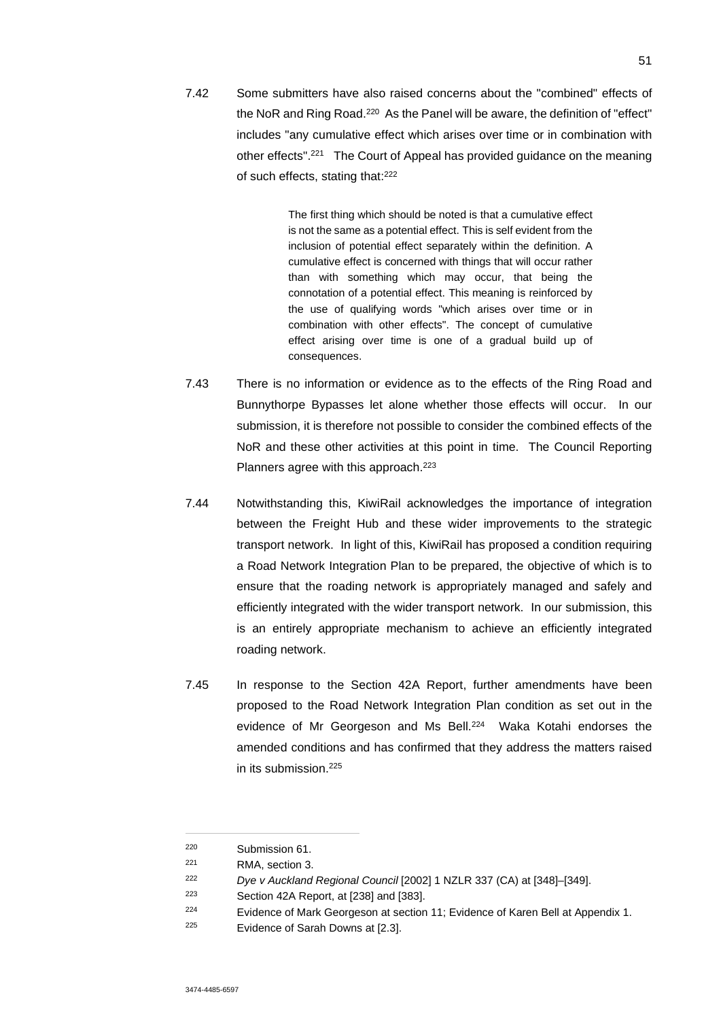7.42 Some submitters have also raised concerns about the "combined" effects of the NoR and Ring Road.<sup>220</sup> As the Panel will be aware, the definition of "effect" includes "any cumulative effect which arises over time or in combination with other effects".<sup>221</sup> The Court of Appeal has provided guidance on the meaning of such effects, stating that:<sup>222</sup>

> The first thing which should be noted is that a cumulative effect is not the same as a potential effect. This is self evident from the inclusion of potential effect separately within the definition. A cumulative effect is concerned with things that will occur rather than with something which may occur, that being the connotation of a potential effect. This meaning is reinforced by the use of qualifying words "which arises over time or in combination with other effects". The concept of cumulative effect arising over time is one of a gradual build up of consequences.

- 7.43 There is no information or evidence as to the effects of the Ring Road and Bunnythorpe Bypasses let alone whether those effects will occur. In our submission, it is therefore not possible to consider the combined effects of the NoR and these other activities at this point in time. The Council Reporting Planners agree with this approach.<sup>223</sup>
- 7.44 Notwithstanding this, KiwiRail acknowledges the importance of integration between the Freight Hub and these wider improvements to the strategic transport network. In light of this, KiwiRail has proposed a condition requiring a Road Network Integration Plan to be prepared, the objective of which is to ensure that the roading network is appropriately managed and safely and efficiently integrated with the wider transport network. In our submission, this is an entirely appropriate mechanism to achieve an efficiently integrated roading network.
- 7.45 In response to the Section 42A Report, further amendments have been proposed to the Road Network Integration Plan condition as set out in the evidence of Mr Georgeson and Ms Bell.<sup>224</sup> Waka Kotahi endorses the amended conditions and has confirmed that they address the matters raised in its submission.<sup>225</sup>

<sup>220</sup> Submission 61.

<sup>221</sup> RMA, section 3.

<sup>222</sup> *Dye v Auckland Regional Council* [2002] 1 NZLR 337 (CA) at [348]–[349].

<sup>223</sup> Section 42A Report, at [238] and [383].

<sup>&</sup>lt;sup>224</sup> Evidence of Mark Georgeson at section 11: Evidence of Karen Bell at Appendix 1.

<sup>225</sup> Evidence of Sarah Downs at [2.3].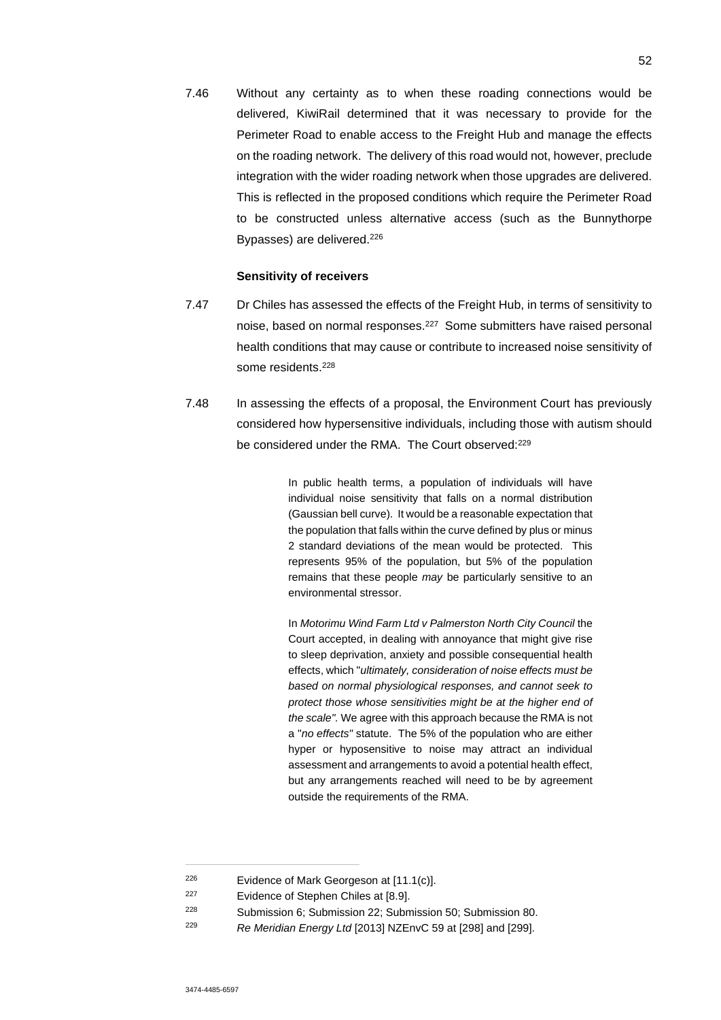7.46 Without any certainty as to when these roading connections would be delivered, KiwiRail determined that it was necessary to provide for the Perimeter Road to enable access to the Freight Hub and manage the effects on the roading network. The delivery of this road would not, however, preclude integration with the wider roading network when those upgrades are delivered. This is reflected in the proposed conditions which require the Perimeter Road to be constructed unless alternative access (such as the Bunnythorpe Bypasses) are delivered.<sup>226</sup>

### **Sensitivity of receivers**

- 7.47 Dr Chiles has assessed the effects of the Freight Hub, in terms of sensitivity to noise, based on normal responses.<sup>227</sup> Some submitters have raised personal health conditions that may cause or contribute to increased noise sensitivity of some residents.<sup>228</sup>
- 7.48 In assessing the effects of a proposal, the Environment Court has previously considered how hypersensitive individuals, including those with autism should be considered under the RMA. The Court observed:<sup>229</sup>

In public health terms, a population of individuals will have individual noise sensitivity that falls on a normal distribution (Gaussian bell curve). It would be a reasonable expectation that the population that falls within the curve defined by plus or minus 2 standard deviations of the mean would be protected. This represents 95% of the population, but 5% of the population remains that these people *may* be particularly sensitive to an environmental stressor.

In *Motorimu Wind Farm Ltd v Palmerston North City Council* the Court accepted, in dealing with annoyance that might give rise to sleep deprivation, anxiety and possible consequential health effects, which "*ultimately, consideration of noise effects must be based on normal physiological responses, and cannot seek to protect those whose sensitivities might be at the higher end of the scale".* We agree with this approach because the RMA is not a "*no effects"* statute. The 5% of the population who are either hyper or hyposensitive to noise may attract an individual assessment and arrangements to avoid a potential health effect, but any arrangements reached will need to be by agreement outside the requirements of the RMA.

- <sup>227</sup> Evidence of Stephen Chiles at [8.9].
- <sup>228</sup> Submission 6; Submission 22; Submission 50; Submission 80.
- <sup>229</sup> *Re Meridian Energy Ltd* [2013] NZEnvC 59 at [298] and [299].

 $226$  Evidence of Mark Georgeson at [11.1(c)].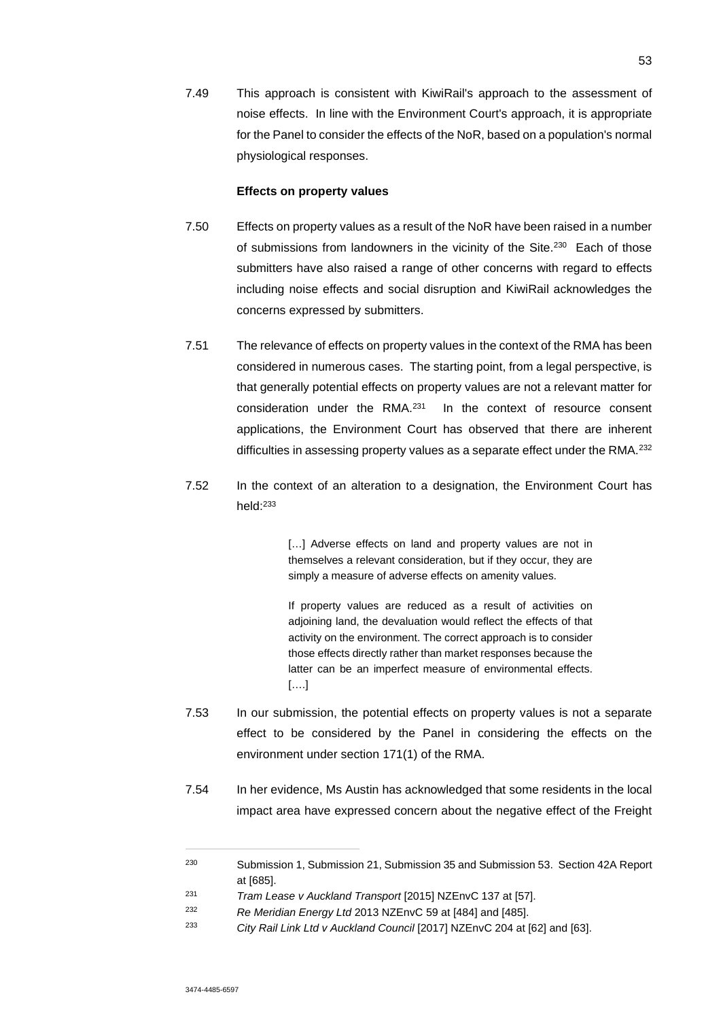7.49 This approach is consistent with KiwiRail's approach to the assessment of noise effects. In line with the Environment Court's approach, it is appropriate for the Panel to consider the effects of the NoR, based on a population's normal physiological responses.

### **Effects on property values**

- 7.50 Effects on property values as a result of the NoR have been raised in a number of submissions from landowners in the vicinity of the Site.<sup>230</sup> Each of those submitters have also raised a range of other concerns with regard to effects including noise effects and social disruption and KiwiRail acknowledges the concerns expressed by submitters.
- 7.51 The relevance of effects on property values in the context of the RMA has been considered in numerous cases. The starting point, from a legal perspective, is that generally potential effects on property values are not a relevant matter for consideration under the RMA.<sup>231</sup> In the context of resource consent applications, the Environment Court has observed that there are inherent difficulties in assessing property values as a separate effect under the RMA.<sup>232</sup>
- 7.52 In the context of an alteration to a designation, the Environment Court has held:<sup>233</sup>

[...] Adverse effects on land and property values are not in themselves a relevant consideration, but if they occur, they are simply a measure of adverse effects on amenity values.

If property values are reduced as a result of activities on adjoining land, the devaluation would reflect the effects of that activity on the environment. The correct approach is to consider those effects directly rather than market responses because the latter can be an imperfect measure of environmental effects. [….]

- 7.53 In our submission, the potential effects on property values is not a separate effect to be considered by the Panel in considering the effects on the environment under section 171(1) of the RMA.
- 7.54 In her evidence, Ms Austin has acknowledged that some residents in the local impact area have expressed concern about the negative effect of the Freight

<sup>230</sup> Submission 1, Submission 21, Submission 35 and Submission 53. Section 42A Report at [685].

<sup>231</sup> *Tram Lease v Auckland Transport* [2015] NZEnvC 137 at [57].

<sup>232</sup> *Re Meridian Energy Ltd* 2013 NZEnvC 59 at [484] and [485].

<sup>233</sup> *City Rail Link Ltd v Auckland Council* [2017] NZEnvC 204 at [62] and [63].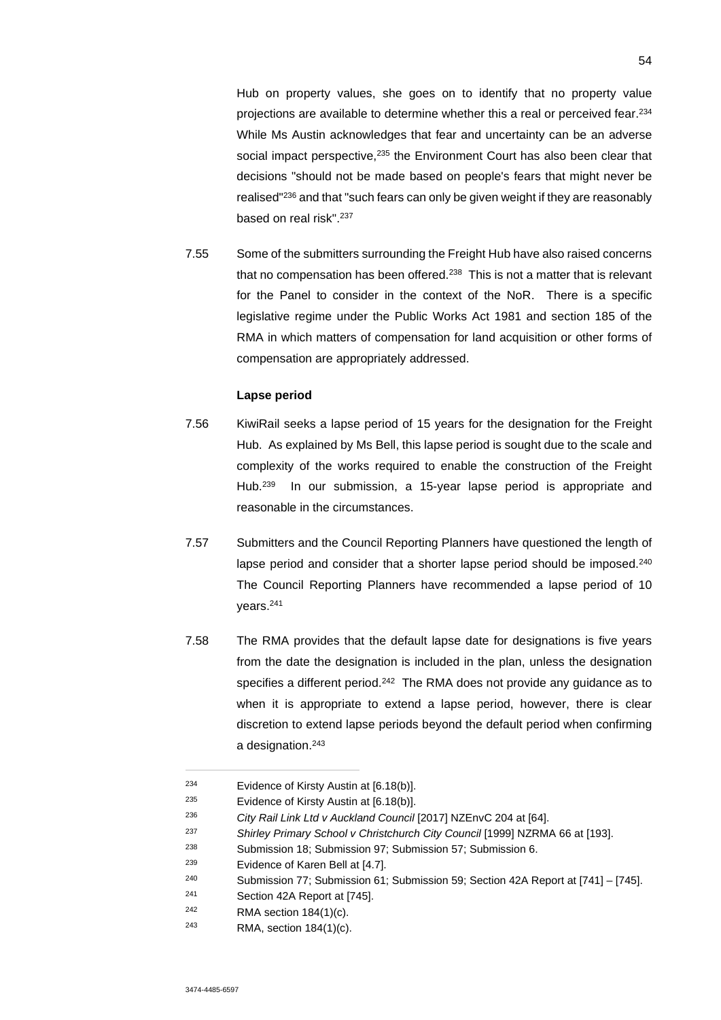Hub on property values, she goes on to identify that no property value projections are available to determine whether this a real or perceived fear.<sup>234</sup> While Ms Austin acknowledges that fear and uncertainty can be an adverse social impact perspective,<sup>235</sup> the Environment Court has also been clear that decisions "should not be made based on people's fears that might never be realised"<sup>236</sup> and that "such fears can only be given weight if they are reasonably based on real risk".<sup>237</sup>

7.55 Some of the submitters surrounding the Freight Hub have also raised concerns that no compensation has been offered.<sup>238</sup> This is not a matter that is relevant for the Panel to consider in the context of the NoR. There is a specific legislative regime under the Public Works Act 1981 and section 185 of the RMA in which matters of compensation for land acquisition or other forms of compensation are appropriately addressed.

### **Lapse period**

- 7.56 KiwiRail seeks a lapse period of 15 years for the designation for the Freight Hub. As explained by Ms Bell, this lapse period is sought due to the scale and complexity of the works required to enable the construction of the Freight Hub.<sup>239</sup> In our submission, a 15-year lapse period is appropriate and reasonable in the circumstances.
- 7.57 Submitters and the Council Reporting Planners have questioned the length of lapse period and consider that a shorter lapse period should be imposed.<sup>240</sup> The Council Reporting Planners have recommended a lapse period of 10 years.<sup>241</sup>
- 7.58 The RMA provides that the default lapse date for designations is five years from the date the designation is included in the plan, unless the designation specifies a different period.<sup>242</sup> The RMA does not provide any guidance as to when it is appropriate to extend a lapse period, however, there is clear discretion to extend lapse periods beyond the default period when confirming a designation.<sup>243</sup>

<sup>234</sup> Evidence of Kirsty Austin at [6.18(b)].

<sup>&</sup>lt;sup>235</sup> Evidence of Kirsty Austin at  $[6.18(b)]$ .

<sup>236</sup> *City Rail Link Ltd v Auckland Council* [2017] NZEnvC 204 at [64].

<sup>237</sup> *Shirley Primary School v Christchurch City Council* [1999] NZRMA 66 at [193].

<sup>238</sup> Submission 18; Submission 97; Submission 57; Submission 6.

<sup>239</sup> Evidence of Karen Bell at [4.7].

<sup>240</sup> Submission 77; Submission 61; Submission 59; Section 42A Report at [741] – [745].

<sup>241</sup> Section 42A Report at [745].

<sup>242</sup> RMA section 184(1)(c).

<sup>243</sup> RMA, section 184(1)(c).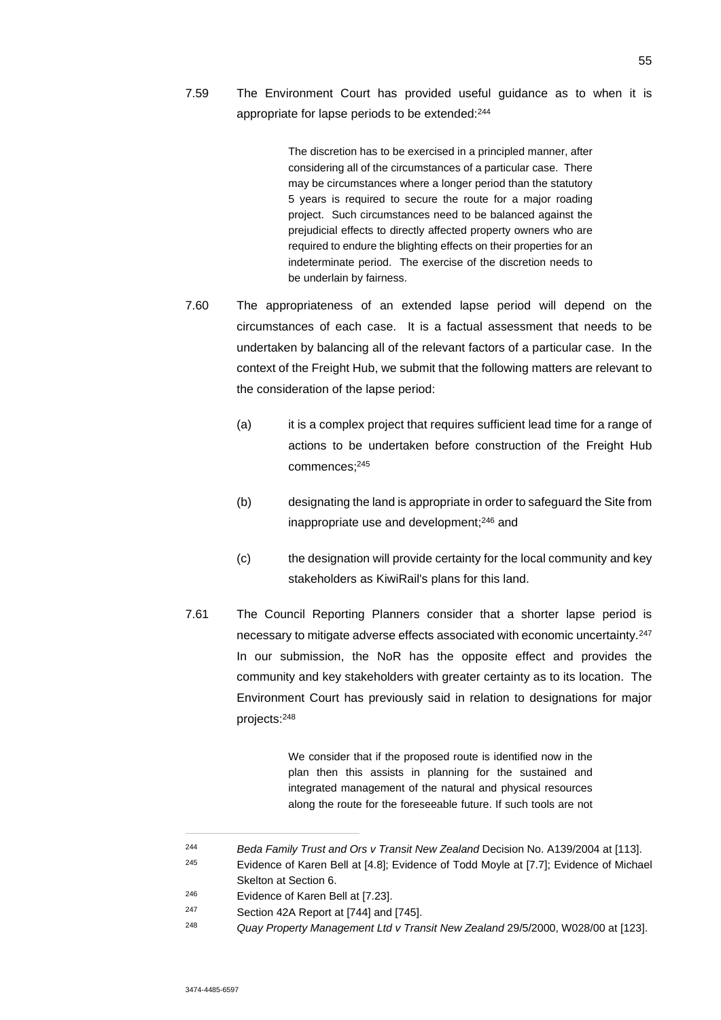7.59 The Environment Court has provided useful guidance as to when it is appropriate for lapse periods to be extended:<sup>244</sup>

> The discretion has to be exercised in a principled manner, after considering all of the circumstances of a particular case. There may be circumstances where a longer period than the statutory 5 years is required to secure the route for a major roading project. Such circumstances need to be balanced against the prejudicial effects to directly affected property owners who are required to endure the blighting effects on their properties for an indeterminate period. The exercise of the discretion needs to be underlain by fairness.

- 7.60 The appropriateness of an extended lapse period will depend on the circumstances of each case. It is a factual assessment that needs to be undertaken by balancing all of the relevant factors of a particular case. In the context of the Freight Hub, we submit that the following matters are relevant to the consideration of the lapse period:
	- (a) it is a complex project that requires sufficient lead time for a range of actions to be undertaken before construction of the Freight Hub commences;<sup>245</sup>
	- (b) designating the land is appropriate in order to safeguard the Site from inappropriate use and development;<sup>246</sup> and
	- (c) the designation will provide certainty for the local community and key stakeholders as KiwiRail's plans for this land.
- 7.61 The Council Reporting Planners consider that a shorter lapse period is necessary to mitigate adverse effects associated with economic uncertainty.<sup>247</sup> In our submission, the NoR has the opposite effect and provides the community and key stakeholders with greater certainty as to its location. The Environment Court has previously said in relation to designations for major projects:<sup>248</sup>

We consider that if the proposed route is identified now in the plan then this assists in planning for the sustained and integrated management of the natural and physical resources along the route for the foreseeable future. If such tools are not

<sup>244</sup> *Beda Family Trust and Ors v Transit New Zealand* Decision No. A139/2004 at [113].

<sup>245</sup> Evidence of Karen Bell at [4.8]; Evidence of Todd Moyle at [7.7]; Evidence of Michael Skelton at Section 6.

<sup>246</sup> Evidence of Karen Bell at [7.23].

<sup>247</sup> Section 42A Report at [744] and [745].

<sup>248</sup> *Quay Property Management Ltd v Transit New Zealand* 29/5/2000, W028/00 at [123].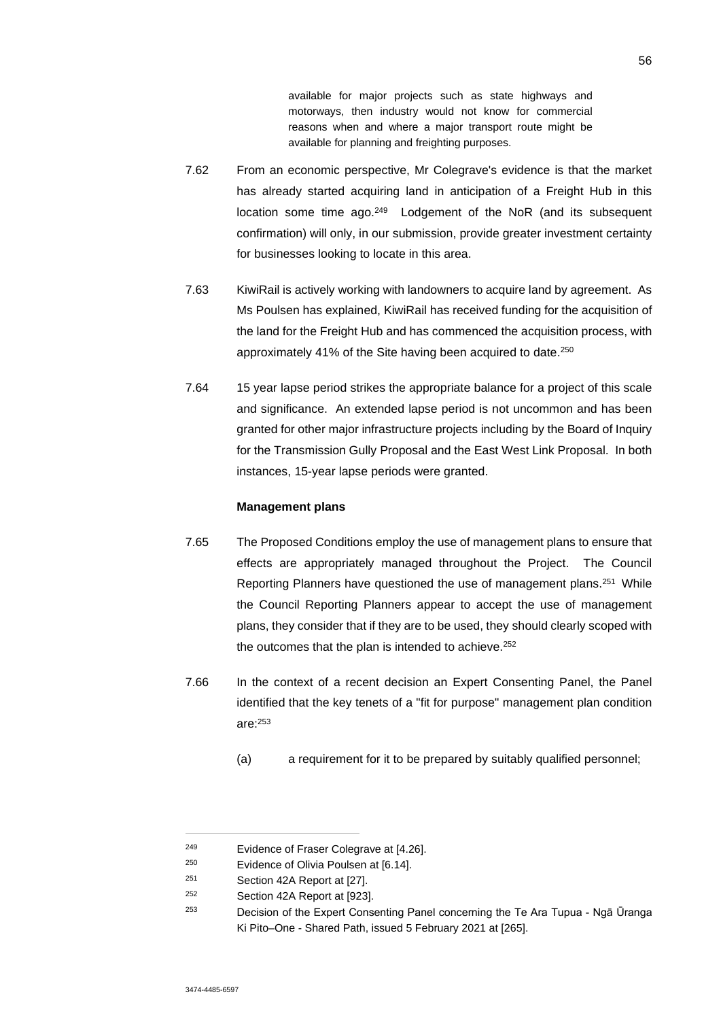available for major projects such as state highways and motorways, then industry would not know for commercial reasons when and where a major transport route might be available for planning and freighting purposes.

- 7.62 From an economic perspective, Mr Colegrave's evidence is that the market has already started acquiring land in anticipation of a Freight Hub in this location some time ago.<sup>249</sup> Lodgement of the NoR (and its subsequent confirmation) will only, in our submission, provide greater investment certainty for businesses looking to locate in this area.
- 7.63 KiwiRail is actively working with landowners to acquire land by agreement. As Ms Poulsen has explained, KiwiRail has received funding for the acquisition of the land for the Freight Hub and has commenced the acquisition process, with approximately 41% of the Site having been acquired to date.<sup>250</sup>
- 7.64 15 year lapse period strikes the appropriate balance for a project of this scale and significance. An extended lapse period is not uncommon and has been granted for other major infrastructure projects including by the Board of Inquiry for the Transmission Gully Proposal and the East West Link Proposal. In both instances, 15-year lapse periods were granted.

### **Management plans**

- 7.65 The Proposed Conditions employ the use of management plans to ensure that effects are appropriately managed throughout the Project. The Council Reporting Planners have questioned the use of management plans.<sup>251</sup> While the Council Reporting Planners appear to accept the use of management plans, they consider that if they are to be used, they should clearly scoped with the outcomes that the plan is intended to achieve.<sup>252</sup>
- 7.66 In the context of a recent decision an Expert Consenting Panel, the Panel identified that the key tenets of a "fit for purpose" management plan condition are:<sup>253</sup>
	- (a) a requirement for it to be prepared by suitably qualified personnel;

<sup>249</sup> Evidence of Fraser Colegrave at [4.26].

<sup>250</sup> Evidence of Olivia Poulsen at [6.14].

<sup>251</sup> Section 42A Report at [27].

Section 42A Report at [923].

<sup>253</sup> Decision of the Expert Consenting Panel concerning the Te Ara Tupua - Ngā Ūranga Ki Pito–One - Shared Path, issued 5 February 2021 at [265].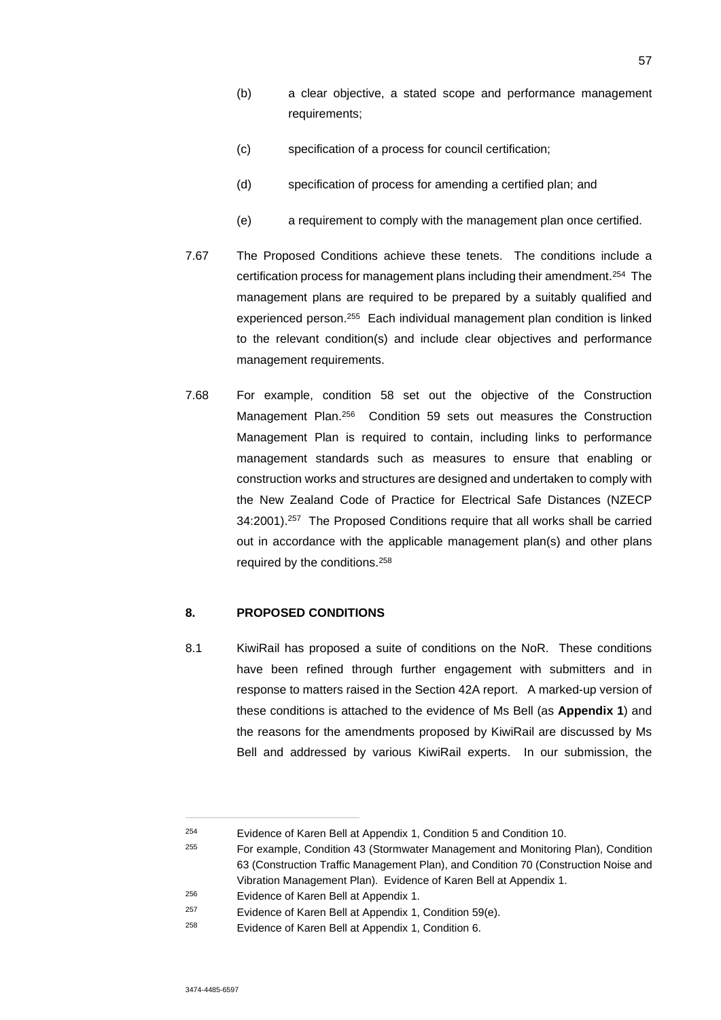- (b) a clear objective, a stated scope and performance management requirements;
- (c) specification of a process for council certification;
- (d) specification of process for amending a certified plan; and
- (e) a requirement to comply with the management plan once certified.
- 7.67 The Proposed Conditions achieve these tenets. The conditions include a certification process for management plans including their amendment.<sup>254</sup> The management plans are required to be prepared by a suitably qualified and experienced person.<sup>255</sup> Each individual management plan condition is linked to the relevant condition(s) and include clear objectives and performance management requirements.
- 7.68 For example, condition 58 set out the objective of the Construction Management Plan.<sup>256</sup> Condition 59 sets out measures the Construction Management Plan is required to contain, including links to performance management standards such as measures to ensure that enabling or construction works and structures are designed and undertaken to comply with the New Zealand Code of Practice for Electrical Safe Distances (NZECP 34:2001).<sup>257</sup> The Proposed Conditions require that all works shall be carried out in accordance with the applicable management plan(s) and other plans required by the conditions.<sup>258</sup>

## **8. PROPOSED CONDITIONS**

8.1 KiwiRail has proposed a suite of conditions on the NoR. These conditions have been refined through further engagement with submitters and in response to matters raised in the Section 42A report. A marked-up version of these conditions is attached to the evidence of Ms Bell (as **Appendix 1**) and the reasons for the amendments proposed by KiwiRail are discussed by Ms Bell and addressed by various KiwiRail experts. In our submission, the

<sup>254</sup> Evidence of Karen Bell at Appendix 1, Condition 5 and Condition 10.

<sup>255</sup> For example, Condition 43 (Stormwater Management and Monitoring Plan), Condition 63 (Construction Traffic Management Plan), and Condition 70 (Construction Noise and Vibration Management Plan). Evidence of Karen Bell at Appendix 1.

<sup>256</sup> Evidence of Karen Bell at Appendix 1.

<sup>&</sup>lt;sup>257</sup> Evidence of Karen Bell at Appendix 1, Condition 59(e).

<sup>258</sup> Evidence of Karen Bell at Appendix 1, Condition 6.